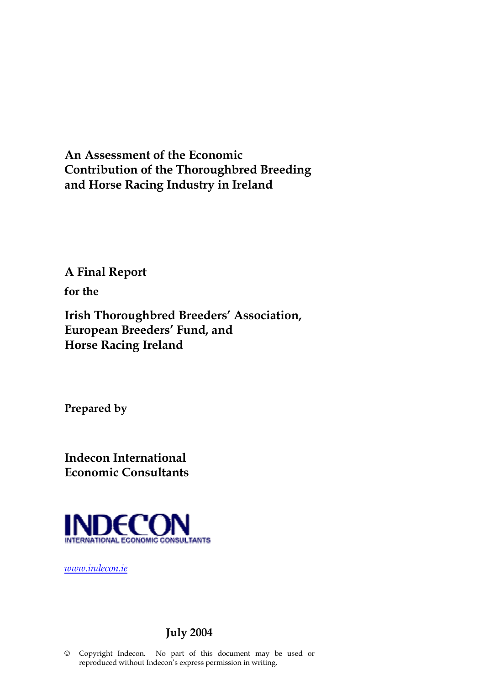**An Assessment of the Economic Contribution of the Thoroughbred Breeding and Horse Racing Industry in Ireland**

**A Final Report** 

**for the** 

**Irish Thoroughbred Breeders' Association, European Breeders' Fund, and Horse Racing Ireland**

**Prepared by**

**Indecon International Economic Consultants**



*www.indecon.ie*

### **July 2004**

© Copyright Indecon. No part of this document may be used or reproduced without Indecon's express permission in writing.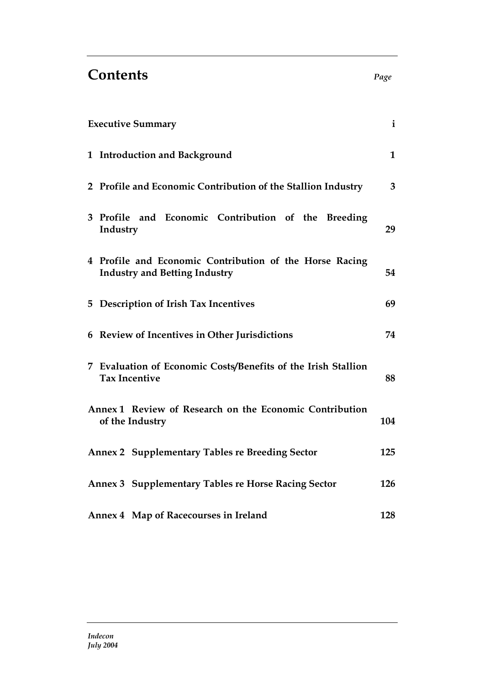# **Contents** *Page*

| <b>Executive Summary</b>                                                                        | $\mathbf{i}$ |
|-------------------------------------------------------------------------------------------------|--------------|
| 1 Introduction and Background                                                                   | $\mathbf{1}$ |
| 2 Profile and Economic Contribution of the Stallion Industry                                    | 3            |
| 3 Profile and Economic Contribution of the Breeding<br>Industry                                 | 29           |
| 4 Profile and Economic Contribution of the Horse Racing<br><b>Industry and Betting Industry</b> | 54           |
| 5 Description of Irish Tax Incentives                                                           | 69           |
| 6 Review of Incentives in Other Jurisdictions                                                   | 74           |
| 7 Evaluation of Economic Costs/Benefits of the Irish Stallion<br><b>Tax Incentive</b>           | 88           |
| Annex 1 Review of Research on the Economic Contribution<br>of the Industry                      | 104          |
| <b>Annex 2 Supplementary Tables re Breeding Sector</b>                                          | 125          |
| Annex 3 Supplementary Tables re Horse Racing Sector                                             | 126          |
| Annex 4 Map of Racecourses in Ireland                                                           | 128          |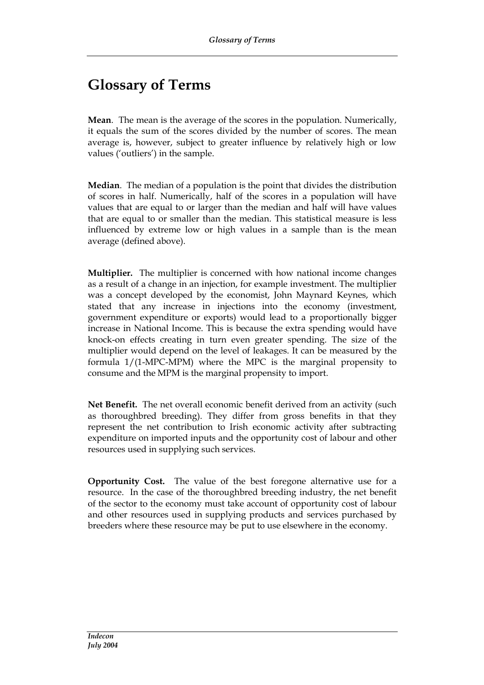# **Glossary of Terms**

**Mean**. The mean is the average of the scores in the population. Numerically, it equals the sum of the scores divided by the number of scores. The mean average is, however, subject to greater influence by relatively high or low values ('outliers') in the sample.

**Median**. The median of a population is the point that divides the distribution of scores in half. Numerically, half of the scores in a population will have values that are equal to or larger than the median and half will have values that are equal to or smaller than the median. This statistical measure is less influenced by extreme low or high values in a sample than is the mean average (defined above).

**Multiplier.** The multiplier is concerned with how national income changes as a result of a change in an injection, for example investment. The multiplier was a concept developed by the economist, John Maynard Keynes, which stated that any increase in injections into the economy (investment, government expenditure or exports) would lead to a proportionally bigger increase in National Income. This is because the extra spending would have knock-on effects creating in turn even greater spending. The size of the multiplier would depend on the level of leakages. It can be measured by the formula 1/(1-MPC-MPM) where the MPC is the marginal propensity to consume and the MPM is the marginal propensity to import.

**Net Benefit.** The net overall economic benefit derived from an activity (such as thoroughbred breeding). They differ from gross benefits in that they represent the net contribution to Irish economic activity after subtracting expenditure on imported inputs and the opportunity cost of labour and other resources used in supplying such services.

**Opportunity Cost.** The value of the best foregone alternative use for a resource. In the case of the thoroughbred breeding industry, the net benefit of the sector to the economy must take account of opportunity cost of labour and other resources used in supplying products and services purchased by breeders where these resource may be put to use elsewhere in the economy.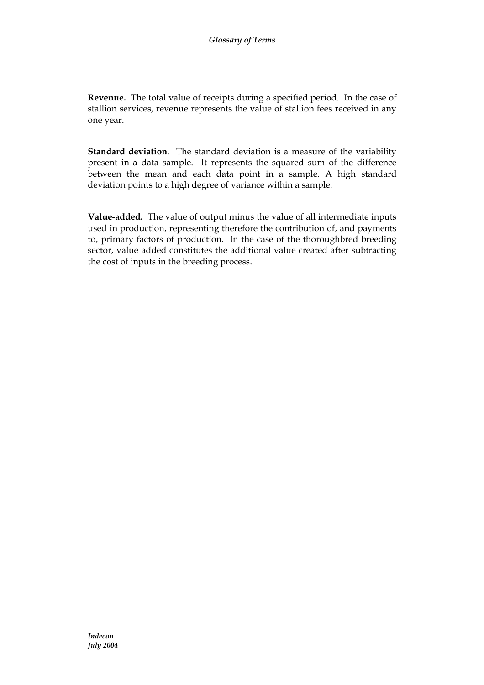**Revenue.** The total value of receipts during a specified period. In the case of stallion services, revenue represents the value of stallion fees received in any one year.

**Standard deviation**. The standard deviation is a measure of the variability present in a data sample. It represents the squared sum of the difference between the mean and each data point in a sample. A high standard deviation points to a high degree of variance within a sample.

**Value-added.** The value of output minus the value of all intermediate inputs used in production, representing therefore the contribution of, and payments to, primary factors of production. In the case of the thoroughbred breeding sector, value added constitutes the additional value created after subtracting the cost of inputs in the breeding process.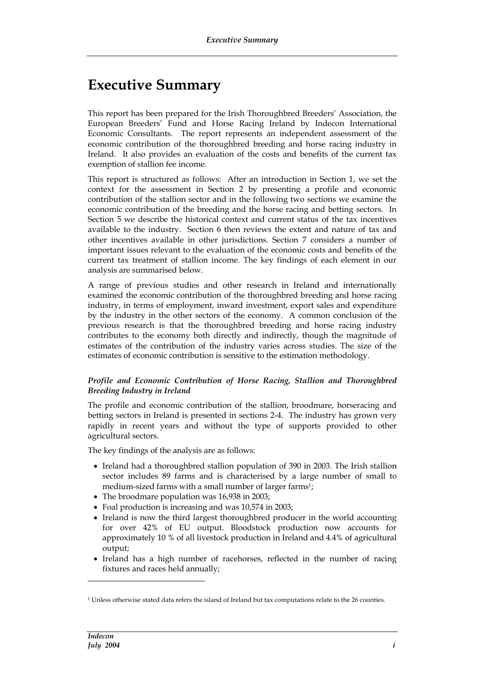# **Executive Summary**

This report has been prepared for the Irish Thoroughbred Breeders' Association, the European Breeders' Fund and Horse Racing Ireland by Indecon International Economic Consultants. The report represents an independent assessment of the economic contribution of the thoroughbred breeding and horse racing industry in Ireland. It also provides an evaluation of the costs and benefits of the current tax exemption of stallion fee income.

This report is structured as follows: After an introduction in Section 1, we set the context for the assessment in Section 2 by presenting a profile and economic contribution of the stallion sector and in the following two sections we examine the economic contribution of the breeding and the horse racing and betting sectors. In Section 5 we describe the historical context and current status of the tax incentives available to the industry. Section 6 then reviews the extent and nature of tax and other incentives available in other jurisdictions. Section 7 considers a number of important issues relevant to the evaluation of the economic costs and benefits of the current tax treatment of stallion income. The key findings of each element in our analysis are summarised below.

A range of previous studies and other research in Ireland and internationally examined the economic contribution of the thoroughbred breeding and horse racing industry, in terms of employment, inward investment, export sales and expenditure by the industry in the other sectors of the economy. A common conclusion of the previous research is that the thoroughbred breeding and horse racing industry contributes to the economy both directly and indirectly, though the magnitude of estimates of the contribution of the industry varies across studies. The size of the estimates of economic contribution is sensitive to the estimation methodology.

#### *Profile and Economic Contribution of Horse Racing, Stallion and Thoroughbred Breeding Industry in Ireland*

The profile and economic contribution of the stallion, broodmare, horseracing and betting sectors in Ireland is presented in sections 2-4. The industry has grown very rapidly in recent years and without the type of supports provided to other agricultural sectors.

The key findings of the analysis are as follows:

- Ireland had a thoroughbred stallion population of 390 in 2003. The Irish stallion sector includes 89 farms and is characterised by a large number of small to medium-sized farms with a small number of larger farms<sup>1</sup>;
- The broodmare population was 16,938 in 2003;
- Foal production is increasing and was 10,574 in 2003;
- Ireland is now the third largest thoroughbred producer in the world accounting for over 42% of EU output. Bloodstock production now accounts for approximately 10 % of all livestock production in Ireland and 4.4% of agricultural output;
- Ireland has a high number of racehorses, reflected in the number of racing fixtures and races held annually;

<sup>1</sup> Unless otherwise stated data refers the island of Ireland but tax computations relate to the 26 counties.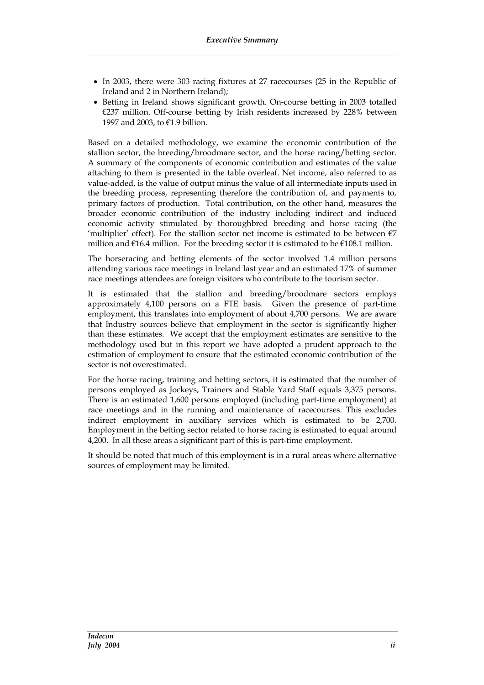- In 2003, there were 303 racing fixtures at 27 racecourses (25 in the Republic of Ireland and 2 in Northern Ireland);
- Betting in Ireland shows significant growth. On-course betting in 2003 totalled €237 million. Off-course betting by Irish residents increased by 228% between 1997 and 2003, to €1.9 billion.

Based on a detailed methodology, we examine the economic contribution of the stallion sector, the breeding/broodmare sector, and the horse racing/betting sector. A summary of the components of economic contribution and estimates of the value attaching to them is presented in the table overleaf. Net income, also referred to as value-added, is the value of output minus the value of all intermediate inputs used in the breeding process, representing therefore the contribution of, and payments to, primary factors of production. Total contribution, on the other hand, measures the broader economic contribution of the industry including indirect and induced economic activity stimulated by thoroughbred breeding and horse racing (the 'multiplier' effect). For the stallion sector net income is estimated to be between  $\epsilon$ 7 million and  $\epsilon$ 16.4 million. For the breeding sector it is estimated to be  $\epsilon$ 108.1 million.

The horseracing and betting elements of the sector involved 1.4 million persons attending various race meetings in Ireland last year and an estimated 17% of summer race meetings attendees are foreign visitors who contribute to the tourism sector.

It is estimated that the stallion and breeding/broodmare sectors employs approximately 4,100 persons on a FTE basis. Given the presence of part-time employment, this translates into employment of about 4,700 persons. We are aware that Industry sources believe that employment in the sector is significantly higher than these estimates. We accept that the employment estimates are sensitive to the methodology used but in this report we have adopted a prudent approach to the estimation of employment to ensure that the estimated economic contribution of the sector is not overestimated.

For the horse racing, training and betting sectors, it is estimated that the number of persons employed as Jockeys, Trainers and Stable Yard Staff equals 3,375 persons. There is an estimated 1,600 persons employed (including part-time employment) at race meetings and in the running and maintenance of racecourses. This excludes indirect employment in auxiliary services which is estimated to be 2,700. Employment in the betting sector related to horse racing is estimated to equal around 4,200. In all these areas a significant part of this is part-time employment.

It should be noted that much of this employment is in a rural areas where alternative sources of employment may be limited.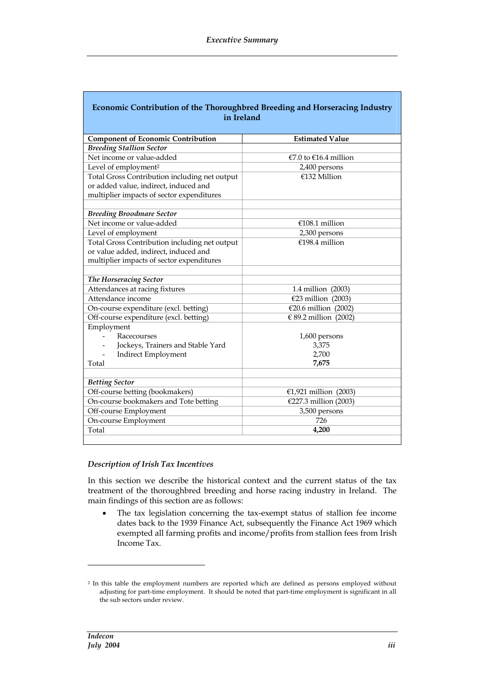| Economic Contribution of the Thoroughbred Breeding and Horseracing Industry<br>in Ireland |                           |  |  |
|-------------------------------------------------------------------------------------------|---------------------------|--|--|
|                                                                                           |                           |  |  |
| <b>Component of Economic Contribution</b>                                                 | <b>Estimated Value</b>    |  |  |
| <b>Breeding Stallion Sector</b>                                                           |                           |  |  |
| Net income or value-added                                                                 | $€7.0$ to $€16.4$ million |  |  |
| Level of employment <sup>2</sup>                                                          | 2,400 persons             |  |  |
| Total Gross Contribution including net output                                             | $€132$ Million            |  |  |
| or added value, indirect, induced and                                                     |                           |  |  |
| multiplier impacts of sector expenditures                                                 |                           |  |  |
| <b>Breeding Broodmare Sector</b>                                                          |                           |  |  |
| Net income or value-added                                                                 | €108.1 million            |  |  |
| Level of employment                                                                       | 2,300 persons             |  |  |
| Total Gross Contribution including net output                                             | €198.4 million            |  |  |
| or value added, indirect, induced and                                                     |                           |  |  |
| multiplier impacts of sector expenditures                                                 |                           |  |  |
|                                                                                           |                           |  |  |
| The Horseracing Sector                                                                    |                           |  |  |
| Attendances at racing fixtures                                                            | 1.4 million (2003)        |  |  |
| Attendance income                                                                         | €23 million (2003)        |  |  |
| On-course expenditure (excl. betting)                                                     | €20.6 million (2002)      |  |  |
| Off-course expenditure (excl. betting)<br>€ 89.2 million (2002)                           |                           |  |  |
| Employment                                                                                |                           |  |  |
| Racecourses                                                                               | 1,600 persons             |  |  |
| 3,375<br>Jockeys, Trainers and Stable Yard                                                |                           |  |  |
| 2,700<br><b>Indirect Employment</b>                                                       |                           |  |  |
| Total                                                                                     | 7,675                     |  |  |
| <b>Betting Sector</b>                                                                     |                           |  |  |
| Off-course betting (bookmakers)                                                           | €1,921 million (2003)     |  |  |
| On-course bookmakers and Tote betting                                                     | €227.3 million (2003)     |  |  |
| Off-course Employment                                                                     | 3,500 persons             |  |  |
| On-course Employment                                                                      | 726                       |  |  |
| 4,200<br>Total                                                                            |                           |  |  |
|                                                                                           |                           |  |  |

#### *Description of Irish Tax Incentives*

In this section we describe the historical context and the current status of the tax treatment of the thoroughbred breeding and horse racing industry in Ireland. The main findings of this section are as follows:

 The tax legislation concerning the tax-exempt status of stallion fee income dates back to the 1939 Finance Act, subsequently the Finance Act 1969 which exempted all farming profits and income/profits from stallion fees from Irish Income Tax.

<sup>&</sup>lt;sup>2</sup> In this table the employment numbers are reported which are defined as persons employed without adjusting for part-time employment. It should be noted that part-time employment is significant in all the sub sectors under review.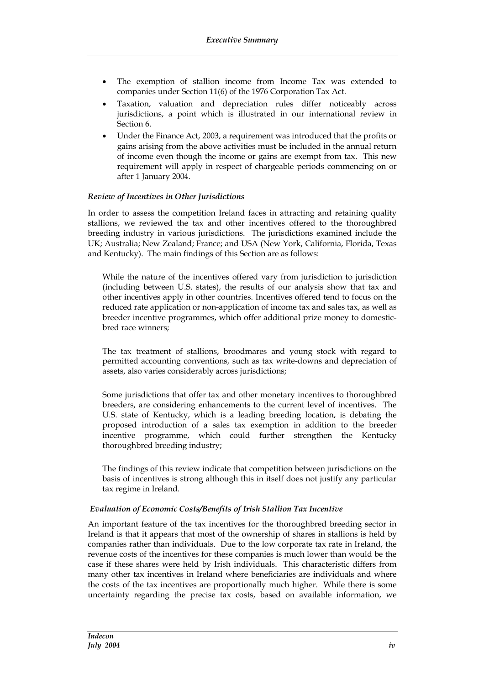- The exemption of stallion income from Income Tax was extended to companies under Section 11(6) of the 1976 Corporation Tax Act.
- Taxation, valuation and depreciation rules differ noticeably across jurisdictions, a point which is illustrated in our international review in Section 6.
- Under the Finance Act, 2003, a requirement was introduced that the profits or gains arising from the above activities must be included in the annual return of income even though the income or gains are exempt from tax. This new requirement will apply in respect of chargeable periods commencing on or after 1 January 2004.

#### *Review of Incentives in Other Jurisdictions*

In order to assess the competition Ireland faces in attracting and retaining quality stallions, we reviewed the tax and other incentives offered to the thoroughbred breeding industry in various jurisdictions. The jurisdictions examined include the UK; Australia; New Zealand; France; and USA (New York, California, Florida, Texas and Kentucky). The main findings of this Section are as follows:

While the nature of the incentives offered vary from jurisdiction to jurisdiction (including between U.S. states), the results of our analysis show that tax and other incentives apply in other countries. Incentives offered tend to focus on the reduced rate application or non-application of income tax and sales tax, as well as breeder incentive programmes, which offer additional prize money to domesticbred race winners;

The tax treatment of stallions, broodmares and young stock with regard to permitted accounting conventions, such as tax write-downs and depreciation of assets, also varies considerably across jurisdictions;

Some jurisdictions that offer tax and other monetary incentives to thoroughbred breeders, are considering enhancements to the current level of incentives. The U.S. state of Kentucky, which is a leading breeding location, is debating the proposed introduction of a sales tax exemption in addition to the breeder incentive programme, which could further strengthen the Kentucky thoroughbred breeding industry;

The findings of this review indicate that competition between jurisdictions on the basis of incentives is strong although this in itself does not justify any particular tax regime in Ireland.

#### *Evaluation of Economic Costs/Benefits of Irish Stallion Tax Incentive*

An important feature of the tax incentives for the thoroughbred breeding sector in Ireland is that it appears that most of the ownership of shares in stallions is held by companies rather than individuals. Due to the low corporate tax rate in Ireland, the revenue costs of the incentives for these companies is much lower than would be the case if these shares were held by Irish individuals. This characteristic differs from many other tax incentives in Ireland where beneficiaries are individuals and where the costs of the tax incentives are proportionally much higher. While there is some uncertainty regarding the precise tax costs, based on available information, we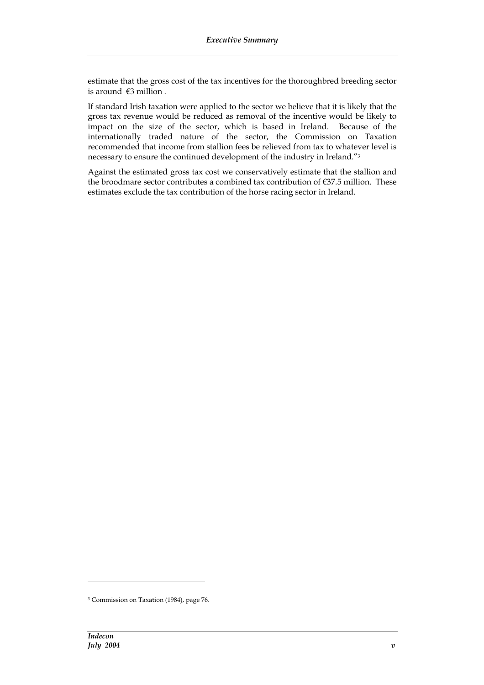estimate that the gross cost of the tax incentives for the thoroughbred breeding sector is around €3 million .

If standard Irish taxation were applied to the sector we believe that it is likely that the gross tax revenue would be reduced as removal of the incentive would be likely to impact on the size of the sector, which is based in Ireland. Because of the internationally traded nature of the sector, the Commission on Taxation recommended that income from stallion fees be relieved from tax to whatever level is necessary to ensure the continued development of the industry in Ireland."<sup>3</sup>

Against the estimated gross tax cost we conservatively estimate that the stallion and the broodmare sector contributes a combined tax contribution of  $\epsilon$ 37.5 million. These estimates exclude the tax contribution of the horse racing sector in Ireland.

<sup>3</sup> Commission on Taxation (1984), page 76.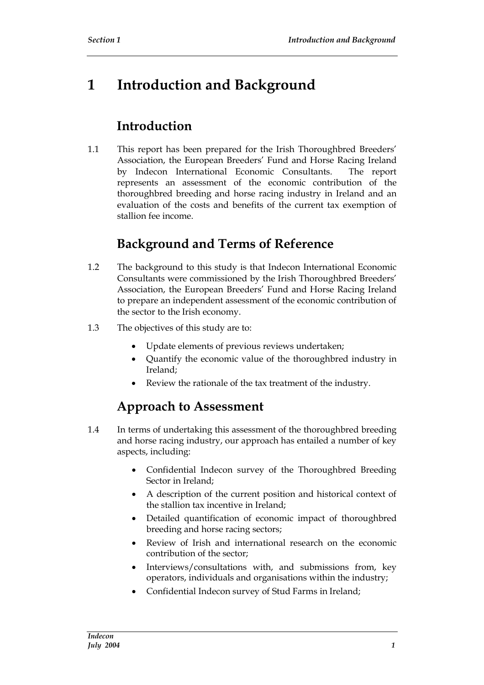# **1 Introduction and Background**

# **Introduction**

1.1 This report has been prepared for the Irish Thoroughbred Breeders' Association, the European Breeders' Fund and Horse Racing Ireland by Indecon International Economic Consultants. The report represents an assessment of the economic contribution of the thoroughbred breeding and horse racing industry in Ireland and an evaluation of the costs and benefits of the current tax exemption of stallion fee income.

# **Background and Terms of Reference**

- 1.2 The background to this study is that Indecon International Economic Consultants were commissioned by the Irish Thoroughbred Breeders' Association, the European Breeders' Fund and Horse Racing Ireland to prepare an independent assessment of the economic contribution of the sector to the Irish economy.
- 1.3 The objectives of this study are to:
	- Update elements of previous reviews undertaken;
	- Quantify the economic value of the thoroughbred industry in Ireland;
	- Review the rationale of the tax treatment of the industry.

# **Approach to Assessment**

- 1.4 In terms of undertaking this assessment of the thoroughbred breeding and horse racing industry, our approach has entailed a number of key aspects, including:
	- Confidential Indecon survey of the Thoroughbred Breeding Sector in Ireland;
	- A description of the current position and historical context of the stallion tax incentive in Ireland;
	- Detailed quantification of economic impact of thoroughbred breeding and horse racing sectors;
	- Review of Irish and international research on the economic contribution of the sector;
	- Interviews/consultations with, and submissions from, key operators, individuals and organisations within the industry;
	- Confidential Indecon survey of Stud Farms in Ireland;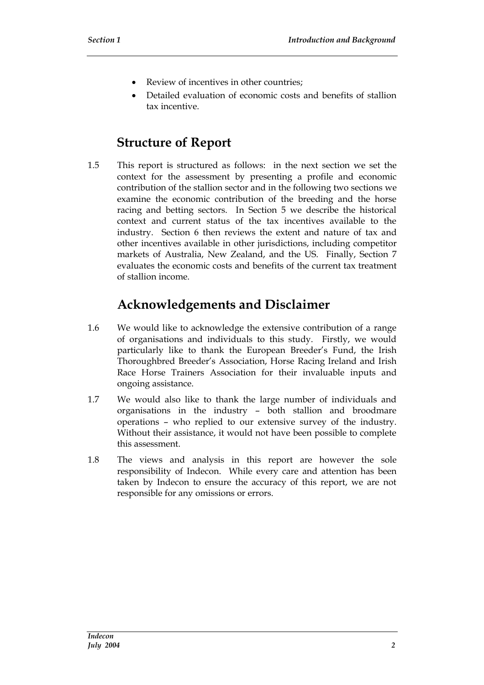- Review of incentives in other countries;
- Detailed evaluation of economic costs and benefits of stallion tax incentive.

### **Structure of Report**

1.5 This report is structured as follows: in the next section we set the context for the assessment by presenting a profile and economic contribution of the stallion sector and in the following two sections we examine the economic contribution of the breeding and the horse racing and betting sectors. In Section 5 we describe the historical context and current status of the tax incentives available to the industry. Section 6 then reviews the extent and nature of tax and other incentives available in other jurisdictions, including competitor markets of Australia, New Zealand, and the US. Finally, Section 7 evaluates the economic costs and benefits of the current tax treatment of stallion income.

### **Acknowledgements and Disclaimer**

- 1.6 We would like to acknowledge the extensive contribution of a range of organisations and individuals to this study. Firstly, we would particularly like to thank the European Breeder's Fund, the Irish Thoroughbred Breeder's Association, Horse Racing Ireland and Irish Race Horse Trainers Association for their invaluable inputs and ongoing assistance.
- 1.7 We would also like to thank the large number of individuals and organisations in the industry – both stallion and broodmare operations – who replied to our extensive survey of the industry. Without their assistance, it would not have been possible to complete this assessment.
- 1.8 The views and analysis in this report are however the sole responsibility of Indecon. While every care and attention has been taken by Indecon to ensure the accuracy of this report, we are not responsible for any omissions or errors.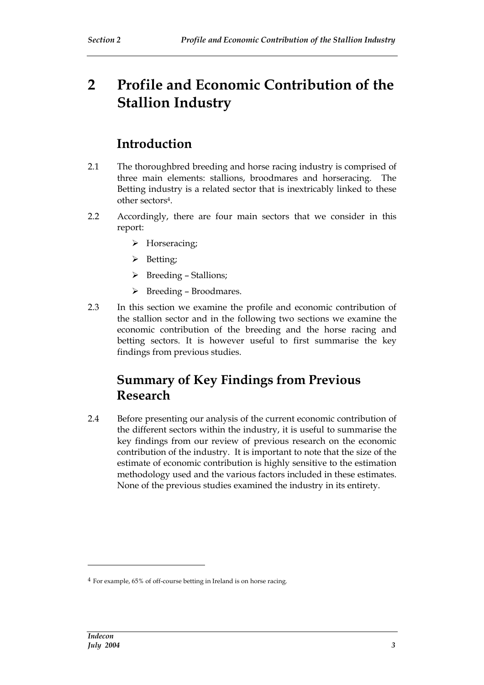# **2 Profile and Economic Contribution of the Stallion Industry**

### **Introduction**

- 2.1 The thoroughbred breeding and horse racing industry is comprised of three main elements: stallions, broodmares and horseracing. The Betting industry is a related sector that is inextricably linked to these other sectors4.
- 2.2 Accordingly, there are four main sectors that we consider in this report:
	- > Horseracing;
	- > Betting;
	- $\triangleright$  Breeding Stallions;
	- $\triangleright$  Breeding Broodmares.
- 2.3 In this section we examine the profile and economic contribution of the stallion sector and in the following two sections we examine the economic contribution of the breeding and the horse racing and betting sectors. It is however useful to first summarise the key findings from previous studies.

### **Summary of Key Findings from Previous Research**

2.4 Before presenting our analysis of the current economic contribution of the different sectors within the industry, it is useful to summarise the key findings from our review of previous research on the economic contribution of the industry. It is important to note that the size of the estimate of economic contribution is highly sensitive to the estimation methodology used and the various factors included in these estimates. None of the previous studies examined the industry in its entirety.

<sup>4</sup> For example, 65% of off-course betting in Ireland is on horse racing.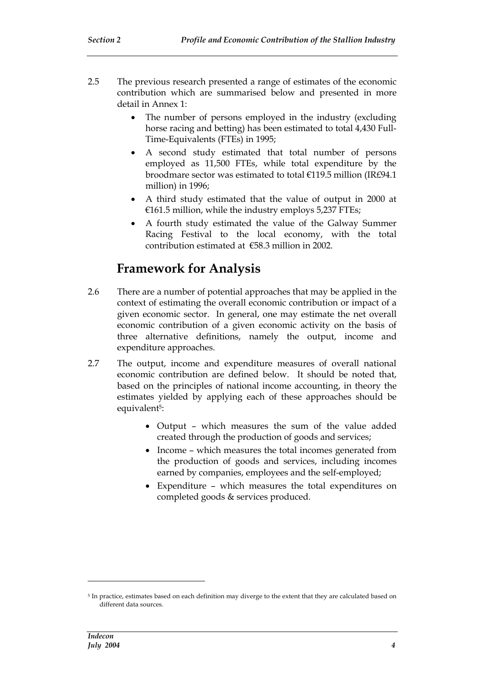- 2.5 The previous research presented a range of estimates of the economic contribution which are summarised below and presented in more detail in Annex 1:
	- The number of persons employed in the industry (excluding horse racing and betting) has been estimated to total 4,430 Full-Time-Equivalents (FTEs) in 1995;
	- A second study estimated that total number of persons employed as 11,500 FTEs, while total expenditure by the broodmare sector was estimated to total €119.5 million (IR£94.1 million) in 1996;
	- A third study estimated that the value of output in 2000 at  $€161.5$  million, while the industry employs 5,237 FTEs;
	- A fourth study estimated the value of the Galway Summer Racing Festival to the local economy, with the total contribution estimated at €58.3 million in 2002.

### **Framework for Analysis**

- 2.6 There are a number of potential approaches that may be applied in the context of estimating the overall economic contribution or impact of a given economic sector. In general, one may estimate the net overall economic contribution of a given economic activity on the basis of three alternative definitions, namely the output, income and expenditure approaches.
- 2.7 The output, income and expenditure measures of overall national economic contribution are defined below. It should be noted that, based on the principles of national income accounting, in theory the estimates yielded by applying each of these approaches should be equivalent<sup>5</sup>:
	- Output which measures the sum of the value added created through the production of goods and services;
	- Income which measures the total incomes generated from the production of goods and services, including incomes earned by companies, employees and the self-employed;
	- Expenditure which measures the total expenditures on completed goods & services produced.

<sup>5</sup> In practice, estimates based on each definition may diverge to the extent that they are calculated based on different data sources.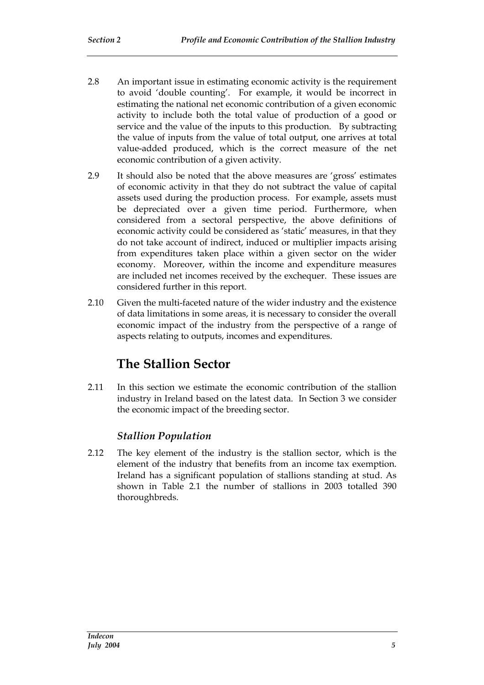- 2.8 An important issue in estimating economic activity is the requirement to avoid 'double counting'. For example, it would be incorrect in estimating the national net economic contribution of a given economic activity to include both the total value of production of a good or service and the value of the inputs to this production. By subtracting the value of inputs from the value of total output, one arrives at total value-added produced, which is the correct measure of the net economic contribution of a given activity.
- 2.9 It should also be noted that the above measures are 'gross' estimates of economic activity in that they do not subtract the value of capital assets used during the production process. For example, assets must be depreciated over a given time period. Furthermore, when considered from a sectoral perspective, the above definitions of economic activity could be considered as 'static' measures, in that they do not take account of indirect, induced or multiplier impacts arising from expenditures taken place within a given sector on the wider economy. Moreover, within the income and expenditure measures are included net incomes received by the exchequer. These issues are considered further in this report.
- 2.10 Given the multi-faceted nature of the wider industry and the existence of data limitations in some areas, it is necessary to consider the overall economic impact of the industry from the perspective of a range of aspects relating to outputs, incomes and expenditures.

# **The Stallion Sector**

2.11 In this section we estimate the economic contribution of the stallion industry in Ireland based on the latest data. In Section 3 we consider the economic impact of the breeding sector.

### *Stallion Population*

2.12 The key element of the industry is the stallion sector, which is the element of the industry that benefits from an income tax exemption. Ireland has a significant population of stallions standing at stud. As shown in Table 2.1 the number of stallions in 2003 totalled 390 thoroughbreds.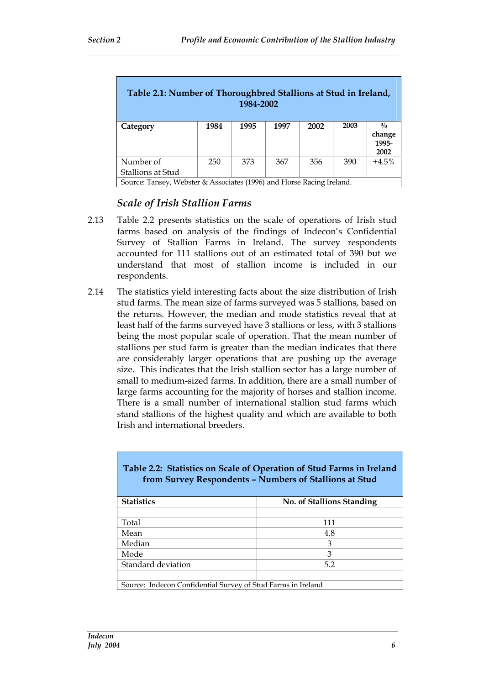| Table 2.1: Number of Thoroughbred Stallions at Stud in Ireland,<br>1984-2002 |      |      |      |      |      |                                          |
|------------------------------------------------------------------------------|------|------|------|------|------|------------------------------------------|
| Category                                                                     | 1984 | 1995 | 1997 | 2002 | 2003 | $\frac{0}{0}$<br>change<br>1995-<br>2002 |
| Number of<br>Stallions at Stud                                               | 250  | 373  | 367  | 356  | 390  | $+4.5%$                                  |
| Source: Tansey, Webster & Associates (1996) and Horse Racing Ireland.        |      |      |      |      |      |                                          |

### *Scale of Irish Stallion Farms*

- 2.13 Table 2.2 presents statistics on the scale of operations of Irish stud farms based on analysis of the findings of Indecon's Confidential Survey of Stallion Farms in Ireland. The survey respondents accounted for 111 stallions out of an estimated total of 390 but we understand that most of stallion income is included in our respondents.
- 2.14 The statistics yield interesting facts about the size distribution of Irish stud farms. The mean size of farms surveyed was 5 stallions, based on the returns. However, the median and mode statistics reveal that at least half of the farms surveyed have 3 stallions or less, with 3 stallions being the most popular scale of operation. That the mean number of stallions per stud farm is greater than the median indicates that there are considerably larger operations that are pushing up the average size. This indicates that the Irish stallion sector has a large number of small to medium-sized farms. In addition, there are a small number of large farms accounting for the majority of horses and stallion income. There is a small number of international stallion stud farms which stand stallions of the highest quality and which are available to both Irish and international breeders.

| Table 2.2: Statistics on Scale of Operation of Stud Farms in Ireland<br>from Survey Respondents - Numbers of Stallions at Stud |                           |  |  |
|--------------------------------------------------------------------------------------------------------------------------------|---------------------------|--|--|
| <b>Statistics</b>                                                                                                              | No. of Stallions Standing |  |  |
|                                                                                                                                |                           |  |  |
| Total                                                                                                                          | 111                       |  |  |
| Mean                                                                                                                           | 4.8                       |  |  |
| Median                                                                                                                         | 3                         |  |  |
| Mode                                                                                                                           | 3                         |  |  |
| Standard deviation                                                                                                             | 5.2                       |  |  |
|                                                                                                                                |                           |  |  |
| Source: Indecon Confidential Survey of Stud Farms in Ireland                                                                   |                           |  |  |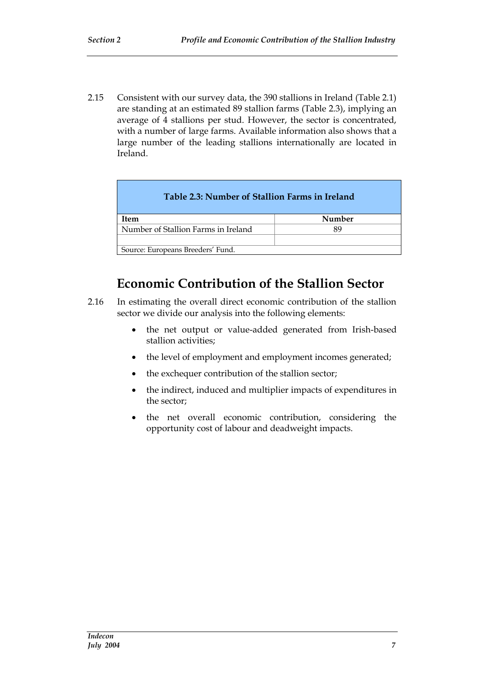2.15 Consistent with our survey data, the 390 stallions in Ireland (Table 2.1) are standing at an estimated 89 stallion farms (Table 2.3), implying an average of 4 stallions per stud. However, the sector is concentrated, with a number of large farms. Available information also shows that a large number of the leading stallions internationally are located in Ireland.

| Number                            |  |  |
|-----------------------------------|--|--|
|                                   |  |  |
|                                   |  |  |
| Source: Europeans Breeders' Fund. |  |  |
|                                   |  |  |

# **Economic Contribution of the Stallion Sector**

- 2.16 In estimating the overall direct economic contribution of the stallion sector we divide our analysis into the following elements:
	- the net output or value-added generated from Irish-based stallion activities;
	- the level of employment and employment incomes generated;
	- the exchequer contribution of the stallion sector;
	- the indirect, induced and multiplier impacts of expenditures in the sector;
	- the net overall economic contribution, considering the opportunity cost of labour and deadweight impacts.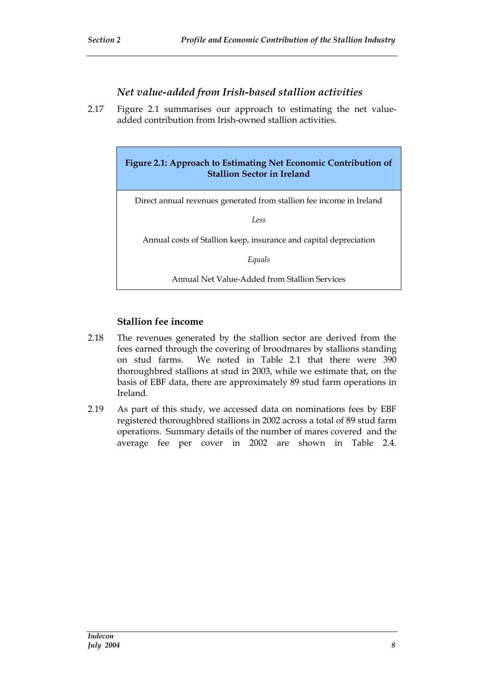#### *Net value-added from Irish-based stallion activities*

2.17 Figure 2.1 summarises our approach to estimating the net valueadded contribution from Irish-owned stallion activities.

> **Figure 2.1: Approach to Estimating Net Economic Contribution of Stallion Sector in Ireland**

Direct annual revenues generated from stallion fee income in Ireland

*Less*

Annual costs of Stallion keep, insurance and capital depreciation

*Equals*

Annual Net Value-Added from Stallion Services

#### **Stallion fee income**

- 2.18 The revenues generated by the stallion sector are derived from the fees earned through the covering of broodmares by stallions standing on stud farms. We noted in Table 2.1 that there were 390 thoroughbred stallions at stud in 2003, while we estimate that, on the basis of EBF data, there are approximately 89 stud farm operations in Ireland.
- 2.19 As part of this study, we accessed data on nominations fees by EBF registered thoroughbred stallions in 2002 across a total of 89 stud farm operations. Summary details of the number of mares covered and the average fee per cover in 2002 are shown in Table 2.4.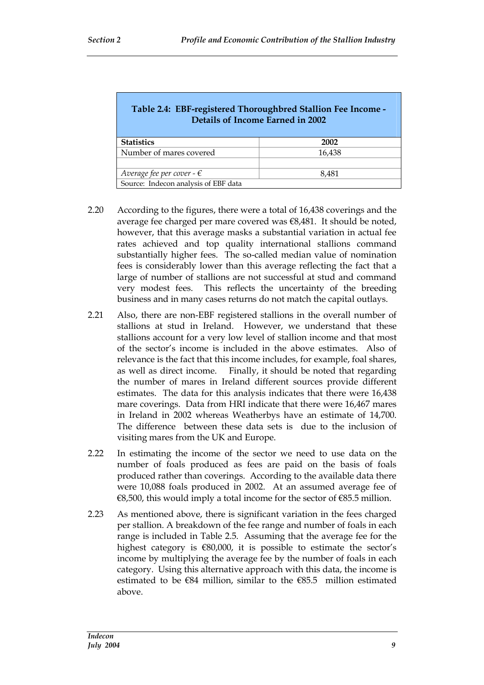| Table 2.4: EBF-registered Thoroughbred Stallion Fee Income -<br>Details of Income Earned in 2002 |        |  |  |
|--------------------------------------------------------------------------------------------------|--------|--|--|
| <b>Statistics</b>                                                                                | 2002   |  |  |
| Number of mares covered                                                                          | 16,438 |  |  |
|                                                                                                  |        |  |  |
| Average fee per cover - $\epsilon$                                                               | 8,481  |  |  |
| Source: Indecon analysis of EBF data                                                             |        |  |  |

- 2.20 According to the figures, there were a total of 16,438 coverings and the average fee charged per mare covered was €8,481. It should be noted, however, that this average masks a substantial variation in actual fee rates achieved and top quality international stallions command substantially higher fees. The so-called median value of nomination fees is considerably lower than this average reflecting the fact that a large of number of stallions are not successful at stud and command very modest fees. This reflects the uncertainty of the breeding business and in many cases returns do not match the capital outlays.
- 2.21 Also, there are non-EBF registered stallions in the overall number of stallions at stud in Ireland. However, we understand that these stallions account for a very low level of stallion income and that most of the sector's income is included in the above estimates. Also of relevance is the fact that this income includes, for example, foal shares, as well as direct income. Finally, it should be noted that regarding the number of mares in Ireland different sources provide different estimates. The data for this analysis indicates that there were 16,438 mare coverings. Data from HRI indicate that there were 16,467 mares in Ireland in 2002 whereas Weatherbys have an estimate of 14,700. The difference between these data sets is due to the inclusion of visiting mares from the UK and Europe.
- 2.22 In estimating the income of the sector we need to use data on the number of foals produced as fees are paid on the basis of foals produced rather than coverings. According to the available data there were 10,088 foals produced in 2002. At an assumed average fee of €8,500, this would imply a total income for the sector of €85.5 million.
- 2.23 As mentioned above, there is significant variation in the fees charged per stallion. A breakdown of the fee range and number of foals in each range is included in Table 2.5. Assuming that the average fee for the highest category is €80,000, it is possible to estimate the sector's income by multiplying the average fee by the number of foals in each category. Using this alternative approach with this data, the income is estimated to be €84 million, similar to the €85.5 million estimated above.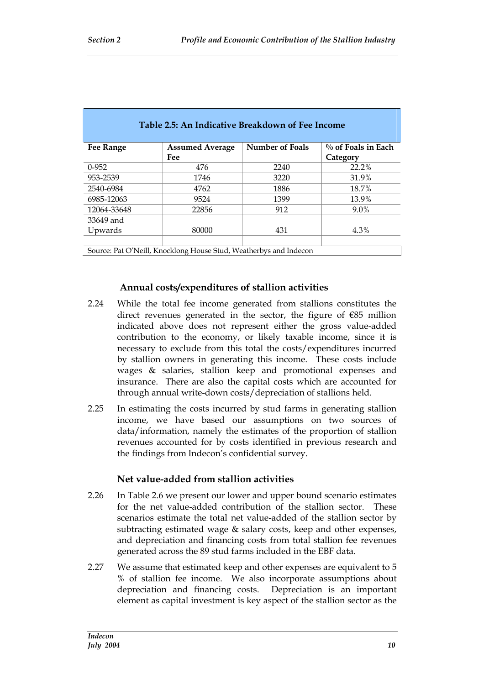| <b>Fee Range</b>                                                  | <b>Assumed Average</b> | <b>Number of Foals</b> | $\%$ of Foals in Each |
|-------------------------------------------------------------------|------------------------|------------------------|-----------------------|
|                                                                   | Fee                    |                        | Category              |
| $0-952$                                                           | 476                    | 2240                   | 22.2%                 |
| 953-2539                                                          | 1746                   | 3220                   | 31.9%                 |
| 2540-6984                                                         | 4762                   | 1886                   | 18.7%                 |
| 6985-12063                                                        | 9524                   | 1399                   | 13.9%                 |
| 12064-33648                                                       | 22856                  | 912                    | 9.0%                  |
| 33649 and                                                         |                        |                        |                       |
| Upwards                                                           | 80000                  | 431                    | 4.3%                  |
|                                                                   |                        |                        |                       |
| Source: Pat O'Neill, Knocklong House Stud, Weatherbys and Indecon |                        |                        |                       |

#### **Table 2.5: An Indicative Breakdown of Fee Income**

#### **Annual costs/expenditures of stallion activities**

- 2.24 While the total fee income generated from stallions constitutes the direct revenues generated in the sector, the figure of €85 million indicated above does not represent either the gross value-added contribution to the economy, or likely taxable income, since it is necessary to exclude from this total the costs/expenditures incurred by stallion owners in generating this income. These costs include wages & salaries, stallion keep and promotional expenses and insurance. There are also the capital costs which are accounted for through annual write-down costs/depreciation of stallions held.
- 2.25 In estimating the costs incurred by stud farms in generating stallion income, we have based our assumptions on two sources of data/information, namely the estimates of the proportion of stallion revenues accounted for by costs identified in previous research and the findings from Indecon's confidential survey.

#### **Net value-added from stallion activities**

- 2.26 In Table 2.6 we present our lower and upper bound scenario estimates for the net value-added contribution of the stallion sector. These scenarios estimate the total net value-added of the stallion sector by subtracting estimated wage & salary costs, keep and other expenses, and depreciation and financing costs from total stallion fee revenues generated across the 89 stud farms included in the EBF data.
- 2.27 We assume that estimated keep and other expenses are equivalent to 5 % of stallion fee income. We also incorporate assumptions about depreciation and financing costs. Depreciation is an important element as capital investment is key aspect of the stallion sector as the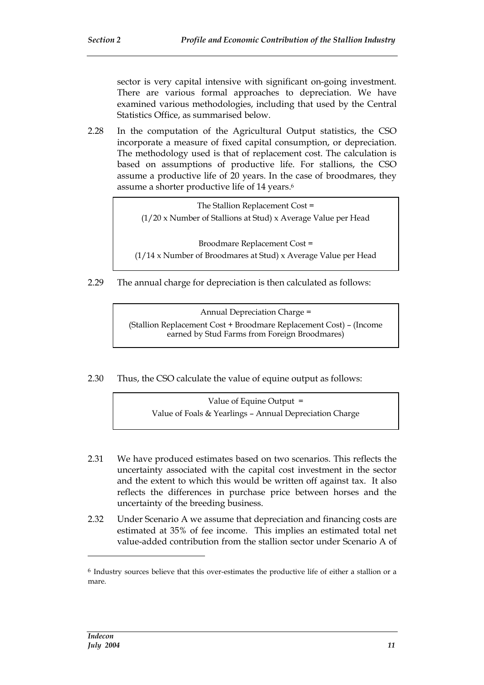sector is very capital intensive with significant on-going investment. There are various formal approaches to depreciation. We have examined various methodologies, including that used by the Central Statistics Office, as summarised below.

2.28 In the computation of the Agricultural Output statistics, the CSO incorporate a measure of fixed capital consumption, or depreciation. The methodology used is that of replacement cost. The calculation is based on assumptions of productive life. For stallions, the CSO assume a productive life of 20 years. In the case of broodmares, they assume a shorter productive life of 14 years.<sup>6</sup>

> The Stallion Replacement Cost = (1/20 x Number of Stallions at Stud) x Average Value per Head

Broodmare Replacement Cost = (1/14 x Number of Broodmares at Stud) x Average Value per Head

2.29 The annual charge for depreciation is then calculated as follows:

Annual Depreciation Charge = (Stallion Replacement Cost + Broodmare Replacement Cost) – (Income earned by Stud Farms from Foreign Broodmares)

2.30 Thus, the CSO calculate the value of equine output as follows:

Value of Equine Output = Value of Foals & Yearlings – Annual Depreciation Charge

- 2.31 We have produced estimates based on two scenarios. This reflects the uncertainty associated with the capital cost investment in the sector and the extent to which this would be written off against tax. It also reflects the differences in purchase price between horses and the uncertainty of the breeding business.
- 2.32 Under Scenario A we assume that depreciation and financing costs are estimated at 35% of fee income. This implies an estimated total net value-added contribution from the stallion sector under Scenario A of

<sup>6</sup> Industry sources believe that this over-estimates the productive life of either a stallion or a mare.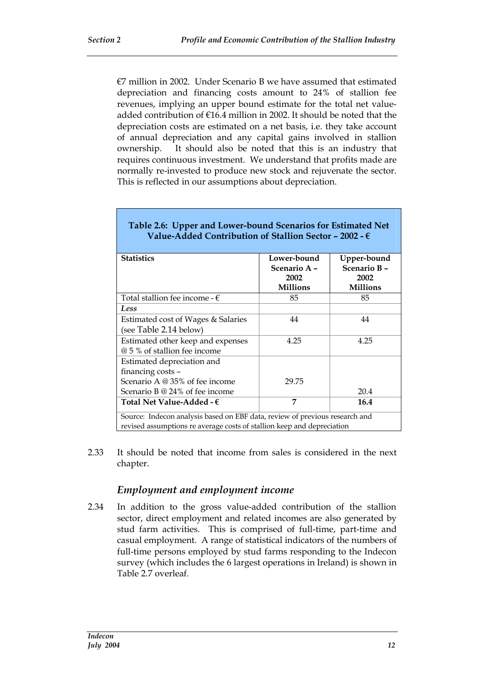$E$ 7 million in 2002. Under Scenario B we have assumed that estimated depreciation and financing costs amount to 24% of stallion fee revenues, implying an upper bound estimate for the total net valueadded contribution of €16.4 million in 2002. It should be noted that the depreciation costs are estimated on a net basis, i.e. they take account of annual depreciation and any capital gains involved in stallion ownership. It should also be noted that this is an industry that requires continuous investment. We understand that profits made are normally re-invested to produce new stock and rejuvenate the sector. This is reflected in our assumptions about depreciation.

| <b>Statistics</b>                                                           | Lower-bound     | Upper-bound     |
|-----------------------------------------------------------------------------|-----------------|-----------------|
|                                                                             | Scenario A –    | Scenario B-     |
|                                                                             | 2002            | 2002            |
|                                                                             | <b>Millions</b> | <b>Millions</b> |
| Total stallion fee income - $\epsilon$                                      | 85              | 85              |
| Less                                                                        |                 |                 |
| Estimated cost of Wages & Salaries                                          | 44              | 44              |
| (see Table 2.14 below)                                                      |                 |                 |
| Estimated other keep and expenses                                           | 4.25            | 4.25            |
| @ 5 % of stallion fee income                                                |                 |                 |
| Estimated depreciation and                                                  |                 |                 |
| financing costs -                                                           |                 |                 |
| Scenario A @ 35% of fee income                                              | 29.75           |                 |
| Scenario B @ 24% of fee income                                              |                 | 20.4            |
| Total Net Value-Added - $\epsilon$                                          | 7               | 16.4            |
| Source: Indecon analysis based on EBF data, review of previous research and |                 |                 |
| revised assumptions re average costs of stallion keep and depreciation      |                 |                 |

### **Table 2.6: Upper and Lower-bound Scenarios for Estimated Net Value-Added Contribution of Stallion Sector – 2002 - €**

2.33 It should be noted that income from sales is considered in the next chapter.

### *Employment and employment income*

2.34 In addition to the gross value-added contribution of the stallion sector, direct employment and related incomes are also generated by stud farm activities. This is comprised of full-time, part-time and casual employment. A range of statistical indicators of the numbers of full-time persons employed by stud farms responding to the Indecon survey (which includes the 6 largest operations in Ireland) is shown in Table 2.7 overleaf.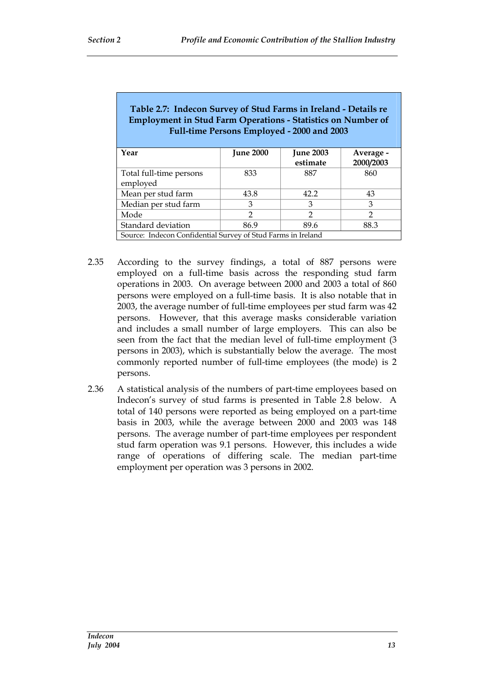| Table 2.7: Indecon Survey of Stud Farms in Ireland - Details re<br><b>Employment in Stud Farm Operations - Statistics on Number of</b><br>Full-time Persons Employed - 2000 and 2003 |                  |                              |                        |
|--------------------------------------------------------------------------------------------------------------------------------------------------------------------------------------|------------------|------------------------------|------------------------|
| Year                                                                                                                                                                                 | <b>June 2000</b> | <b>June 2003</b><br>estimate | Average -<br>2000/2003 |
| Total full-time persons<br>employed                                                                                                                                                  | 833              | 887                          | 860                    |
| Mean per stud farm                                                                                                                                                                   | 43.8             | 42.2                         | 43                     |
| Median per stud farm                                                                                                                                                                 | 3                | 3                            | 3                      |
| Mode                                                                                                                                                                                 | $\mathcal{P}$    | $\mathcal{P}$                | $\mathcal{P}$          |
| Standard deviation                                                                                                                                                                   | 86.9             | 89.6                         | 88.3                   |
| Source: Indecon Confidential Survey of Stud Farms in Ireland                                                                                                                         |                  |                              |                        |

- 2.35 According to the survey findings, a total of 887 persons were employed on a full-time basis across the responding stud farm operations in 2003. On average between 2000 and 2003 a total of 860 persons were employed on a full-time basis. It is also notable that in 2003, the average number of full-time employees per stud farm was 42 persons. However, that this average masks considerable variation and includes a small number of large employers. This can also be seen from the fact that the median level of full-time employment (3 persons in 2003), which is substantially below the average. The most commonly reported number of full-time employees (the mode) is 2 persons.
- 2.36 A statistical analysis of the numbers of part-time employees based on Indecon's survey of stud farms is presented in Table 2.8 below. A total of 140 persons were reported as being employed on a part-time basis in 2003, while the average between 2000 and 2003 was 148 persons. The average number of part-time employees per respondent stud farm operation was 9.1 persons. However, this includes a wide range of operations of differing scale. The median part-time employment per operation was 3 persons in 2002.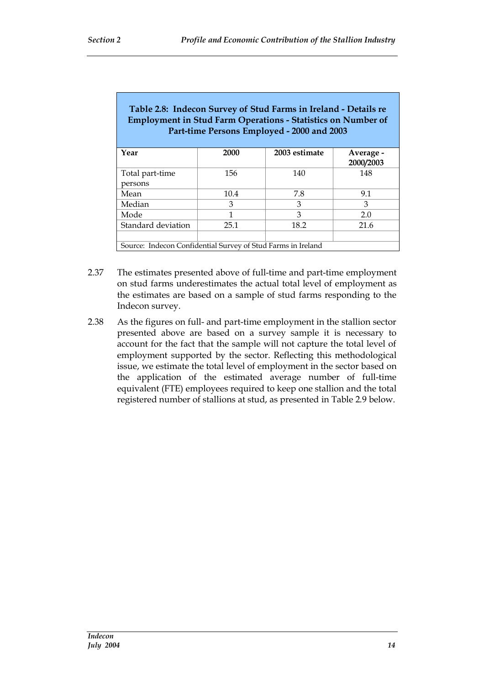| Table 2.8: Indecon Survey of Stud Farms in Ireland - Details re<br><b>Employment in Stud Farm Operations - Statistics on Number of</b><br>Part-time Persons Employed - 2000 and 2003 |      |               |                        |
|--------------------------------------------------------------------------------------------------------------------------------------------------------------------------------------|------|---------------|------------------------|
| Year                                                                                                                                                                                 | 2000 | 2003 estimate | Average -<br>2000/2003 |
| Total part-time                                                                                                                                                                      | 156  | 140           | 148                    |
| persons                                                                                                                                                                              |      |               |                        |
| Mean                                                                                                                                                                                 | 10.4 | 7.8           | 9.1                    |
| Median                                                                                                                                                                               | 3    | 3             | 3                      |
| Mode                                                                                                                                                                                 | 1    | 3             | 2.0                    |
| Standard deviation                                                                                                                                                                   | 25.1 | 18.2          | 21.6                   |
|                                                                                                                                                                                      |      |               |                        |

Source: Indecon Confidential Survey of Stud Farms in Ireland

- 2.37 The estimates presented above of full-time and part-time employment on stud farms underestimates the actual total level of employment as the estimates are based on a sample of stud farms responding to the Indecon survey.
- 2.38 As the figures on full- and part-time employment in the stallion sector presented above are based on a survey sample it is necessary to account for the fact that the sample will not capture the total level of employment supported by the sector. Reflecting this methodological issue, we estimate the total level of employment in the sector based on the application of the estimated average number of full-time equivalent (FTE) employees required to keep one stallion and the total registered number of stallions at stud, as presented in Table 2.9 below.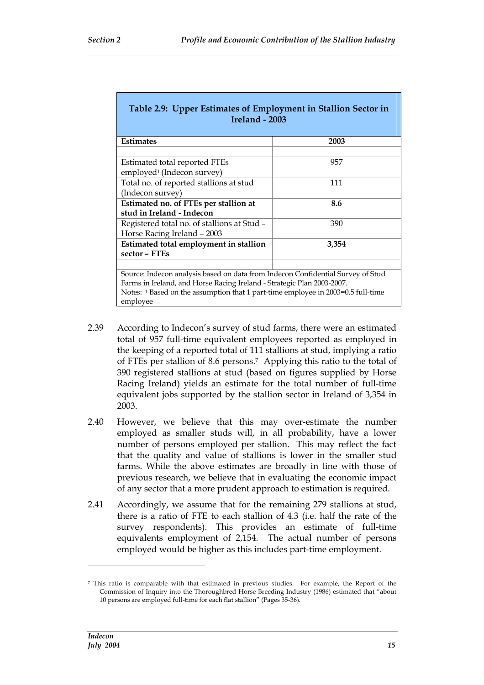| Table 2.9: Upper Estimates of Employment in Stallion Sector in<br>Ireland - 2003             |       |  |  |
|----------------------------------------------------------------------------------------------|-------|--|--|
| <b>Estimates</b>                                                                             | 2003  |  |  |
|                                                                                              |       |  |  |
| Estimated total reported FTEs                                                                | 957   |  |  |
| employed <sup>1</sup> (Indecon survey)                                                       |       |  |  |
| Total no. of reported stallions at stud                                                      | 111   |  |  |
| (Indecon survey)                                                                             |       |  |  |
| Estimated no. of FTEs per stallion at                                                        | 8.6   |  |  |
| stud in Ireland - Indecon                                                                    |       |  |  |
| Registered total no. of stallions at Stud -                                                  | 390   |  |  |
| Horse Racing Ireland - 2003                                                                  |       |  |  |
| Estimated total employment in stallion                                                       | 3,354 |  |  |
| sector - FTEs                                                                                |       |  |  |
|                                                                                              |       |  |  |
| Source: Indecon analysis based on data from Indecon Confidential Survey of Stud              |       |  |  |
| Farms in Ireland, and Horse Racing Ireland - Strategic Plan 2003-2007.                       |       |  |  |
| Notes: 1 Based on the assumption that 1 part-time employee in 2003=0.5 full-time<br>employee |       |  |  |

- 2.39 According to Indecon's survey of stud farms, there were an estimated total of 957 full-time equivalent employees reported as employed in the keeping of a reported total of 111 stallions at stud, implying a ratio of FTEs per stallion of 8.6 persons.<sup>7</sup> Applying this ratio to the total of 390 registered stallions at stud (based on figures supplied by Horse Racing Ireland) yields an estimate for the total number of full-time equivalent jobs supported by the stallion sector in Ireland of 3,354 in 2003.
- 2.40 However, we believe that this may over-estimate the number employed as smaller studs will, in all probability, have a lower number of persons employed per stallion. This may reflect the fact that the quality and value of stallions is lower in the smaller stud farms. While the above estimates are broadly in line with those of previous research, we believe that in evaluating the economic impact of any sector that a more prudent approach to estimation is required.
- 2.41 Accordingly, we assume that for the remaining 279 stallions at stud, there is a ratio of FTE to each stallion of 4.3 (i.e. half the rate of the survey respondents). This provides an estimate of full-time equivalents employment of 2,154. The actual number of persons employed would be higher as this includes part-time employment.

<sup>7</sup> This ratio is comparable with that estimated in previous studies. For example, the Report of the Commission of Inquiry into the Thoroughbred Horse Breeding Industry (1986) estimated that "about 10 persons are employed full-time for each flat stallion" (Pages 35-36).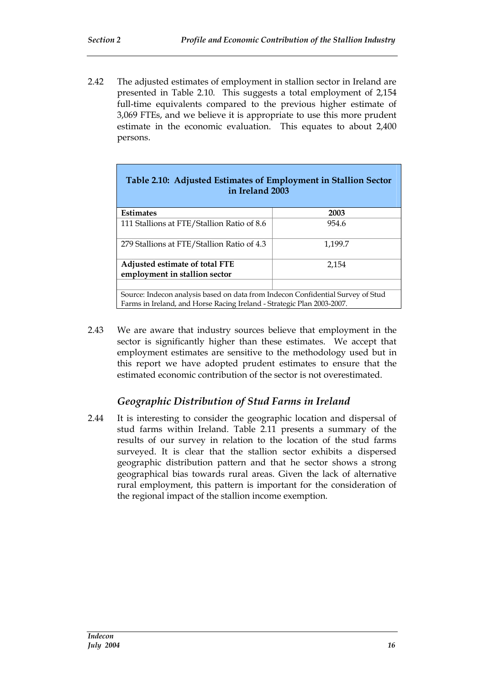2.42 The adjusted estimates of employment in stallion sector in Ireland are presented in Table 2.10. This suggests a total employment of 2,154 full-time equivalents compared to the previous higher estimate of 3,069 FTEs, and we believe it is appropriate to use this more prudent estimate in the economic evaluation. This equates to about 2,400 persons.

| Table 2.10: Adjusted Estimates of Employment in Stallion Sector<br>in Ireland 2003                                                                        |         |  |  |
|-----------------------------------------------------------------------------------------------------------------------------------------------------------|---------|--|--|
| <b>Estimates</b>                                                                                                                                          | 2003    |  |  |
| 111 Stallions at FTE/Stallion Ratio of 8.6                                                                                                                | 954.6   |  |  |
| 279 Stallions at FTE/Stallion Ratio of 4.3                                                                                                                | 1,199.7 |  |  |
| Adjusted estimate of total FTE<br>employment in stallion sector                                                                                           | 2.154   |  |  |
|                                                                                                                                                           |         |  |  |
| Source: Indecon analysis based on data from Indecon Confidential Survey of Stud<br>Farms in Ireland, and Horse Racing Ireland - Strategic Plan 2003-2007. |         |  |  |

2.43 We are aware that industry sources believe that employment in the sector is significantly higher than these estimates. We accept that employment estimates are sensitive to the methodology used but in this report we have adopted prudent estimates to ensure that the estimated economic contribution of the sector is not overestimated.

### *Geographic Distribution of Stud Farms in Ireland*

2.44 It is interesting to consider the geographic location and dispersal of stud farms within Ireland. Table 2.11 presents a summary of the results of our survey in relation to the location of the stud farms surveyed. It is clear that the stallion sector exhibits a dispersed geographic distribution pattern and that he sector shows a strong geographical bias towards rural areas. Given the lack of alternative rural employment, this pattern is important for the consideration of the regional impact of the stallion income exemption.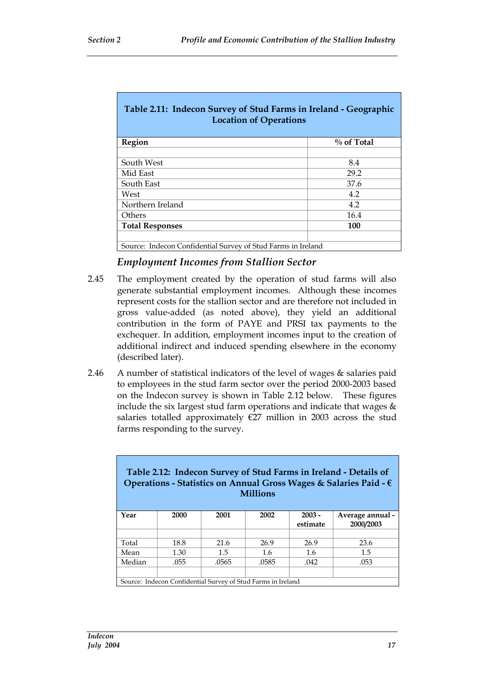| Table 2.11: Indecon Survey of Stud Farms in Ireland - Geographic<br><b>Location of Operations</b> |               |  |
|---------------------------------------------------------------------------------------------------|---------------|--|
| Region                                                                                            | $\%$ of Total |  |
| South West                                                                                        | 8.4           |  |
| Mid East                                                                                          | 29.2          |  |
| South East                                                                                        | 37.6          |  |
| West                                                                                              | 4.2           |  |
| Northern Ireland                                                                                  | 4.2           |  |
| 16.4<br>Others                                                                                    |               |  |
| 100<br><b>Total Responses</b>                                                                     |               |  |
| Source: Indecon Confidential Survey of Stud Farms in Ireland                                      |               |  |

#### *Employment Incomes from Stallion Sector*

- 2.45 The employment created by the operation of stud farms will also generate substantial employment incomes. Although these incomes represent costs for the stallion sector and are therefore not included in gross value-added (as noted above), they yield an additional contribution in the form of PAYE and PRSI tax payments to the exchequer. In addition, employment incomes input to the creation of additional indirect and induced spending elsewhere in the economy (described later).
- 2.46 A number of statistical indicators of the level of wages & salaries paid to employees in the stud farm sector over the period 2000-2003 based on the Indecon survey is shown in Table 2.12 below. These figures include the six largest stud farm operations and indicate that wages  $\&$ salaries totalled approximately  $E27$  million in 2003 across the stud farms responding to the survey.

| Table 2.12: Indecon Survey of Stud Farms in Ireland - Details of<br>Operations - Statistics on Annual Gross Wages & Salaries Paid - €<br><b>Millions</b> |      |       |       |                      |                               |
|----------------------------------------------------------------------------------------------------------------------------------------------------------|------|-------|-------|----------------------|-------------------------------|
| Year                                                                                                                                                     | 2000 | 2001  | 2002  | $2003 -$<br>estimate | Average annual -<br>2000/2003 |
|                                                                                                                                                          |      |       |       |                      |                               |
| Total                                                                                                                                                    | 18.8 | 21.6  | 26.9  | 26.9                 | 23.6                          |
| Mean                                                                                                                                                     | 1.30 | 1.5   | 1.6   | 1.6                  | 1.5                           |
| Median                                                                                                                                                   | .055 | .0565 | .0585 | .042                 | .053                          |
|                                                                                                                                                          |      |       |       |                      |                               |
| Source: Indecon Confidential Survey of Stud Farms in Ireland                                                                                             |      |       |       |                      |                               |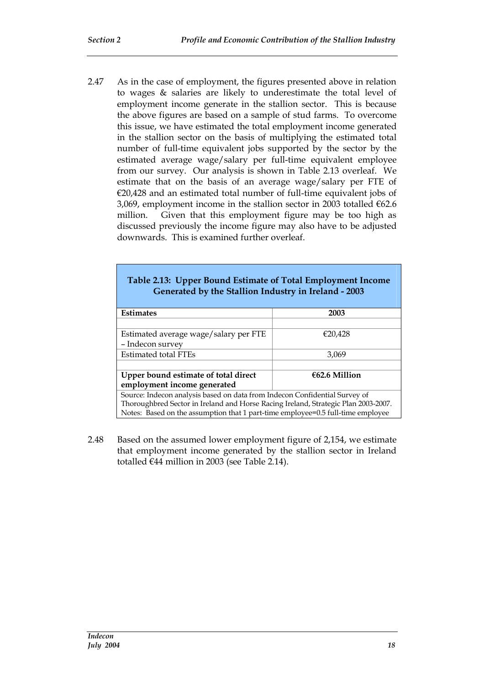2.47 As in the case of employment, the figures presented above in relation to wages & salaries are likely to underestimate the total level of employment income generate in the stallion sector. This is because the above figures are based on a sample of stud farms. To overcome this issue, we have estimated the total employment income generated in the stallion sector on the basis of multiplying the estimated total number of full-time equivalent jobs supported by the sector by the estimated average wage/salary per full-time equivalent employee from our survey. Our analysis is shown in Table 2.13 overleaf. We estimate that on the basis of an average wage/salary per FTE of  $€20,428$  and an estimated total number of full-time equivalent jobs of 3,069, employment income in the stallion sector in 2003 totalled €62.6 million. Given that this employment figure may be too high as discussed previously the income figure may also have to be adjusted downwards. This is examined further overleaf.

| Table 2.13: Upper Bound Estimate of Total Employment Income<br>Generated by the Stallion Industry in Ireland - 2003 |  |  |  |  |
|---------------------------------------------------------------------------------------------------------------------|--|--|--|--|
| <b>Estimates</b><br>2003                                                                                            |  |  |  |  |
|                                                                                                                     |  |  |  |  |
| Estimated average wage/salary per FTE<br>€20.428                                                                    |  |  |  |  |
| - Indecon survey                                                                                                    |  |  |  |  |
| <b>Estimated total FTEs</b><br>3.069                                                                                |  |  |  |  |
|                                                                                                                     |  |  |  |  |
| €62.6 Million<br>Upper bound estimate of total direct                                                               |  |  |  |  |
| employment income generated                                                                                         |  |  |  |  |
| Source: Indecon analysis based on data from Indecon Confidential Survey of                                          |  |  |  |  |
| Thoroughbred Sector in Ireland and Horse Racing Ireland, Strategic Plan 2003-2007.                                  |  |  |  |  |
| Notes: Based on the assumption that 1 part-time employee=0.5 full-time employee                                     |  |  |  |  |

2.48 Based on the assumed lower employment figure of 2,154, we estimate that employment income generated by the stallion sector in Ireland totalled €44 million in 2003 (see Table 2.14).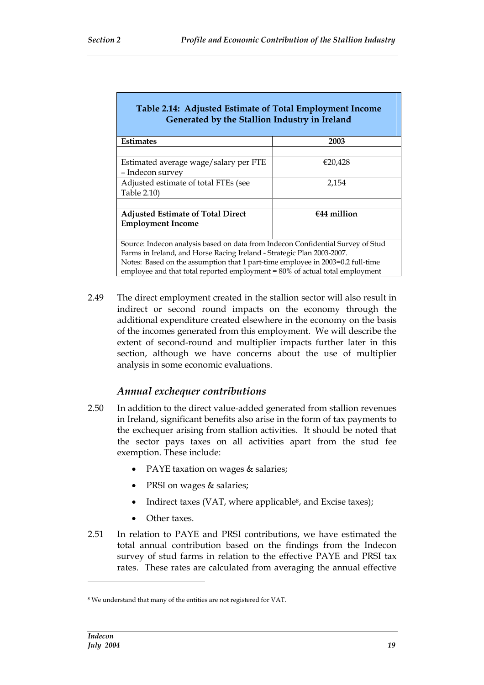| Table 2.14: Adjusted Estimate of Total Employment Income<br>Generated by the Stallion Industry in Ireland                                                                                                                                                                                                                   |         |  |  |  |
|-----------------------------------------------------------------------------------------------------------------------------------------------------------------------------------------------------------------------------------------------------------------------------------------------------------------------------|---------|--|--|--|
| <b>Estimates</b>                                                                                                                                                                                                                                                                                                            | 2003    |  |  |  |
|                                                                                                                                                                                                                                                                                                                             |         |  |  |  |
| Estimated average wage/salary per FTE<br>- Indecon survey                                                                                                                                                                                                                                                                   | €20.428 |  |  |  |
| Adjusted estimate of total FTEs (see                                                                                                                                                                                                                                                                                        | 2.154   |  |  |  |
| Table 2.10)                                                                                                                                                                                                                                                                                                                 |         |  |  |  |
|                                                                                                                                                                                                                                                                                                                             |         |  |  |  |
| $f$ 44 million<br><b>Adjusted Estimate of Total Direct</b>                                                                                                                                                                                                                                                                  |         |  |  |  |
| <b>Employment Income</b>                                                                                                                                                                                                                                                                                                    |         |  |  |  |
|                                                                                                                                                                                                                                                                                                                             |         |  |  |  |
| Source: Indecon analysis based on data from Indecon Confidential Survey of Stud<br>Farms in Ireland, and Horse Racing Ireland - Strategic Plan 2003-2007.<br>Notes: Based on the assumption that 1 part-time employee in 2003=0.2 full-time<br>employee and that total reported employment = 80% of actual total employment |         |  |  |  |

2.49 The direct employment created in the stallion sector will also result in indirect or second round impacts on the economy through the additional expenditure created elsewhere in the economy on the basis of the incomes generated from this employment. We will describe the extent of second-round and multiplier impacts further later in this section, although we have concerns about the use of multiplier analysis in some economic evaluations.

### *Annual exchequer contributions*

- 2.50 In addition to the direct value-added generated from stallion revenues in Ireland, significant benefits also arise in the form of tax payments to the exchequer arising from stallion activities. It should be noted that the sector pays taxes on all activities apart from the stud fee exemption. These include:
	- PAYE taxation on wages & salaries;
	- PRSI on wages & salaries;
	- Indirect taxes (VAT, where applicable<sup>8</sup>, and Excise taxes);
	- Other taxes.
- 2.51 In relation to PAYE and PRSI contributions, we have estimated the total annual contribution based on the findings from the Indecon survey of stud farms in relation to the effective PAYE and PRSI tax rates. These rates are calculated from averaging the annual effective

<sup>8</sup> We understand that many of the entities are not registered for VAT.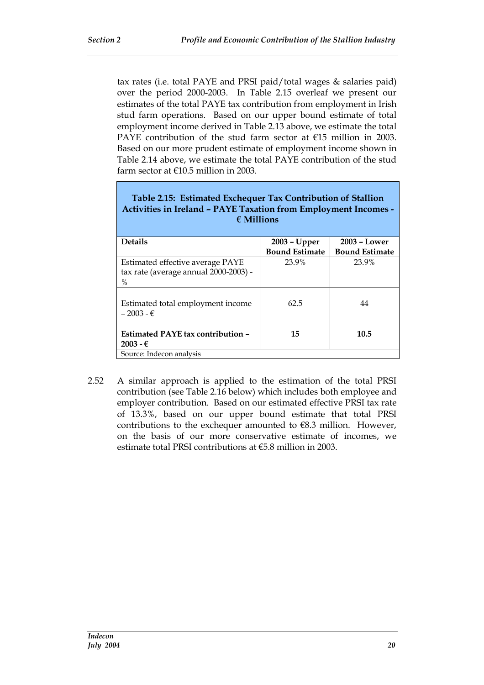tax rates (i.e. total PAYE and PRSI paid/total wages & salaries paid) over the period 2000-2003. In Table 2.15 overleaf we present our estimates of the total PAYE tax contribution from employment in Irish stud farm operations. Based on our upper bound estimate of total employment income derived in Table 2.13 above, we estimate the total PAYE contribution of the stud farm sector at €15 million in 2003. Based on our more prudent estimate of employment income shown in Table 2.14 above, we estimate the total PAYE contribution of the stud farm sector at €10.5 million in 2003.

| Table 2.15: Estimated Exchequer Tax Contribution of Stallion<br><b>Activities in Ireland - PAYE Taxation from Employment Incomes -</b><br>$\epsilon$ Millions |                       |                       |  |  |  |
|---------------------------------------------------------------------------------------------------------------------------------------------------------------|-----------------------|-----------------------|--|--|--|
| <b>Details</b><br>$2003 - Lower$<br>2003 - Upper                                                                                                              |                       |                       |  |  |  |
|                                                                                                                                                               | <b>Bound Estimate</b> | <b>Bound Estimate</b> |  |  |  |
| Estimated effective average PAYE<br>tax rate (average annual 2000-2003) -<br>$\%$                                                                             | 23.9%                 | 23.9%                 |  |  |  |
|                                                                                                                                                               |                       |                       |  |  |  |
| Estimated total employment income<br>$-2003 - \epsilon$                                                                                                       | 62.5                  | 44                    |  |  |  |
|                                                                                                                                                               |                       |                       |  |  |  |
| Estimated PAYE tax contribution -<br>$2003 - \epsilon$                                                                                                        | 15                    | 10.5                  |  |  |  |
| Source: Indecon analysis                                                                                                                                      |                       |                       |  |  |  |

2.52 A similar approach is applied to the estimation of the total PRSI contribution (see Table 2.16 below) which includes both employee and employer contribution. Based on our estimated effective PRSI tax rate of 13.3%, based on our upper bound estimate that total PRSI contributions to the exchequer amounted to  $€8.3$  million. However, on the basis of our more conservative estimate of incomes, we estimate total PRSI contributions at €5.8 million in 2003.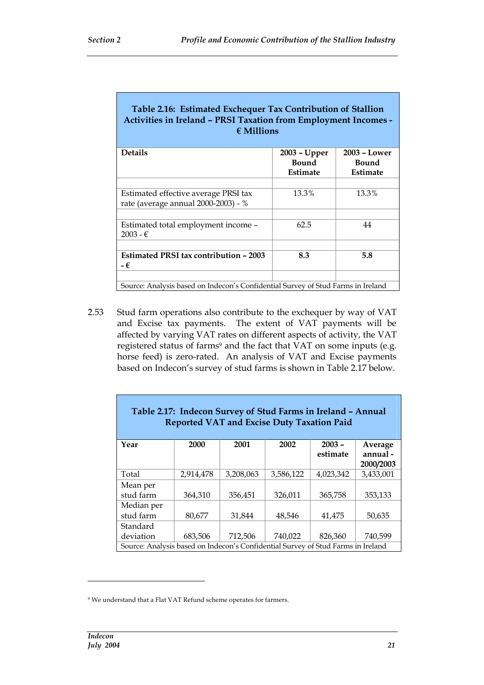| Table 2.16: Estimated Exchequer Tax Contribution of Stallion<br><b>Activities in Ireland - PRSI Taxation from Employment Incomes -</b><br>$\epsilon$ Millions |                                          |                                            |  |
|---------------------------------------------------------------------------------------------------------------------------------------------------------------|------------------------------------------|--------------------------------------------|--|
| <b>Details</b>                                                                                                                                                | 2003 - Upper<br><b>Bound</b><br>Estimate | $2003 - Lower$<br><b>Bound</b><br>Estimate |  |
| Estimated effective average PRSI tax<br>rate (average annual 2000-2003) - %                                                                                   | 13.3%                                    | 13.3%                                      |  |
| Estimated total employment income -<br>$2003 - €$                                                                                                             | 62.5                                     | 44                                         |  |
| <b>Estimated PRSI tax contribution - 2003</b><br>- €                                                                                                          | 8.3                                      | 5.8                                        |  |
| Source: Analysis based on Indecon's Confidential Survey of Stud Farms in Ireland                                                                              |                                          |                                            |  |

2.53 Stud farm operations also contribute to the exchequer by way of VAT and Excise tax payments. The extent of VAT payments will be affected by varying VAT rates on different aspects of activity, the VAT registered status of farms<sup>9</sup> and the fact that VAT on some inputs (e.g. horse feed) is zero-rated. An analysis of VAT and Excise payments based on Indecon's survey of stud farms is shown in Table 2.17 below.

| Table 2.17: Indecon Survey of Stud Farms in Ireland - Annual<br><b>Reported VAT and Excise Duty Taxation Paid</b> |           |           |           |                      |                                 |  |
|-------------------------------------------------------------------------------------------------------------------|-----------|-----------|-----------|----------------------|---------------------------------|--|
| Year                                                                                                              | 2000      | 2001      | 2002      | $2003 -$<br>estimate | Average<br>annual-<br>2000/2003 |  |
| Total                                                                                                             | 2,914,478 | 3,208,063 | 3,586,122 | 4,023,342            | 3,433,001                       |  |
| Mean per                                                                                                          |           |           |           |                      |                                 |  |
| stud farm                                                                                                         | 364,310   | 356,451   | 326,011   | 365,758              | 353,133                         |  |
| Median per                                                                                                        |           |           |           |                      |                                 |  |
| stud farm                                                                                                         | 80,677    | 31,844    | 48,546    | 41,475               | 50,635                          |  |
| Standard                                                                                                          |           |           |           |                      |                                 |  |
| deviation                                                                                                         | 683,506   | 712,506   | 740,022   | 826,360              | 740,599                         |  |
| Source: Analysis based on Indecon's Confidential Survey of Stud Farms in Ireland                                  |           |           |           |                      |                                 |  |

F

<sup>9</sup> We understand that a Flat VAT Refund scheme operates for farmers.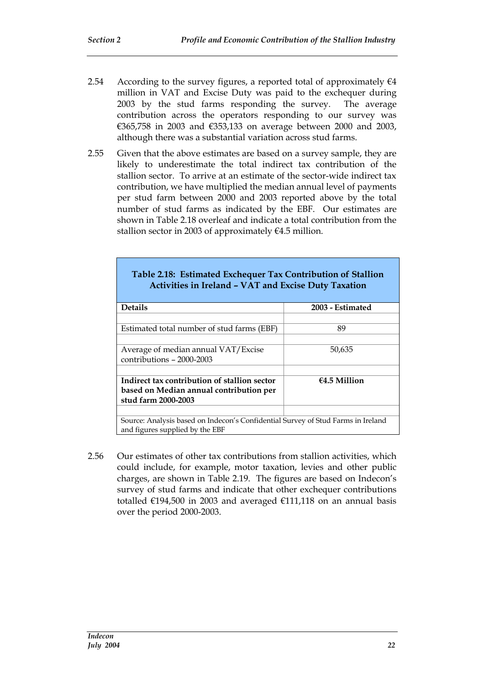- 2.54 According to the survey figures, a reported total of approximately  $\epsilon$ 4 million in VAT and Excise Duty was paid to the exchequer during 2003 by the stud farms responding the survey. The average contribution across the operators responding to our survey was €365,758 in 2003 and €353,133 on average between 2000 and 2003, although there was a substantial variation across stud farms.
- 2.55 Given that the above estimates are based on a survey sample, they are likely to underestimate the total indirect tax contribution of the stallion sector. To arrive at an estimate of the sector-wide indirect tax contribution, we have multiplied the median annual level of payments per stud farm between 2000 and 2003 reported above by the total number of stud farms as indicated by the EBF. Our estimates are shown in Table 2.18 overleaf and indicate a total contribution from the stallion sector in 2003 of approximately  $64.5$  million.

| Table 2.18: Estimated Exchequer Tax Contribution of Stallion<br><b>Activities in Ireland - VAT and Excise Duty Taxation</b> |                  |
|-----------------------------------------------------------------------------------------------------------------------------|------------------|
| <b>Details</b>                                                                                                              | 2003 - Estimated |
| Estimated total number of stud farms (EBF)                                                                                  | 89               |
| Average of median annual VAT/Excise<br>contributions - 2000-2003                                                            | 50,635           |
| Indirect tax contribution of stallion sector<br>based on Median annual contribution per<br>stud farm 2000-2003              | $64.5$ Million   |
| Source: Analysis based on Indecon's Confidential Survey of Stud Farms in Ireland<br>and figures supplied by the EBF         |                  |

2.56 Our estimates of other tax contributions from stallion activities, which could include, for example, motor taxation, levies and other public charges, are shown in Table 2.19. The figures are based on Indecon's survey of stud farms and indicate that other exchequer contributions totalled €194,500 in 2003 and averaged €111,118 on an annual basis over the period 2000-2003.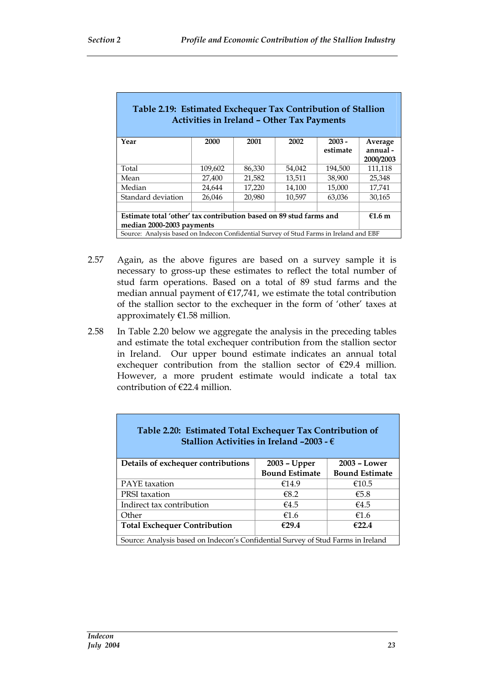| Table 2.19: Estimated Exchequer Tax Contribution of Stallion<br><b>Activities in Ireland - Other Tax Payments</b> |                                                |        |        |          |                       |  |
|-------------------------------------------------------------------------------------------------------------------|------------------------------------------------|--------|--------|----------|-----------------------|--|
| Year                                                                                                              | 2000                                           | 2001   | 2002   | $2003 -$ | Average               |  |
|                                                                                                                   |                                                |        |        | estimate | annual -<br>2000/2003 |  |
| Total                                                                                                             | 109,602                                        | 86,330 | 54,042 | 194,500  | 111,118               |  |
| Mean                                                                                                              | 21,582<br>13,511<br>38,900<br>27,400<br>25,348 |        |        |          |                       |  |
| Median                                                                                                            | 17,220<br>14,100<br>15,000<br>17,741<br>24,644 |        |        |          |                       |  |
| Standard deviation<br>20,980<br>26,046<br>10.597<br>63,036<br>30,165                                              |                                                |        |        |          |                       |  |
|                                                                                                                   |                                                |        |        |          |                       |  |
| Estimate total 'other' tax contribution based on 89 stud farms and<br>$€1.6$ m                                    |                                                |        |        |          |                       |  |
| median 2000-2003 payments                                                                                         |                                                |        |        |          |                       |  |
| Source: Analysis based on Indecon Confidential Survey of Stud Farms in Ireland and EBF                            |                                                |        |        |          |                       |  |

- 2.57 Again, as the above figures are based on a survey sample it is necessary to gross-up these estimates to reflect the total number of stud farm operations. Based on a total of 89 stud farms and the median annual payment of €17,741, we estimate the total contribution of the stallion sector to the exchequer in the form of 'other' taxes at approximately €1.58 million.
- 2.58 In Table 2.20 below we aggregate the analysis in the preceding tables and estimate the total exchequer contribution from the stallion sector in Ireland. Our upper bound estimate indicates an annual total exchequer contribution from the stallion sector of €29.4 million. However, a more prudent estimate would indicate a total tax contribution of €22.4 million.

| Table 2.20: Estimated Total Exchequer Tax Contribution of<br>Stallion Activities in Ireland -2003 - $\epsilon$ |                       |                       |  |  |
|----------------------------------------------------------------------------------------------------------------|-----------------------|-----------------------|--|--|
| 2003 - Lower<br>Details of exchequer contributions<br>2003 - Upper                                             |                       |                       |  |  |
|                                                                                                                | <b>Bound Estimate</b> | <b>Bound Estimate</b> |  |  |
| <b>PAYE</b> taxation                                                                                           | €14.9                 | €10.5                 |  |  |
| <b>PRSI</b> taxation                                                                                           | €8.2                  | €5.8                  |  |  |
| Indirect tax contribution                                                                                      | €4.5                  | €4.5                  |  |  |
| €1.6<br>Other<br>€1.6                                                                                          |                       |                       |  |  |
| €29.4<br>€22.4<br><b>Total Exchequer Contribution</b>                                                          |                       |                       |  |  |
| Source: Analysis based on Indecon's Confidential Survey of Stud Farms in Ireland                               |                       |                       |  |  |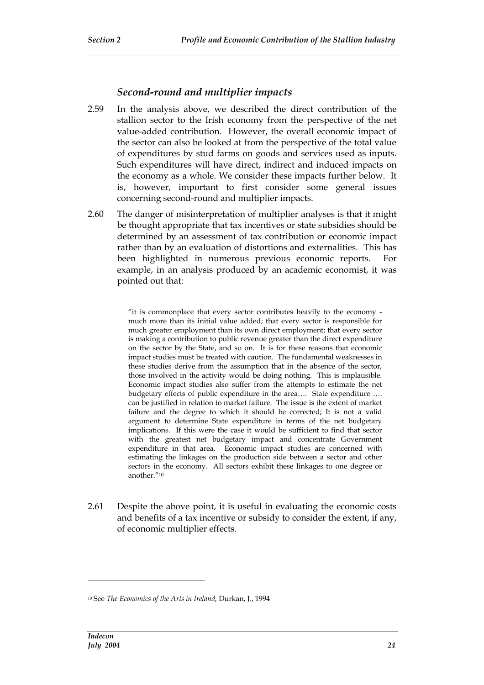### *Second-round and multiplier impacts*

- 2.59 In the analysis above, we described the direct contribution of the stallion sector to the Irish economy from the perspective of the net value-added contribution. However, the overall economic impact of the sector can also be looked at from the perspective of the total value of expenditures by stud farms on goods and services used as inputs. Such expenditures will have direct, indirect and induced impacts on the economy as a whole. We consider these impacts further below. It is, however, important to first consider some general issues concerning second-round and multiplier impacts.
- 2.60 The danger of misinterpretation of multiplier analyses is that it might be thought appropriate that tax incentives or state subsidies should be determined by an assessment of tax contribution or economic impact rather than by an evaluation of distortions and externalities. This has been highlighted in numerous previous economic reports. For example, in an analysis produced by an academic economist, it was pointed out that:

"it is commonplace that every sector contributes heavily to the economy much more than its initial value added; that every sector is responsible for much greater employment than its own direct employment; that every sector is making a contribution to public revenue greater than the direct expenditure on the sector by the State, and so on. It is for these reasons that economic impact studies must be treated with caution. The fundamental weaknesses in these studies derive from the assumption that in the absence of the sector, those involved in the activity would be doing nothing. This is implausible. Economic impact studies also suffer from the attempts to estimate the net budgetary effects of public expenditure in the area…. State expenditure …. can be justified in relation to market failure. The issue is the extent of market failure and the degree to which it should be corrected; It is not a valid argument to determine State expenditure in terms of the net budgetary implications. If this were the case it would be sufficient to find that sector with the greatest net budgetary impact and concentrate Government expenditure in that area. Economic impact studies are concerned with estimating the linkages on the production side between a sector and other sectors in the economy. All sectors exhibit these linkages to one degree or another."<sup>10</sup>

2.61 Despite the above point, it is useful in evaluating the economic costs and benefits of a tax incentive or subsidy to consider the extent, if any, of economic multiplier effects.

<sup>10</sup> See *The Economics of the Arts in Ireland*, Durkan, J., 1994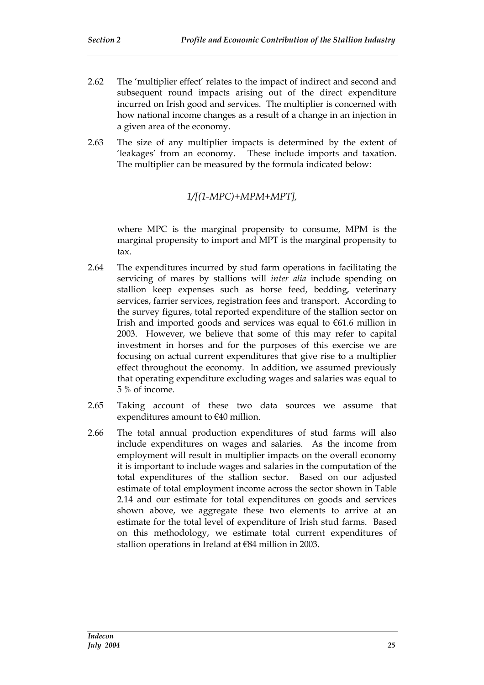- 2.62 The 'multiplier effect' relates to the impact of indirect and second and subsequent round impacts arising out of the direct expenditure incurred on Irish good and services. The multiplier is concerned with how national income changes as a result of a change in an injection in a given area of the economy.
- 2.63 The size of any multiplier impacts is determined by the extent of 'leakages' from an economy. These include imports and taxation. The multiplier can be measured by the formula indicated below:

### *1/[(1-MPC)+MPM+MPT],*

where MPC is the marginal propensity to consume, MPM is the marginal propensity to import and MPT is the marginal propensity to tax.

- 2.64 The expenditures incurred by stud farm operations in facilitating the servicing of mares by stallions will *inter alia* include spending on stallion keep expenses such as horse feed, bedding, veterinary services, farrier services, registration fees and transport. According to the survey figures, total reported expenditure of the stallion sector on Irish and imported goods and services was equal to  $€61.6$  million in 2003. However, we believe that some of this may refer to capital investment in horses and for the purposes of this exercise we are focusing on actual current expenditures that give rise to a multiplier effect throughout the economy. In addition, we assumed previously that operating expenditure excluding wages and salaries was equal to 5 % of income.
- 2.65 Taking account of these two data sources we assume that expenditures amount to €40 million.
- 2.66 The total annual production expenditures of stud farms will also include expenditures on wages and salaries. As the income from employment will result in multiplier impacts on the overall economy it is important to include wages and salaries in the computation of the total expenditures of the stallion sector. Based on our adjusted estimate of total employment income across the sector shown in Table 2.14 and our estimate for total expenditures on goods and services shown above, we aggregate these two elements to arrive at an estimate for the total level of expenditure of Irish stud farms. Based on this methodology, we estimate total current expenditures of stallion operations in Ireland at €84 million in 2003.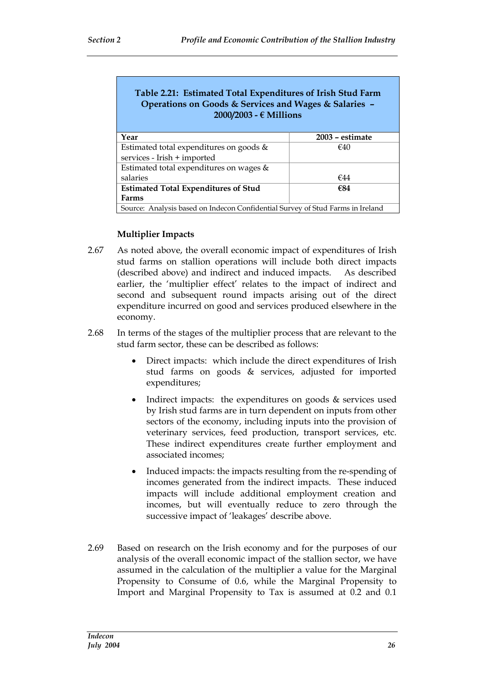#### **Table 2.21: Estimated Total Expenditures of Irish Stud Farm Operations on Goods & Services and Wages & Salaries – 2000/2003 - € Millions**

| Year                                                                           | 2003 – estimate |  |
|--------------------------------------------------------------------------------|-----------------|--|
| Estimated total expenditures on goods &                                        | €40             |  |
| services - Irish + imported                                                    |                 |  |
| Estimated total expenditures on wages &                                        |                 |  |
| salaries                                                                       | €44             |  |
| <b>Estimated Total Expenditures of Stud</b><br>€84                             |                 |  |
| Farms                                                                          |                 |  |
| Source: Analysis based on Indecon Confidential Survey of Stud Farms in Ireland |                 |  |

#### **Multiplier Impacts**

- 2.67 As noted above, the overall economic impact of expenditures of Irish stud farms on stallion operations will include both direct impacts (described above) and indirect and induced impacts. As described earlier, the 'multiplier effect' relates to the impact of indirect and second and subsequent round impacts arising out of the direct expenditure incurred on good and services produced elsewhere in the economy.
- 2.68 In terms of the stages of the multiplier process that are relevant to the stud farm sector, these can be described as follows:
	- Direct impacts: which include the direct expenditures of Irish stud farms on goods & services, adjusted for imported expenditures;
	- Indirect impacts: the expenditures on goods & services used by Irish stud farms are in turn dependent on inputs from other sectors of the economy, including inputs into the provision of veterinary services, feed production, transport services, etc. These indirect expenditures create further employment and associated incomes;
	- Induced impacts: the impacts resulting from the re-spending of incomes generated from the indirect impacts. These induced impacts will include additional employment creation and incomes, but will eventually reduce to zero through the successive impact of 'leakages' describe above.
- 2.69 Based on research on the Irish economy and for the purposes of our analysis of the overall economic impact of the stallion sector, we have assumed in the calculation of the multiplier a value for the Marginal Propensity to Consume of 0.6, while the Marginal Propensity to Import and Marginal Propensity to Tax is assumed at 0.2 and 0.1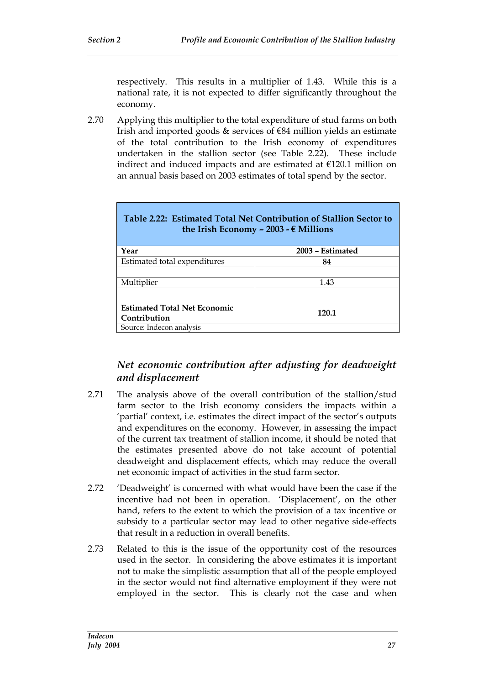respectively. This results in a multiplier of 1.43. While this is a national rate, it is not expected to differ significantly throughout the economy.

2.70 Applying this multiplier to the total expenditure of stud farms on both Irish and imported goods  $\&$  services of  $\epsilon$ 84 million yields an estimate of the total contribution to the Irish economy of expenditures undertaken in the stallion sector (see Table 2.22). These include indirect and induced impacts and are estimated at €120.1 million on an annual basis based on 2003 estimates of total spend by the sector.

| Table 2.22: Estimated Total Net Contribution of Stallion Sector to<br>the Irish Economy - 2003 - $\epsilon$ Millions |                  |
|----------------------------------------------------------------------------------------------------------------------|------------------|
| Year                                                                                                                 | 2003 – Estimated |
| Estimated total expenditures                                                                                         | 84               |
|                                                                                                                      |                  |
| Multiplier                                                                                                           | 1.43             |
|                                                                                                                      |                  |
| <b>Estimated Total Net Economic</b>                                                                                  |                  |
| Contribution                                                                                                         | 120.1            |
| Source: Indecon analysis                                                                                             |                  |

# **Table 2.22: Estimated Total Net Contribution of Stallion Sector to**

### *Net economic contribution after adjusting for deadweight and displacement*

- 2.71 The analysis above of the overall contribution of the stallion/stud farm sector to the Irish economy considers the impacts within a 'partial' context, i.e. estimates the direct impact of the sector's outputs and expenditures on the economy. However, in assessing the impact of the current tax treatment of stallion income, it should be noted that the estimates presented above do not take account of potential deadweight and displacement effects, which may reduce the overall net economic impact of activities in the stud farm sector.
- 2.72 'Deadweight' is concerned with what would have been the case if the incentive had not been in operation. 'Displacement', on the other hand, refers to the extent to which the provision of a tax incentive or subsidy to a particular sector may lead to other negative side-effects that result in a reduction in overall benefits.
- 2.73 Related to this is the issue of the opportunity cost of the resources used in the sector. In considering the above estimates it is important not to make the simplistic assumption that all of the people employed in the sector would not find alternative employment if they were not employed in the sector. This is clearly not the case and when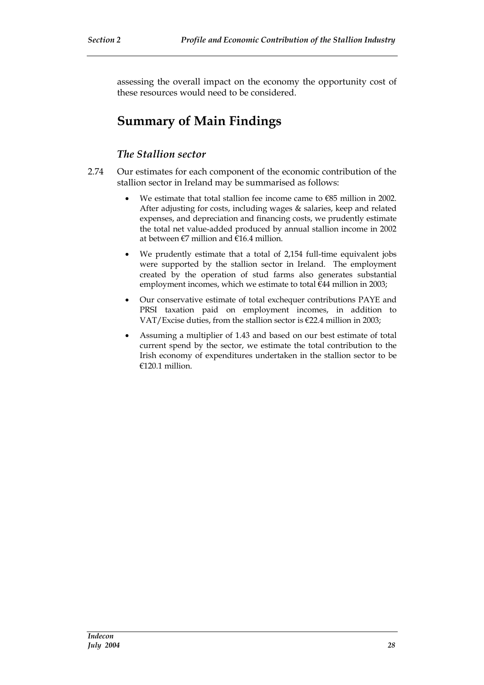assessing the overall impact on the economy the opportunity cost of these resources would need to be considered.

# **Summary of Main Findings**

### *The Stallion sector*

- 2.74 Our estimates for each component of the economic contribution of the stallion sector in Ireland may be summarised as follows:
	- We estimate that total stallion fee income came to €85 million in 2002. After adjusting for costs, including wages & salaries, keep and related expenses, and depreciation and financing costs, we prudently estimate the total net value-added produced by annual stallion income in 2002 at between  $\epsilon$ 7 million and  $\epsilon$ 16.4 million.
	- We prudently estimate that a total of 2,154 full-time equivalent jobs were supported by the stallion sector in Ireland. The employment created by the operation of stud farms also generates substantial employment incomes, which we estimate to total €44 million in 2003;
	- Our conservative estimate of total exchequer contributions PAYE and PRSI taxation paid on employment incomes, in addition to VAT/Excise duties, from the stallion sector is €22.4 million in 2003;
	- Assuming a multiplier of 1.43 and based on our best estimate of total current spend by the sector, we estimate the total contribution to the Irish economy of expenditures undertaken in the stallion sector to be €120.1 million.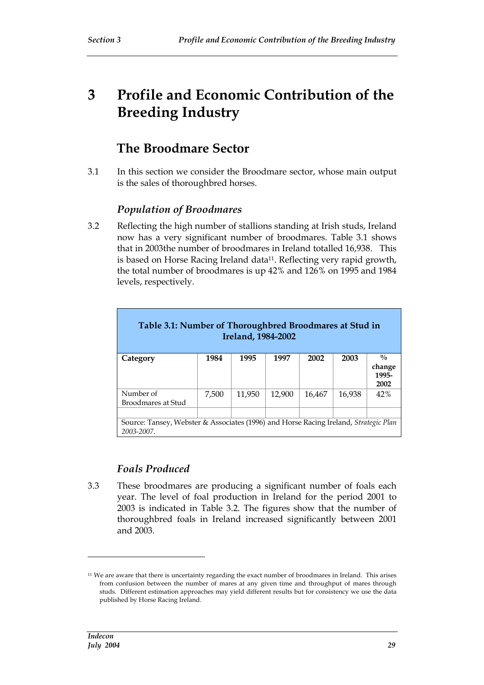# **3 Profile and Economic Contribution of the Breeding Industry**

# **The Broodmare Sector**

3.1 In this section we consider the Broodmare sector, whose main output is the sales of thoroughbred horses.

# *Population of Broodmares*

3.2 Reflecting the high number of stallions standing at Irish studs, Ireland now has a very significant number of broodmares. Table 3.1 shows that in 2003the number of broodmares in Ireland totalled 16,938. This is based on Horse Racing Ireland data<sup>11</sup>. Reflecting very rapid growth, the total number of broodmares is up 42% and 126% on 1995 and 1984 levels, respectively.

| Table 3.1: Number of Thoroughbred Broodmares at Stud in<br>Ireland, 1984-2002                      |       |        |        |        |        |                         |
|----------------------------------------------------------------------------------------------------|-------|--------|--------|--------|--------|-------------------------|
| Category                                                                                           | 1984  | 1995   | 1997   | 2002   | 2003   | $\frac{0}{0}$           |
|                                                                                                    |       |        |        |        |        | change<br>1995-<br>2002 |
| Number of<br>Broodmares at Stud                                                                    | 7,500 | 11,950 | 12,900 | 16,467 | 16,938 | 42%                     |
|                                                                                                    |       |        |        |        |        |                         |
| Source: Tansey, Webster & Associates (1996) and Horse Racing Ireland, Strategic Plan<br>2003-2007. |       |        |        |        |        |                         |

# *Foals Produced*

3.3 These broodmares are producing a significant number of foals each year. The level of foal production in Ireland for the period 2001 to 2003 is indicated in Table 3.2. The figures show that the number of thoroughbred foals in Ireland increased significantly between 2001 and 2003.

<sup>11</sup> We are aware that there is uncertainty regarding the exact number of broodmares in Ireland. This arises from confusion between the number of mares at any given time and throughput of mares through studs. Different estimation approaches may yield different results but for consistency we use the data published by Horse Racing Ireland.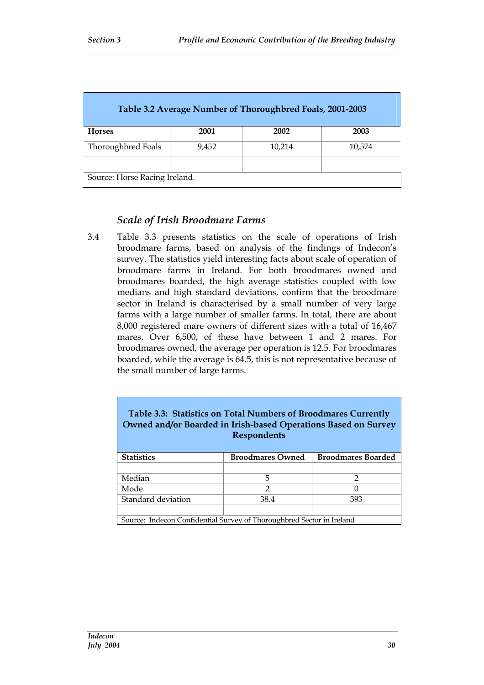| Table 3.2 Average Number of Thoroughbred Foals, 2001-2003 |       |        |        |  |
|-----------------------------------------------------------|-------|--------|--------|--|
| <b>Horses</b>                                             | 2001  | 2002   | 2003   |  |
| Thoroughbred Foals                                        | 9.452 | 10,214 | 10.574 |  |
| Source: Horse Racing Ireland.                             |       |        |        |  |

### *Scale of Irish Broodmare Farms*

3.4 Table 3.3 presents statistics on the scale of operations of Irish broodmare farms, based on analysis of the findings of Indecon's survey. The statistics yield interesting facts about scale of operation of broodmare farms in Ireland. For both broodmares owned and broodmares boarded, the high average statistics coupled with low medians and high standard deviations, confirm that the broodmare sector in Ireland is characterised by a small number of very large farms with a large number of smaller farms. In total, there are about 8,000 registered mare owners of different sizes with a total of 16,467 mares. Over 6,500, of these have between 1 and 2 mares. For broodmares owned, the average per operation is 12.5. For broodmares boarded, while the average is 64.5, this is not representative because of the small number of large farms.

| Table 3.3: Statistics on Total Numbers of Broodmares Currently<br>Owned and/or Boarded in Irish-based Operations Based on Survey<br><b>Respondents</b> |   |   |  |  |  |
|--------------------------------------------------------------------------------------------------------------------------------------------------------|---|---|--|--|--|
| <b>Statistics</b><br><b>Broodmares Boarded</b><br><b>Broodmares Owned</b>                                                                              |   |   |  |  |  |
|                                                                                                                                                        |   |   |  |  |  |
| Median                                                                                                                                                 | 5 | っ |  |  |  |
| $\mathcal{D}$<br>Mode<br>0                                                                                                                             |   |   |  |  |  |
| Standard deviation<br>393<br>38.4                                                                                                                      |   |   |  |  |  |
|                                                                                                                                                        |   |   |  |  |  |
| Source: Indecon Confidential Survey of Thoroughbred Sector in Ireland                                                                                  |   |   |  |  |  |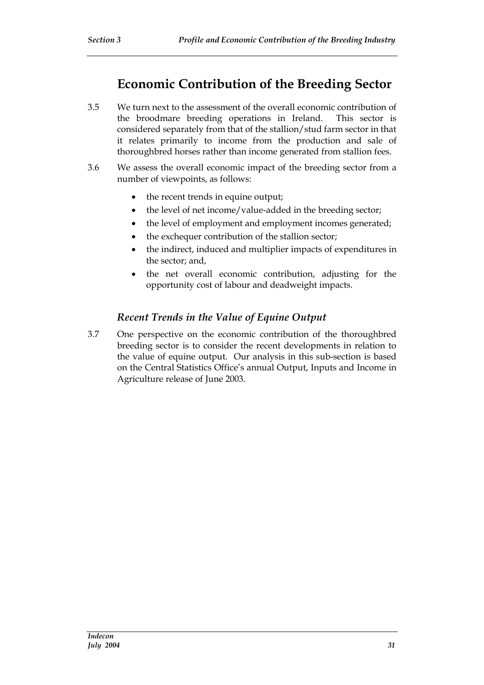# **Economic Contribution of the Breeding Sector**

- 3.5 We turn next to the assessment of the overall economic contribution of the broodmare breeding operations in Ireland. This sector is considered separately from that of the stallion/stud farm sector in that it relates primarily to income from the production and sale of thoroughbred horses rather than income generated from stallion fees.
- 3.6 We assess the overall economic impact of the breeding sector from a number of viewpoints, as follows:
	- the recent trends in equine output;
	- the level of net income/value-added in the breeding sector;
	- the level of employment and employment incomes generated;
	- the exchequer contribution of the stallion sector;
	- the indirect, induced and multiplier impacts of expenditures in the sector; and,
	- the net overall economic contribution, adjusting for the opportunity cost of labour and deadweight impacts.

# *Recent Trends in the Value of Equine Output*

3.7 One perspective on the economic contribution of the thoroughbred breeding sector is to consider the recent developments in relation to the value of equine output. Our analysis in this sub-section is based on the Central Statistics Office's annual Output, Inputs and Income in Agriculture release of June 2003.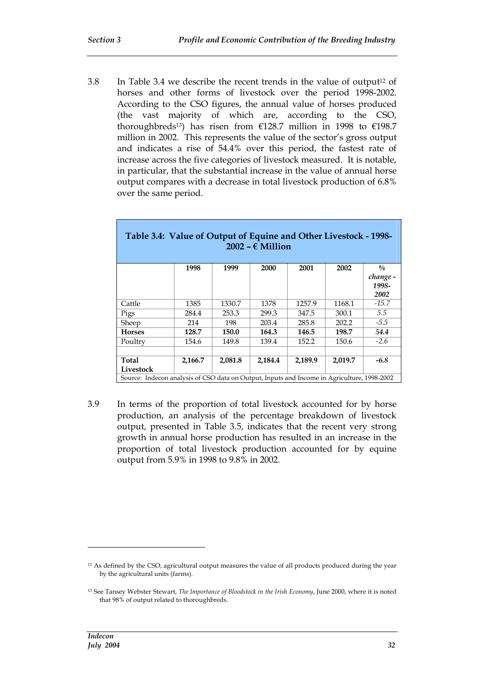3.8 In Table 3.4 we describe the recent trends in the value of output<sup>12</sup> of horses and other forms of livestock over the period 1998-2002. According to the CSO figures, the annual value of horses produced (the vast majority of which are, according to the CSO, thoroughbreds<sup>13</sup>) has risen from  $£128.7$  million in 1998 to  $£198.7$ million in 2002. This represents the value of the sector's gross output and indicates a rise of 54.4% over this period, the fastest rate of increase across the five categories of livestock measured. It is notable, in particular, that the substantial increase in the value of annual horse output compares with a decrease in total livestock production of 6.8% over the same period.

| Table 3.4: Value of Output of Equine and Other Livestock - 1998-<br>$2002 - \epsilon$ Million |         |         |         |         |                                                                                             |                   |  |  |  |  |
|-----------------------------------------------------------------------------------------------|---------|---------|---------|---------|---------------------------------------------------------------------------------------------|-------------------|--|--|--|--|
|                                                                                               | 1998    | 1999    | 2000    | 2001    | 2002                                                                                        | $\frac{0}{0}$     |  |  |  |  |
|                                                                                               |         |         |         |         |                                                                                             | change -<br>1998- |  |  |  |  |
|                                                                                               |         |         |         |         |                                                                                             | 2002              |  |  |  |  |
| Cattle                                                                                        | 1385    | 1330.7  | 1378    | 1257.9  | 1168.1                                                                                      | $-15.7$           |  |  |  |  |
| Pigs                                                                                          | 284.4   | 253.3   | 299.3   | 347.5   | 300.1                                                                                       | 5.5               |  |  |  |  |
| Sheep                                                                                         | 214     | 198     | 203.4   | 285.8   | 202.2                                                                                       | $-5.5$            |  |  |  |  |
| <b>Horses</b>                                                                                 | 128.7   | 150.0   | 164.3   | 146.5   | 198.7                                                                                       | 54.4              |  |  |  |  |
| Poultry                                                                                       | 154.6   | 149.8   | 139.4   | 152.2   | 150.6                                                                                       | $-2.6$            |  |  |  |  |
|                                                                                               |         |         |         |         |                                                                                             |                   |  |  |  |  |
| Total                                                                                         | 2,166.7 | 2,081.8 | 2,184.4 | 2,189.9 | 2,019.7                                                                                     | $-6.8$            |  |  |  |  |
| Livestock                                                                                     |         |         |         |         |                                                                                             |                   |  |  |  |  |
|                                                                                               |         |         |         |         | Source: Indecon analysis of CSO data on Output, Inputs and Income in Agriculture, 1998-2002 |                   |  |  |  |  |

#### 3.9 In terms of the proportion of total livestock accounted for by horse production, an analysis of the percentage breakdown of livestock output, presented in Table 3.5, indicates that the recent very strong growth in annual horse production has resulted in an increase in the proportion of total livestock production accounted for by equine output from 5.9% in 1998 to 9.8% in 2002.

<sup>&</sup>lt;sup>12</sup> As defined by the CSO, agricultural output measures the value of all products produced during the year by the agricultural units (farms).

<sup>13</sup> See Tansey Webster Stewart, *The Importance of Bloodstock in the Irish Economy*, June 2000, where it is noted that 98% of output related to thoroughbreds.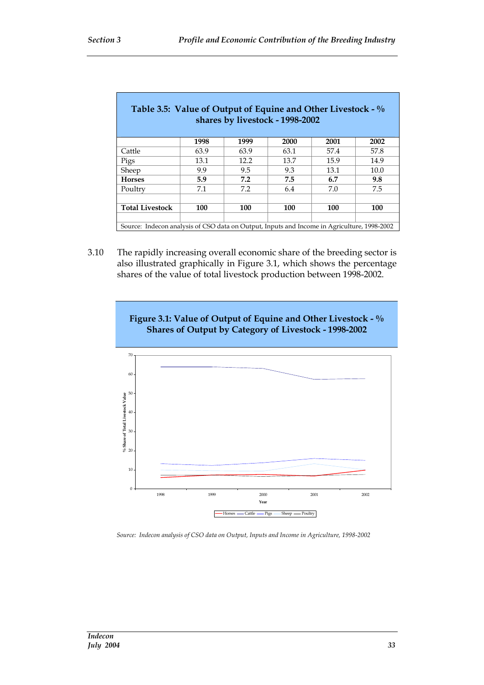| Table 3.5: Value of Output of Equine and Other Livestock $-$ %                              |      |      | shares by livestock - 1998-2002 |      |      |
|---------------------------------------------------------------------------------------------|------|------|---------------------------------|------|------|
|                                                                                             | 1998 | 1999 | 2000                            | 2001 | 2002 |
| Cattle                                                                                      | 63.9 | 63.9 | 63.1                            | 57.4 | 57.8 |
| Pigs                                                                                        | 13.1 | 12.2 | 13.7                            | 15.9 | 14.9 |
| Sheep                                                                                       | 9.9  | 9.5  | 9.3                             | 13.1 | 10.0 |
| <b>Horses</b>                                                                               | 5.9  | 7.2  | 7.5                             | 6.7  | 9.8  |
| Poultry                                                                                     | 7.1  | 7.2  | 6.4                             | 7.0  | 7.5  |
|                                                                                             |      |      |                                 |      |      |
| <b>Total Livestock</b>                                                                      | 100  | 100  | 100                             | 100  | 100  |
|                                                                                             |      |      |                                 |      |      |
| Source: Indecon analysis of CSO data on Output, Inputs and Income in Agriculture, 1998-2002 |      |      |                                 |      |      |

3.10 The rapidly increasing overall economic share of the breeding sector is also illustrated graphically in Figure 3.1, which shows the percentage shares of the value of total livestock production between 1998-2002.



*Source: Indecon analysis of CSO data on Output, Inputs and Income in Agriculture, 1998-2002*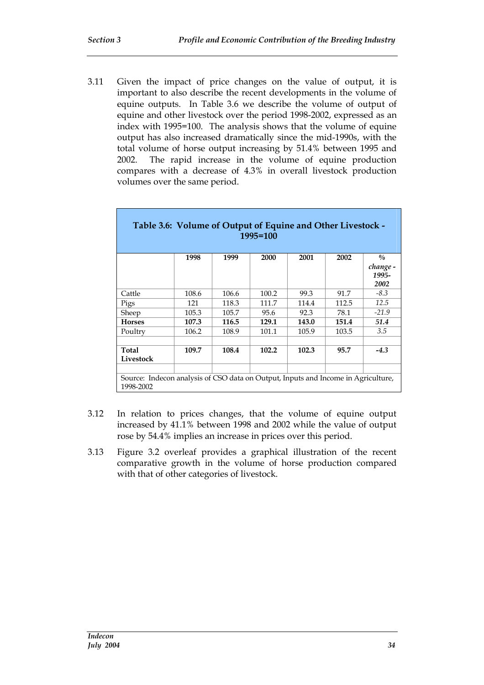3.11 Given the impact of price changes on the value of output, it is important to also describe the recent developments in the volume of equine outputs. In Table 3.6 we describe the volume of output of equine and other livestock over the period 1998-2002, expressed as an index with 1995=100. The analysis shows that the volume of equine output has also increased dramatically since the mid-1990s, with the total volume of horse output increasing by 51.4% between 1995 and 2002. The rapid increase in the volume of equine production compares with a decrease of 4.3% in overall livestock production volumes over the same period.

| Table 3.6: Volume of Output of Equine and Other Livestock -<br>$1995 = 100$                    |       |       |       |       |       |                   |
|------------------------------------------------------------------------------------------------|-------|-------|-------|-------|-------|-------------------|
|                                                                                                | 1998  | 1999  | 2000  | 2001  | 2002  | $\frac{0}{0}$     |
|                                                                                                |       |       |       |       |       | change -<br>1995- |
|                                                                                                |       |       |       |       |       | 2002              |
| Cattle                                                                                         | 108.6 | 106.6 | 100.2 | 99.3  | 91.7  | $-8.3$            |
| Pigs                                                                                           | 121   | 118.3 | 111.7 | 114.4 | 112.5 | 12.5              |
| Sheep                                                                                          | 105.3 | 105.7 | 95.6  | 92.3  | 78.1  | $-21.9$           |
| <b>Horses</b>                                                                                  | 107.3 | 116.5 | 129.1 | 143.0 | 151.4 | 51.4              |
| Poultry                                                                                        | 106.2 | 108.9 | 101.1 | 105.9 | 103.5 | 3.5               |
|                                                                                                |       |       |       |       |       |                   |
| <b>Total</b>                                                                                   | 109.7 | 108.4 | 102.2 | 102.3 | 95.7  | $-4.3$            |
| Livestock                                                                                      |       |       |       |       |       |                   |
|                                                                                                |       |       |       |       |       |                   |
| Source: Indecon analysis of CSO data on Output, Inputs and Income in Agriculture,<br>1998-2002 |       |       |       |       |       |                   |

- 3.12 In relation to prices changes, that the volume of equine output increased by 41.1% between 1998 and 2002 while the value of output rose by 54.4% implies an increase in prices over this period.
- 3.13 Figure 3.2 overleaf provides a graphical illustration of the recent comparative growth in the volume of horse production compared with that of other categories of livestock.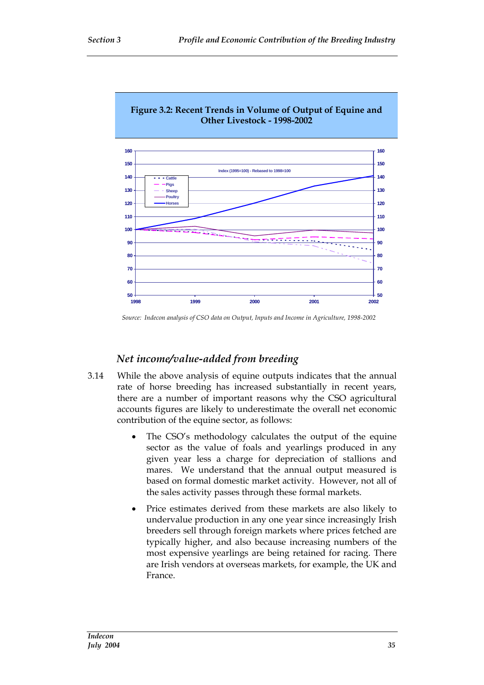

# **Figure 3.2: Recent Trends in Volume of Output of Equine and**

# *Net income/value-added from breeding*

- 3.14 While the above analysis of equine outputs indicates that the annual rate of horse breeding has increased substantially in recent years, there are a number of important reasons why the CSO agricultural accounts figures are likely to underestimate the overall net economic contribution of the equine sector, as follows:
	- The CSO's methodology calculates the output of the equine sector as the value of foals and yearlings produced in any given year less a charge for depreciation of stallions and mares. We understand that the annual output measured is based on formal domestic market activity. However, not all of the sales activity passes through these formal markets.
	- Price estimates derived from these markets are also likely to undervalue production in any one year since increasingly Irish breeders sell through foreign markets where prices fetched are typically higher, and also because increasing numbers of the most expensive yearlings are being retained for racing. There are Irish vendors at overseas markets, for example, the UK and France.

*Source: Indecon analysis of CSO data on Output, Inputs and Income in Agriculture, 1998-2002*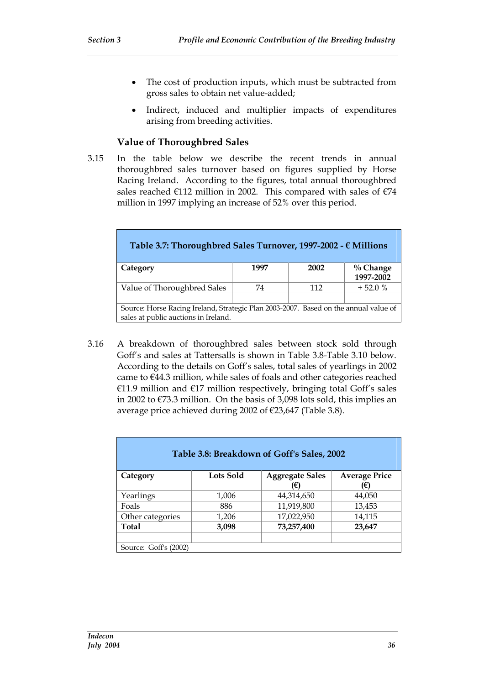- The cost of production inputs, which must be subtracted from gross sales to obtain net value-added;
- Indirect, induced and multiplier impacts of expenditures arising from breeding activities.

#### **Value of Thoroughbred Sales**

3.15 In the table below we describe the recent trends in annual thoroughbred sales turnover based on figures supplied by Horse Racing Ireland. According to the figures, total annual thoroughbred sales reached  $€112$  million in 2002. This compared with sales of  $€74$ million in 1997 implying an increase of 52% over this period.

| Table 3.7: Thoroughbred Sales Turnover, 1997-2002 - $\epsilon$ Millions                                                      |      |      |                          |  |
|------------------------------------------------------------------------------------------------------------------------------|------|------|--------------------------|--|
| Category                                                                                                                     | 1997 | 2002 | $\%$ Change<br>1997-2002 |  |
| Value of Thoroughbred Sales                                                                                                  | 74   | 112  | $+52.0%$                 |  |
|                                                                                                                              |      |      |                          |  |
| Source: Horse Racing Ireland, Strategic Plan 2003-2007. Based on the annual value of<br>sales at public auctions in Ireland. |      |      |                          |  |

3.16 A breakdown of thoroughbred sales between stock sold through Goff's and sales at Tattersalls is shown in Table 3.8-Table 3.10 below. According to the details on Goff's sales, total sales of yearlings in 2002 came to €44.3 million, while sales of foals and other categories reached €11.9 million and €17 million respectively, bringing total Goff's sales in 2002 to €73.3 million. On the basis of 3,098 lots sold, this implies an average price achieved during 2002 of €23,647 (Table 3.8).

| Table 3.8: Breakdown of Goff's Sales, 2002 |           |                        |                      |  |
|--------------------------------------------|-----------|------------------------|----------------------|--|
| Category                                   | Lots Sold | <b>Aggregate Sales</b> | <b>Average Price</b> |  |
|                                            |           | (€)                    | '€)                  |  |
| Yearlings                                  | 1,006     | 44,314,650             | 44,050               |  |
| Foals                                      | 886       | 11,919,800             | 13,453               |  |
| Other categories                           | 1,206     | 17,022,950             | 14,115               |  |
| <b>Total</b>                               | 3,098     | 73,257,400             | 23,647               |  |
|                                            |           |                        |                      |  |
| Source: Goff's (2002)                      |           |                        |                      |  |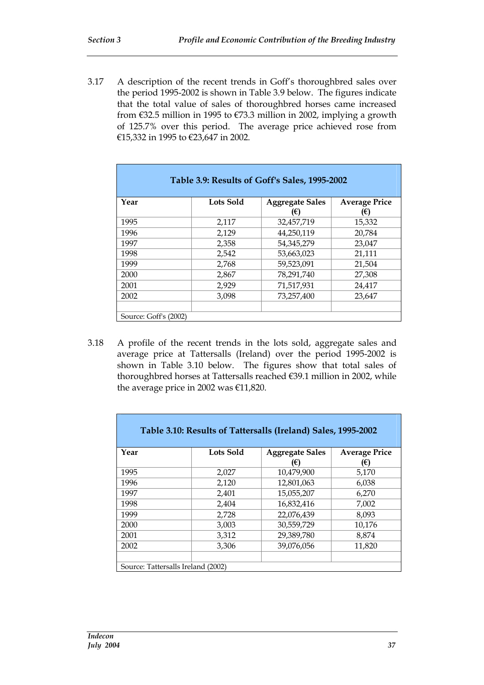3.17 A description of the recent trends in Goff's thoroughbred sales over the period 1995-2002 is shown in Table 3.9 below. The figures indicate that the total value of sales of thoroughbred horses came increased from  $\epsilon$ 32.5 million in 1995 to  $\epsilon$ 73.3 million in 2002, implying a growth of 125.7% over this period. The average price achieved rose from €15,332 in 1995 to €23,647 in 2002.

| Table 3.9: Results of Goff's Sales, 1995-2002 |           |                        |                      |  |
|-----------------------------------------------|-----------|------------------------|----------------------|--|
| Year                                          | Lots Sold | <b>Aggregate Sales</b> | <b>Average Price</b> |  |
|                                               |           | (€)                    | Έ)                   |  |
| 1995                                          | 2,117     | 32,457,719             | 15,332               |  |
| 1996                                          | 2,129     | 44,250,119             | 20,784               |  |
| 1997                                          | 2,358     | 54,345,279             | 23,047               |  |
| 1998                                          | 2,542     | 53,663,023             | 21,111               |  |
| 1999                                          | 2,768     | 59,523,091             | 21,504               |  |
| 2000                                          | 2,867     | 78,291,740             | 27,308               |  |
| 2001                                          | 2,929     | 71,517,931             | 24,417               |  |
| 2002                                          | 3,098     | 73,257,400             | 23,647               |  |
|                                               |           |                        |                      |  |
| Source: Goff's (2002)                         |           |                        |                      |  |

3.18 A profile of the recent trends in the lots sold, aggregate sales and average price at Tattersalls (Ireland) over the period 1995-2002 is shown in Table 3.10 below. The figures show that total sales of thoroughbred horses at Tattersalls reached €39.1 million in 2002, while the average price in 2002 was €11,820.

| Table 3.10: Results of Tattersalls (Ireland) Sales, 1995-2002 |           |                               |                           |  |
|---------------------------------------------------------------|-----------|-------------------------------|---------------------------|--|
| Year                                                          | Lots Sold | <b>Aggregate Sales</b><br>(€) | <b>Average Price</b><br>€ |  |
| 1995                                                          | 2,027     | 10,479,900                    | 5,170                     |  |
| 1996                                                          | 2,120     | 12,801,063                    | 6,038                     |  |
| 1997                                                          | 2,401     | 15,055,207                    | 6,270                     |  |
| 1998                                                          | 2,404     | 16,832,416                    | 7,002                     |  |
| 1999                                                          | 2,728     | 22,076,439                    | 8.093                     |  |
| 2000                                                          | 3,003     | 30,559,729                    | 10,176                    |  |
| 2001                                                          | 3,312     | 29,389,780                    | 8.874                     |  |
| 2002                                                          | 3,306     | 39,076,056                    | 11,820                    |  |
|                                                               |           |                               |                           |  |
| Source: Tattersalls Ireland (2002)                            |           |                               |                           |  |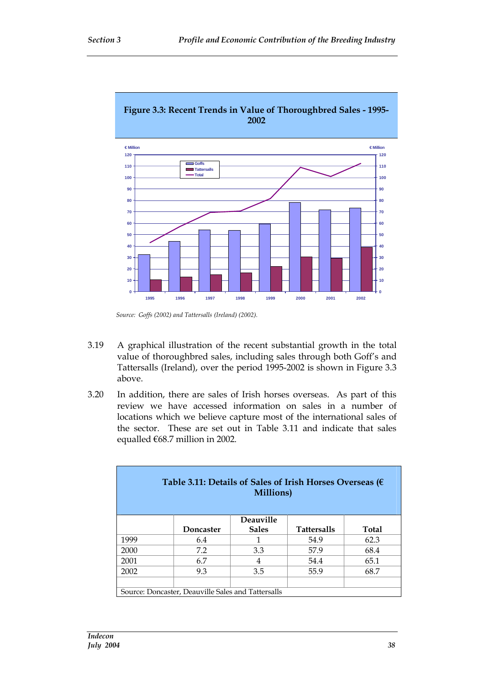

- 3.19 A graphical illustration of the recent substantial growth in the total value of thoroughbred sales, including sales through both Goff's and Tattersalls (Ireland), over the period 1995-2002 is shown in Figure 3.3 above.
- 3.20 In addition, there are sales of Irish horses overseas. As part of this review we have accessed information on sales in a number of locations which we believe capture most of the international sales of the sector. These are set out in Table 3.11 and indicate that sales equalled €68.7 million in 2002.

| Table 3.11: Details of Sales of Irish Horses Overseas ( $\epsilon$<br>Millions) |                                                    |                  |                    |              |  |
|---------------------------------------------------------------------------------|----------------------------------------------------|------------------|--------------------|--------------|--|
|                                                                                 |                                                    | <b>Deauville</b> |                    |              |  |
|                                                                                 | Doncaster                                          | <b>Sales</b>     | <b>Tattersalls</b> | <b>Total</b> |  |
| 1999                                                                            | 6.4                                                |                  | 54.9               | 62.3         |  |
| 2000                                                                            | 7.2                                                | 3.3              | 57.9               | 68.4         |  |
| 2001                                                                            | 6.7                                                | 4                | 54.4               | 65.1         |  |
| 2002                                                                            | 9.3                                                | 3.5              | 55.9               | 68.7         |  |
|                                                                                 |                                                    |                  |                    |              |  |
|                                                                                 | Source: Doncaster, Deauville Sales and Tattersalls |                  |                    |              |  |

*Source: Goffs (2002) and Tattersalls (Ireland) (2002).*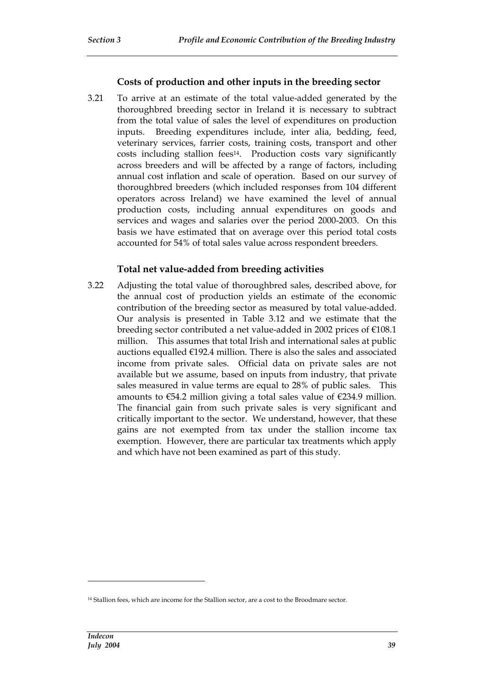#### **Costs of production and other inputs in the breeding sector**

3.21 To arrive at an estimate of the total value-added generated by the thoroughbred breeding sector in Ireland it is necessary to subtract from the total value of sales the level of expenditures on production inputs. Breeding expenditures include, inter alia, bedding, feed, veterinary services, farrier costs, training costs, transport and other costs including stallion fees14. Production costs vary significantly across breeders and will be affected by a range of factors, including annual cost inflation and scale of operation. Based on our survey of thoroughbred breeders (which included responses from 104 different operators across Ireland) we have examined the level of annual production costs, including annual expenditures on goods and services and wages and salaries over the period 2000-2003. On this basis we have estimated that on average over this period total costs accounted for 54% of total sales value across respondent breeders.

#### **Total net value-added from breeding activities**

3.22 Adjusting the total value of thoroughbred sales, described above, for the annual cost of production yields an estimate of the economic contribution of the breeding sector as measured by total value-added. Our analysis is presented in Table 3.12 and we estimate that the breeding sector contributed a net value-added in 2002 prices of  $\epsilon$ 108.1 million. This assumes that total Irish and international sales at public auctions equalled  $E192.4$  million. There is also the sales and associated income from private sales. Official data on private sales are not available but we assume, based on inputs from industry, that private sales measured in value terms are equal to 28% of public sales. This amounts to  $\epsilon$ 54.2 million giving a total sales value of  $\epsilon$ 234.9 million. The financial gain from such private sales is very significant and critically important to the sector. We understand, however, that these gains are not exempted from tax under the stallion income tax exemption. However, there are particular tax treatments which apply and which have not been examined as part of this study.

<sup>14</sup> Stallion fees, which are income for the Stallion sector, are a cost to the Broodmare sector.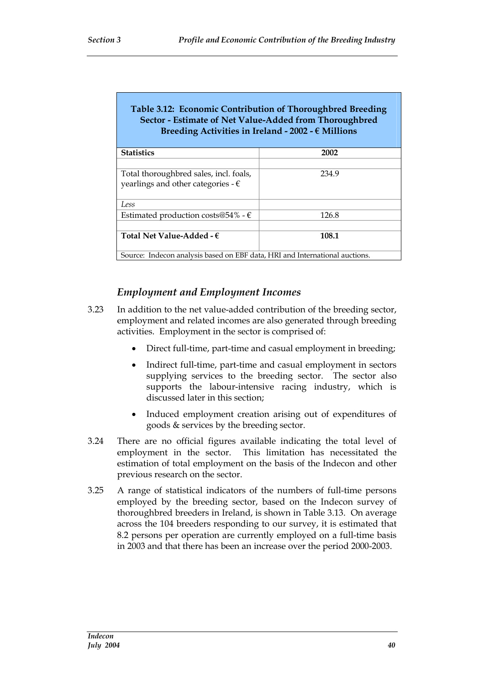| Table 3.12: Economic Contribution of Thoroughbred Breeding<br>Sector - Estimate of Net Value-Added from Thoroughbred<br>Breeding Activities in Ireland - 2002 - $\epsilon$ Millions |       |  |  |  |
|-------------------------------------------------------------------------------------------------------------------------------------------------------------------------------------|-------|--|--|--|
| <b>Statistics</b>                                                                                                                                                                   | 2002  |  |  |  |
| Total thoroughbred sales, incl. foals,<br>yearlings and other categories - $\epsilon$                                                                                               | 234.9 |  |  |  |
| Less                                                                                                                                                                                |       |  |  |  |
| Estimated production costs@54% - $\epsilon$                                                                                                                                         | 126.8 |  |  |  |
| Total Net Value-Added - $\epsilon$<br>108.1                                                                                                                                         |       |  |  |  |
| Source: Indecon analysis based on EBF data, HRI and International auctions.                                                                                                         |       |  |  |  |

# *Employment and Employment Incomes*

- 3.23 In addition to the net value-added contribution of the breeding sector, employment and related incomes are also generated through breeding activities. Employment in the sector is comprised of:
	- Direct full-time, part-time and casual employment in breeding;
	- Indirect full-time, part-time and casual employment in sectors supplying services to the breeding sector. The sector also supports the labour-intensive racing industry, which is discussed later in this section;
	- Induced employment creation arising out of expenditures of goods & services by the breeding sector.
- 3.24 There are no official figures available indicating the total level of employment in the sector. This limitation has necessitated the estimation of total employment on the basis of the Indecon and other previous research on the sector.
- 3.25 A range of statistical indicators of the numbers of full-time persons employed by the breeding sector, based on the Indecon survey of thoroughbred breeders in Ireland, is shown in Table 3.13. On average across the 104 breeders responding to our survey, it is estimated that 8.2 persons per operation are currently employed on a full-time basis in 2003 and that there has been an increase over the period 2000-2003.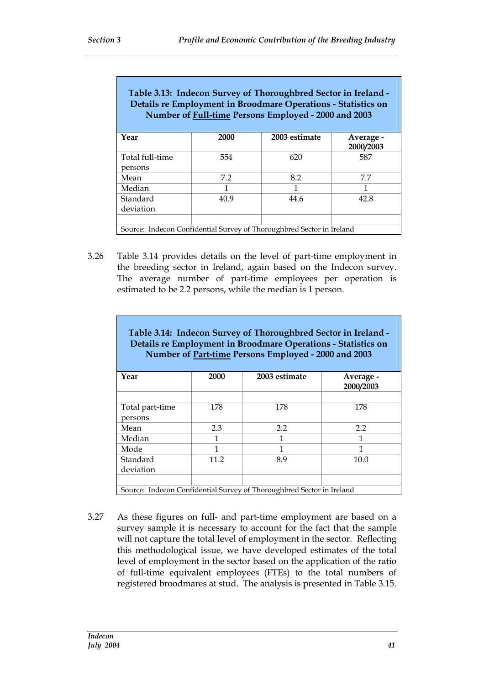| Table 3.13: Indecon Survey of Thoroughbred Sector in Ireland -<br>Details re Employment in Broodmare Operations - Statistics on<br>Number of Full-time Persons Employed - 2000 and 2003 |      |               |                        |  |
|-----------------------------------------------------------------------------------------------------------------------------------------------------------------------------------------|------|---------------|------------------------|--|
| Year                                                                                                                                                                                    | 2000 | 2003 estimate | Average -<br>2000/2003 |  |
| Total full-time                                                                                                                                                                         | 554  | 620           | 587                    |  |
| persons                                                                                                                                                                                 |      |               |                        |  |
| Mean                                                                                                                                                                                    | 7.2  | 8.2           | 7.7                    |  |
| Median                                                                                                                                                                                  | 1    | 1             | 1                      |  |
| Standard                                                                                                                                                                                | 40.9 | 44.6          | 42.8                   |  |
| deviation                                                                                                                                                                               |      |               |                        |  |
|                                                                                                                                                                                         |      |               |                        |  |
| Source: Indecon Confidential Survey of Thoroughbred Sector in Ireland                                                                                                                   |      |               |                        |  |

3.26 Table 3.14 provides details on the level of part-time employment in the breeding sector in Ireland, again based on the Indecon survey. The average number of part-time employees per operation is estimated to be 2.2 persons, while the median is 1 person.

| Table 3.14: Indecon Survey of Thoroughbred Sector in Ireland -<br>Details re Employment in Broodmare Operations - Statistics on<br>Number of Part-time Persons Employed - 2000 and 2003 |      |                                                                       |                        |  |  |
|-----------------------------------------------------------------------------------------------------------------------------------------------------------------------------------------|------|-----------------------------------------------------------------------|------------------------|--|--|
| Year                                                                                                                                                                                    | 2000 | 2003 estimate                                                         | Average -<br>2000/2003 |  |  |
| Total part-time                                                                                                                                                                         | 178  | 178                                                                   | 178                    |  |  |
| persons                                                                                                                                                                                 |      |                                                                       |                        |  |  |
| Mean                                                                                                                                                                                    | 2.3  | 2.2                                                                   | 2.2                    |  |  |
| Median                                                                                                                                                                                  | 1    | 1                                                                     | 1                      |  |  |
| Mode                                                                                                                                                                                    | 1    | 1                                                                     | 1                      |  |  |
| Standard                                                                                                                                                                                | 11.2 | 8.9                                                                   | 10.0                   |  |  |
| deviation                                                                                                                                                                               |      |                                                                       |                        |  |  |
|                                                                                                                                                                                         |      |                                                                       |                        |  |  |
|                                                                                                                                                                                         |      | Source: Indecon Confidential Survey of Thoroughbred Sector in Ireland |                        |  |  |

3.27 As these figures on full- and part-time employment are based on a survey sample it is necessary to account for the fact that the sample will not capture the total level of employment in the sector. Reflecting this methodological issue, we have developed estimates of the total level of employment in the sector based on the application of the ratio of full-time equivalent employees (FTEs) to the total numbers of registered broodmares at stud. The analysis is presented in Table 3.15.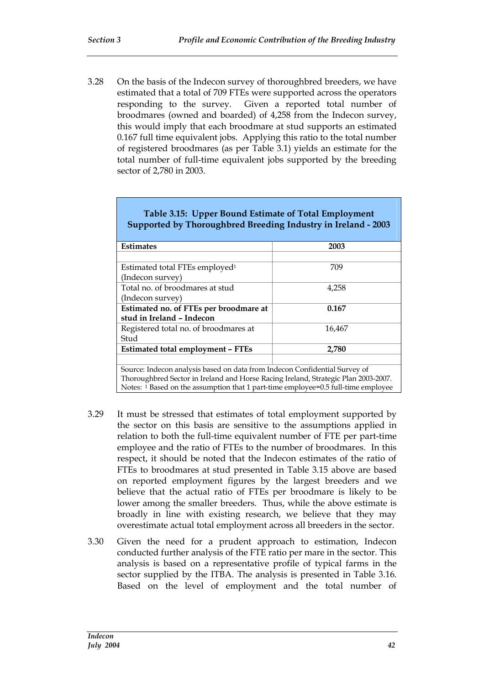3.28 On the basis of the Indecon survey of thoroughbred breeders, we have estimated that a total of 709 FTEs were supported across the operators responding to the survey. Given a reported total number of broodmares (owned and boarded) of 4,258 from the Indecon survey, this would imply that each broodmare at stud supports an estimated 0.167 full time equivalent jobs. Applying this ratio to the total number of registered broodmares (as per Table 3.1) yields an estimate for the total number of full-time equivalent jobs supported by the breeding sector of 2,780 in 2003.

| Table 3.15: Upper Bound Estimate of Total Employment<br>Supported by Thoroughbred Breeding Industry in Ireland - 2003                                                                                                                                 |        |  |  |  |
|-------------------------------------------------------------------------------------------------------------------------------------------------------------------------------------------------------------------------------------------------------|--------|--|--|--|
| <b>Estimates</b>                                                                                                                                                                                                                                      | 2003   |  |  |  |
| Estimated total FTEs employed <sup>1</sup>                                                                                                                                                                                                            | 709    |  |  |  |
| (Indecon survey)<br>Total no. of broodmares at stud<br>(Indecon survey)                                                                                                                                                                               | 4,258  |  |  |  |
| Estimated no. of FTEs per broodmare at<br>stud in Ireland - Indecon                                                                                                                                                                                   | 0.167  |  |  |  |
| Registered total no. of broodmares at<br>Stud                                                                                                                                                                                                         | 16,467 |  |  |  |
| <b>Estimated total employment - FTEs</b>                                                                                                                                                                                                              | 2,780  |  |  |  |
| Source: Indecon analysis based on data from Indecon Confidential Survey of<br>Thoroughbred Sector in Ireland and Horse Racing Ireland, Strategic Plan 2003-2007.<br>Notes: 1 Based on the assumption that 1 part-time employee=0.5 full-time employee |        |  |  |  |

- 3.29 It must be stressed that estimates of total employment supported by the sector on this basis are sensitive to the assumptions applied in relation to both the full-time equivalent number of FTE per part-time employee and the ratio of FTEs to the number of broodmares. In this respect, it should be noted that the Indecon estimates of the ratio of FTEs to broodmares at stud presented in Table 3.15 above are based on reported employment figures by the largest breeders and we believe that the actual ratio of FTEs per broodmare is likely to be lower among the smaller breeders. Thus, while the above estimate is broadly in line with existing research, we believe that they may overestimate actual total employment across all breeders in the sector.
- 3.30 Given the need for a prudent approach to estimation, Indecon conducted further analysis of the FTE ratio per mare in the sector. This analysis is based on a representative profile of typical farms in the sector supplied by the ITBA. The analysis is presented in Table 3.16. Based on the level of employment and the total number of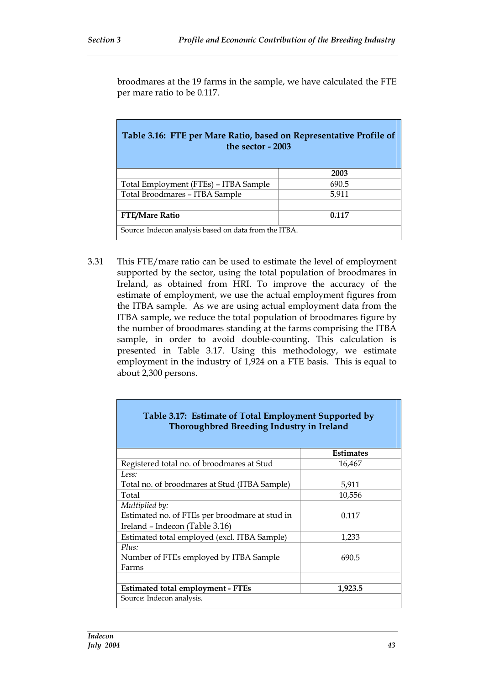broodmares at the 19 farms in the sample, we have calculated the FTE per mare ratio to be 0.117.

| Table 3.16: FTE per Mare Ratio, based on Representative Profile of<br>the sector - 2003 |       |  |  |
|-----------------------------------------------------------------------------------------|-------|--|--|
|                                                                                         | 2003  |  |  |
| Total Employment (FTEs) – ITBA Sample                                                   | 690.5 |  |  |
| Total Broodmares - ITBA Sample                                                          | 5,911 |  |  |
|                                                                                         |       |  |  |
| <b>FTE/Mare Ratio</b>                                                                   | 0.117 |  |  |
| Source: Indecon analysis based on data from the ITBA.                                   |       |  |  |

3.31 This FTE/mare ratio can be used to estimate the level of employment supported by the sector, using the total population of broodmares in Ireland, as obtained from HRI. To improve the accuracy of the estimate of employment, we use the actual employment figures from the ITBA sample. As we are using actual employment data from the ITBA sample, we reduce the total population of broodmares figure by the number of broodmares standing at the farms comprising the ITBA sample, in order to avoid double-counting. This calculation is presented in Table 3.17. Using this methodology, we estimate employment in the industry of 1,924 on a FTE basis. This is equal to about 2,300 persons.

| Table 3.17: Estimate of Total Employment Supported by<br>Thoroughbred Breeding Industry in Ireland |                  |  |  |  |
|----------------------------------------------------------------------------------------------------|------------------|--|--|--|
|                                                                                                    | <b>Estimates</b> |  |  |  |
| Registered total no. of broodmares at Stud                                                         | 16,467           |  |  |  |
| Less:                                                                                              |                  |  |  |  |
| Total no. of broodmares at Stud (ITBA Sample)                                                      | 5,911            |  |  |  |
| Total                                                                                              | 10,556           |  |  |  |
| Multiplied by:                                                                                     |                  |  |  |  |
| Estimated no. of FTEs per broodmare at stud in                                                     | 0.117            |  |  |  |
| Ireland - Indecon (Table 3.16)                                                                     |                  |  |  |  |
| Estimated total employed (excl. ITBA Sample)                                                       | 1,233            |  |  |  |
| Plus:                                                                                              |                  |  |  |  |
| Number of FTEs employed by ITBA Sample                                                             | 690.5            |  |  |  |
| Farms                                                                                              |                  |  |  |  |
|                                                                                                    |                  |  |  |  |
| <b>Estimated total employment - FTEs</b><br>1,923.5                                                |                  |  |  |  |
| Source: Indecon analysis.                                                                          |                  |  |  |  |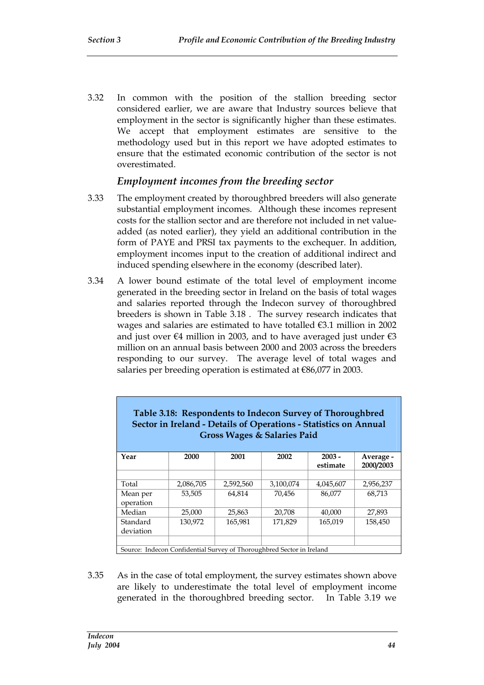3.32 In common with the position of the stallion breeding sector considered earlier, we are aware that Industry sources believe that employment in the sector is significantly higher than these estimates. We accept that employment estimates are sensitive to the methodology used but in this report we have adopted estimates to ensure that the estimated economic contribution of the sector is not overestimated.

### *Employment incomes from the breeding sector*

- 3.33 The employment created by thoroughbred breeders will also generate substantial employment incomes. Although these incomes represent costs for the stallion sector and are therefore not included in net valueadded (as noted earlier), they yield an additional contribution in the form of PAYE and PRSI tax payments to the exchequer. In addition, employment incomes input to the creation of additional indirect and induced spending elsewhere in the economy (described later).
- 3.34 A lower bound estimate of the total level of employment income generated in the breeding sector in Ireland on the basis of total wages and salaries reported through the Indecon survey of thoroughbred breeders is shown in Table 3.18 . The survey research indicates that wages and salaries are estimated to have totalled €3.1 million in 2002 and just over  $\epsilon$ 4 million in 2003, and to have averaged just under  $\epsilon$ 3 million on an annual basis between 2000 and 2003 across the breeders responding to our survey. The average level of total wages and salaries per breeding operation is estimated at €86,077 in 2003.

| Table 3.18: Respondents to Indecon Survey of Thoroughbred<br>Sector in Ireland - Details of Operations - Statistics on Annual<br><b>Gross Wages &amp; Salaries Paid</b> |           |           |           |                      |                        |  |
|-------------------------------------------------------------------------------------------------------------------------------------------------------------------------|-----------|-----------|-----------|----------------------|------------------------|--|
| Year                                                                                                                                                                    | 2000      | 2001      | 2002      | $2003 -$<br>estimate | Average -<br>2000/2003 |  |
|                                                                                                                                                                         |           |           |           |                      |                        |  |
| Total                                                                                                                                                                   | 2,086,705 | 2,592,560 | 3,100,074 | 4.045.607            | 2,956,237              |  |
| Mean per                                                                                                                                                                | 53,505    | 64.814    | 70.456    | 86,077               | 68.713                 |  |
| operation                                                                                                                                                               |           |           |           |                      |                        |  |
| Median                                                                                                                                                                  | 25,000    | 25,863    | 20,708    | 40,000               | 27,893                 |  |
| Standard                                                                                                                                                                | 130.972   | 165,981   | 171.829   | 165,019              | 158,450                |  |
| deviation                                                                                                                                                               |           |           |           |                      |                        |  |
|                                                                                                                                                                         |           |           |           |                      |                        |  |
| Source: Indecon Confidential Survey of Thoroughbred Sector in Ireland                                                                                                   |           |           |           |                      |                        |  |

3.35 As in the case of total employment, the survey estimates shown above are likely to underestimate the total level of employment income generated in the thoroughbred breeding sector. In Table 3.19 we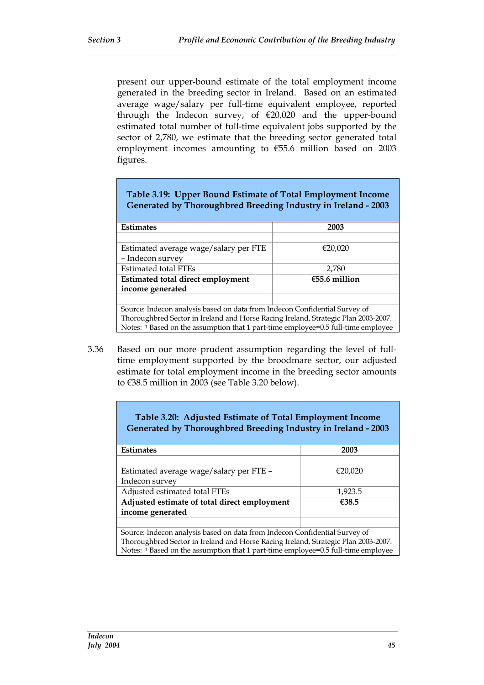present our upper-bound estimate of the total employment income generated in the breeding sector in Ireland. Based on an estimated average wage/salary per full-time equivalent employee, reported through the Indecon survey, of €20,020 and the upper-bound estimated total number of full-time equivalent jobs supported by the sector of 2,780, we estimate that the breeding sector generated total employment incomes amounting to €55.6 million based on 2003 figures.

| Table 3.19: Upper Bound Estimate of Total Employment Income<br>Generated by Thoroughbred Breeding Industry in Ireland - 2003 |         |  |  |  |  |
|------------------------------------------------------------------------------------------------------------------------------|---------|--|--|--|--|
| Estimates                                                                                                                    | 2003    |  |  |  |  |
|                                                                                                                              |         |  |  |  |  |
| Estimated average wage/salary per FTE                                                                                        | €20,020 |  |  |  |  |
| - Indecon survey                                                                                                             |         |  |  |  |  |
| <b>Estimated total FTEs</b>                                                                                                  | 2.780   |  |  |  |  |
| $€55.6$ million<br><b>Estimated total direct employment</b>                                                                  |         |  |  |  |  |
| income generated                                                                                                             |         |  |  |  |  |
|                                                                                                                              |         |  |  |  |  |
| Source: Indecon analysis based on data from Indecon Confidential Survey of                                                   |         |  |  |  |  |
| Thoroughbred Sector in Ireland and Horse Racing Ireland, Strategic Plan 2003-2007.                                           |         |  |  |  |  |
| Notes: 1 Based on the assumption that 1 part-time employee=0.5 full-time employee                                            |         |  |  |  |  |

3.36 Based on our more prudent assumption regarding the level of fulltime employment supported by the broodmare sector, our adjusted estimate for total employment income in the breeding sector amounts to €38.5 million in 2003 (see Table 3.20 below).

| Table 3.20: Adjusted Estimate of Total Employment Income<br>Generated by Thoroughbred Breeding Industry in Ireland - 2003 |         |  |  |  |
|---------------------------------------------------------------------------------------------------------------------------|---------|--|--|--|
| <b>Estimates</b>                                                                                                          | 2003    |  |  |  |
|                                                                                                                           |         |  |  |  |
| Estimated average wage/salary per FTE -                                                                                   | €20,020 |  |  |  |
| Indecon survey                                                                                                            |         |  |  |  |
| Adjusted estimated total FTEs                                                                                             | 1,923.5 |  |  |  |
| Adjusted estimate of total direct employment<br>€38.5                                                                     |         |  |  |  |
| income generated                                                                                                          |         |  |  |  |
|                                                                                                                           |         |  |  |  |
| Source: Indecon analysis based on data from Indecon Confidential Survey of                                                |         |  |  |  |
| Thoroughbred Sector in Ireland and Horse Racing Ireland, Strategic Plan 2003-2007.                                        |         |  |  |  |
| Notes: 1 Based on the assumption that 1 part-time employee=0.5 full-time employee                                         |         |  |  |  |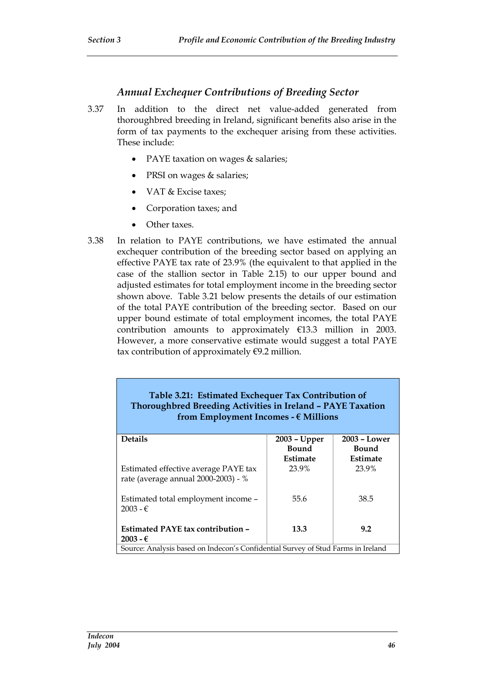#### *Annual Exchequer Contributions of Breeding Sector*

- 3.37 In addition to the direct net value-added generated from thoroughbred breeding in Ireland, significant benefits also arise in the form of tax payments to the exchequer arising from these activities. These include:
	- PAYE taxation on wages & salaries;
	- PRSI on wages & salaries;
	- VAT & Excise taxes;
	- Corporation taxes; and
	- Other taxes.
- 3.38 In relation to PAYE contributions, we have estimated the annual exchequer contribution of the breeding sector based on applying an effective PAYE tax rate of 23.9% (the equivalent to that applied in the case of the stallion sector in Table 2.15) to our upper bound and adjusted estimates for total employment income in the breeding sector shown above. Table 3.21 below presents the details of our estimation of the total PAYE contribution of the breeding sector. Based on our upper bound estimate of total employment incomes, the total PAYE contribution amounts to approximately €13.3 million in 2003. However, a more conservative estimate would suggest a total PAYE tax contribution of approximately  $\epsilon$ 9.2 million.

#### **Table 3.21: Estimated Exchequer Tax Contribution of Thoroughbred Breeding Activities in Ireland – PAYE Taxation from Employment Incomes - € Millions**

| <b>Details</b>                                                                   | 2003 - Upper | $2003 - Lower$ |
|----------------------------------------------------------------------------------|--------------|----------------|
|                                                                                  | Bound        | Bound          |
|                                                                                  | Estimate     | Estimate       |
| Estimated effective average PAYE tax<br>rate (average annual 2000-2003) - %      | 23.9%        | 23.9%          |
|                                                                                  |              |                |
| Estimated total employment income -<br>$2003 - \epsilon$                         | 55.6         | 38.5           |
|                                                                                  |              |                |
| Estimated PAYE tax contribution -                                                | 13.3         | 9.2            |
| $2003 - €$                                                                       |              |                |
| Source: Analysis based on Indecon's Confidential Survey of Stud Farms in Ireland |              |                |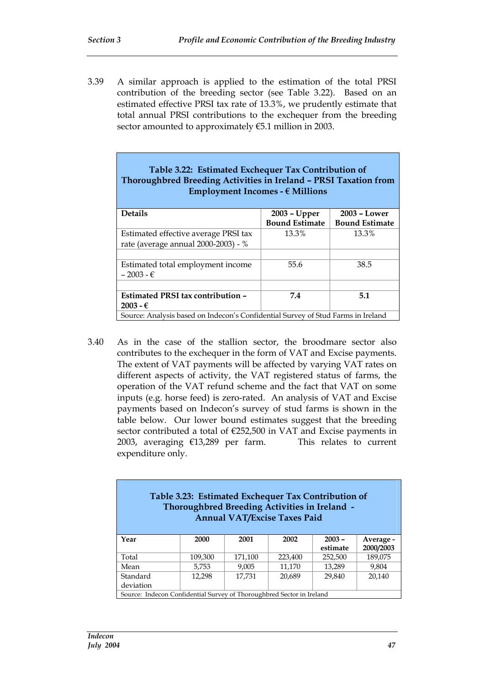3.39 A similar approach is applied to the estimation of the total PRSI contribution of the breeding sector (see Table 3.22). Based on an estimated effective PRSI tax rate of 13.3%, we prudently estimate that total annual PRSI contributions to the exchequer from the breeding sector amounted to approximately €5.1 million in 2003.

| Table 3.22: Estimated Exchequer Tax Contribution of              |
|------------------------------------------------------------------|
| Thoroughbred Breeding Activities in Ireland – PRSI Taxation from |
| Employment Incomes - $\epsilon$ Millions                         |

| <b>Details</b>                                                                   | 2003 - Upper          | $2003 - Lower$        |  |  |
|----------------------------------------------------------------------------------|-----------------------|-----------------------|--|--|
|                                                                                  | <b>Bound Estimate</b> | <b>Bound Estimate</b> |  |  |
| Estimated effective average PRSI tax                                             | 13.3%                 | 13.3%                 |  |  |
| rate (average annual 2000-2003) - %                                              |                       |                       |  |  |
|                                                                                  |                       |                       |  |  |
| Estimated total employment income                                                | 55.6                  | 38.5                  |  |  |
| $-2003 - \epsilon$                                                               |                       |                       |  |  |
|                                                                                  |                       |                       |  |  |
| Estimated PRSI tax contribution –                                                | 7.4                   | 5.1                   |  |  |
| $2003 - €$                                                                       |                       |                       |  |  |
| Source: Analysis based on Indecon's Confidential Survey of Stud Farms in Ireland |                       |                       |  |  |

3.40 As in the case of the stallion sector, the broodmare sector also contributes to the exchequer in the form of VAT and Excise payments. The extent of VAT payments will be affected by varying VAT rates on different aspects of activity, the VAT registered status of farms, the operation of the VAT refund scheme and the fact that VAT on some inputs (e.g. horse feed) is zero-rated. An analysis of VAT and Excise payments based on Indecon's survey of stud farms is shown in the table below. Our lower bound estimates suggest that the breeding sector contributed a total of €252,500 in VAT and Excise payments in 2003, averaging €13,289 per farm. This relates to current expenditure only.

| Table 3.23: Estimated Exchequer Tax Contribution of<br>Thoroughbred Breeding Activities in Ireland -<br><b>Annual VAT/Excise Taxes Paid</b> |         |         |         |                      |                        |
|---------------------------------------------------------------------------------------------------------------------------------------------|---------|---------|---------|----------------------|------------------------|
| Year                                                                                                                                        | 2000    | 2001    | 2002    | $2003 -$<br>estimate | Average -<br>2000/2003 |
| Total                                                                                                                                       | 109,300 | 171,100 | 223,400 | 252,500              | 189,075                |
| Mean                                                                                                                                        | 5.753   | 9.005   | 11.170  | 13,289               | 9,804                  |
| Standard<br>deviation                                                                                                                       | 12.298  | 17.731  | 20.689  | 29,840               | 20.140                 |
| Source: Indecon Confidential Survey of Thoroughbred Sector in Ireland                                                                       |         |         |         |                      |                        |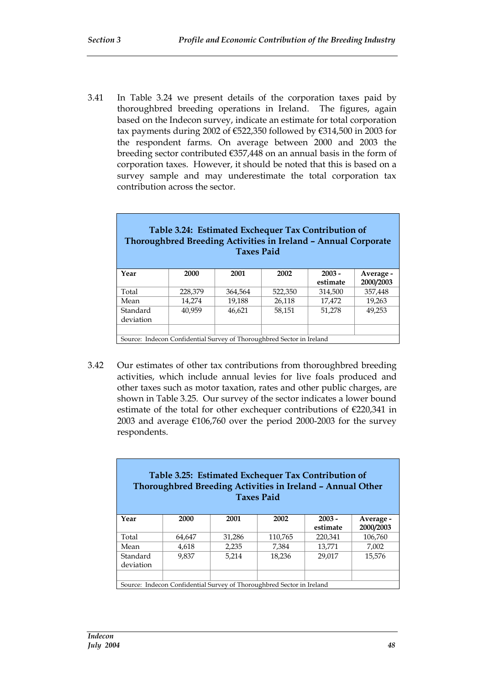3.41 In Table 3.24 we present details of the corporation taxes paid by thoroughbred breeding operations in Ireland. The figures, again based on the Indecon survey, indicate an estimate for total corporation tax payments during 2002 of €522,350 followed by €314,500 in 2003 for the respondent farms. On average between 2000 and 2003 the breeding sector contributed €357,448 on an annual basis in the form of corporation taxes. However, it should be noted that this is based on a survey sample and may underestimate the total corporation tax contribution across the sector.

| Table 3.24: Estimated Exchequer Tax Contribution of<br>Thoroughbred Breeding Activities in Ireland - Annual Corporate<br><b>Taxes Paid</b> |         |         |         |                      |                        |  |  |
|--------------------------------------------------------------------------------------------------------------------------------------------|---------|---------|---------|----------------------|------------------------|--|--|
| Year                                                                                                                                       | 2000    | 2001    | 2002    | $2003 -$<br>estimate | Average -<br>2000/2003 |  |  |
| Total                                                                                                                                      | 228,379 | 364.564 | 522,350 | 314,500              | 357,448                |  |  |
| Mean                                                                                                                                       | 14.274  | 19.188  | 26,118  | 17,472               | 19.263                 |  |  |
| Standard<br>deviation                                                                                                                      | 40.959  | 46.621  | 58.151  | 51,278               | 49.253                 |  |  |
|                                                                                                                                            |         |         |         |                      |                        |  |  |
| Source: Indecon Confidential Survey of Thoroughbred Sector in Ireland                                                                      |         |         |         |                      |                        |  |  |

3.42 Our estimates of other tax contributions from thoroughbred breeding activities, which include annual levies for live foals produced and other taxes such as motor taxation, rates and other public charges, are shown in Table 3.25. Our survey of the sector indicates a lower bound estimate of the total for other exchequer contributions of €220,341 in 2003 and average €106,760 over the period 2000-2003 for the survey respondents.

| Table 3.25: Estimated Exchequer Tax Contribution of<br>Thoroughbred Breeding Activities in Ireland - Annual Other<br><b>Taxes Paid</b> |        |        |                                                                       |                      |                        |  |  |
|----------------------------------------------------------------------------------------------------------------------------------------|--------|--------|-----------------------------------------------------------------------|----------------------|------------------------|--|--|
| Year                                                                                                                                   | 2000   | 2001   | 2002                                                                  | $2003 -$<br>estimate | Average -<br>2000/2003 |  |  |
| Total                                                                                                                                  | 64,647 | 31,286 | 110,765                                                               | 220,341              | 106,760                |  |  |
| Mean                                                                                                                                   | 4,618  | 2,235  | 7.384                                                                 | 13.771               | 7.002                  |  |  |
| Standard<br>deviation                                                                                                                  | 9.837  | 5,214  | 18.236                                                                | 29.017               | 15,576                 |  |  |
|                                                                                                                                        |        |        |                                                                       |                      |                        |  |  |
|                                                                                                                                        |        |        | Source: Indecon Confidential Survey of Thoroughbred Sector in Ireland |                      |                        |  |  |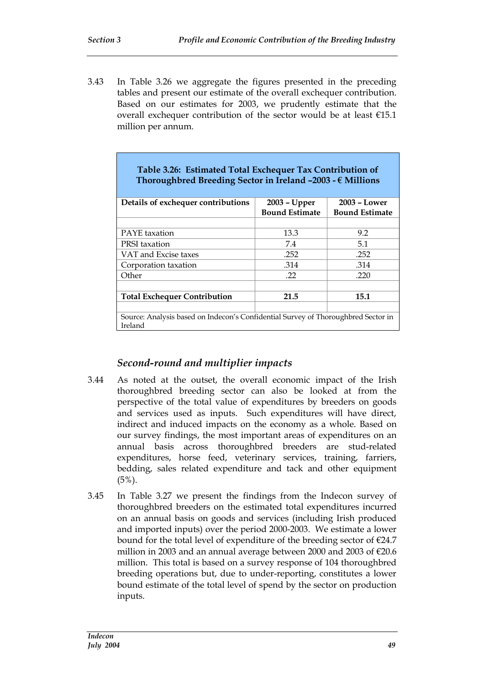3.43 In Table 3.26 we aggregate the figures presented in the preceding tables and present our estimate of the overall exchequer contribution. Based on our estimates for 2003, we prudently estimate that the overall exchequer contribution of the sector would be at least €15.1 million per annum.

| Table 3.26: Estimated Total Exchequer Tax Contribution of<br>Thoroughbred Breeding Sector in Ireland $-2003 - \epsilon$ Millions |                       |                       |  |  |  |
|----------------------------------------------------------------------------------------------------------------------------------|-----------------------|-----------------------|--|--|--|
| Details of exchequer contributions                                                                                               | $2003 - Upper$        | 2003 – Lower          |  |  |  |
|                                                                                                                                  | <b>Bound Estimate</b> | <b>Bound Estimate</b> |  |  |  |
|                                                                                                                                  |                       |                       |  |  |  |
| <b>PAYE</b> taxation                                                                                                             | 13.3                  | 9.2                   |  |  |  |
| <b>PRSI</b> taxation                                                                                                             | 7.4                   | 5.1                   |  |  |  |
| VAT and Excise taxes                                                                                                             | .252                  | .252                  |  |  |  |
| Corporation taxation                                                                                                             | .314                  | .314                  |  |  |  |
| Other                                                                                                                            | .22                   | .220                  |  |  |  |
|                                                                                                                                  |                       |                       |  |  |  |
| <b>Total Exchequer Contribution</b>                                                                                              | 21.5                  | 15.1                  |  |  |  |
|                                                                                                                                  |                       |                       |  |  |  |
| Source: Analysis based on Indecon's Confidential Survey of Thoroughbred Sector in<br>Ireland                                     |                       |                       |  |  |  |

### *Second-round and multiplier impacts*

- 3.44 As noted at the outset, the overall economic impact of the Irish thoroughbred breeding sector can also be looked at from the perspective of the total value of expenditures by breeders on goods and services used as inputs. Such expenditures will have direct, indirect and induced impacts on the economy as a whole. Based on our survey findings, the most important areas of expenditures on an annual basis across thoroughbred breeders are stud-related expenditures, horse feed, veterinary services, training, farriers, bedding, sales related expenditure and tack and other equipment  $(5\%)$ .
- 3.45 In Table 3.27 we present the findings from the Indecon survey of thoroughbred breeders on the estimated total expenditures incurred on an annual basis on goods and services (including Irish produced and imported inputs) over the period 2000-2003. We estimate a lower bound for the total level of expenditure of the breeding sector of  $\epsilon$ 24.7 million in 2003 and an annual average between 2000 and 2003 of  $\epsilon$ 20.6 million. This total is based on a survey response of 104 thoroughbred breeding operations but, due to under-reporting, constitutes a lower bound estimate of the total level of spend by the sector on production inputs.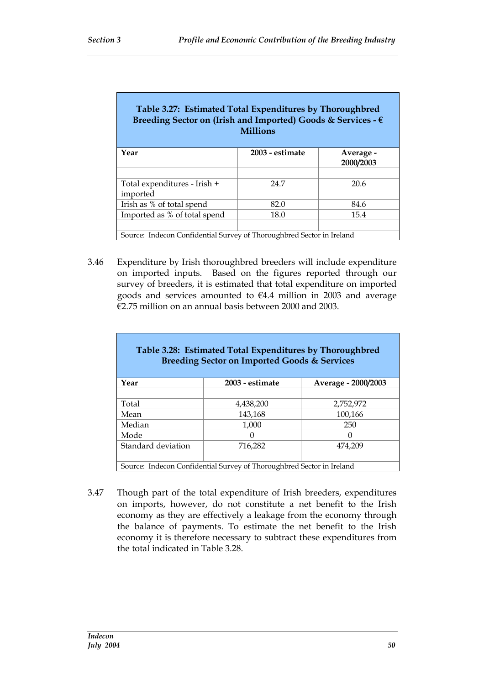| Table 3.27: Estimated Total Expenditures by Thoroughbred<br>Breeding Sector on (Irish and Imported) Goods & Services - $\epsilon$<br><b>Millions</b> |                 |                        |  |  |  |  |  |
|------------------------------------------------------------------------------------------------------------------------------------------------------|-----------------|------------------------|--|--|--|--|--|
| Year                                                                                                                                                 | 2003 - estimate | Average -<br>2000/2003 |  |  |  |  |  |
|                                                                                                                                                      |                 |                        |  |  |  |  |  |
| Total expenditures - Irish +                                                                                                                         | 24.7            | 20.6                   |  |  |  |  |  |
| imported                                                                                                                                             |                 |                        |  |  |  |  |  |
| Irish as % of total spend                                                                                                                            | 82.0            | 84.6                   |  |  |  |  |  |
| Imported as % of total spend                                                                                                                         | 18.0            | 15.4                   |  |  |  |  |  |
|                                                                                                                                                      |                 |                        |  |  |  |  |  |
| Source: Indecon Confidential Survey of Thoroughbred Sector in Ireland                                                                                |                 |                        |  |  |  |  |  |

3.46 Expenditure by Irish thoroughbred breeders will include expenditure on imported inputs. Based on the figures reported through our survey of breeders, it is estimated that total expenditure on imported goods and services amounted to €4.4 million in 2003 and average €2.75 million on an annual basis between 2000 and 2003.

| Table 3.28: Estimated Total Expenditures by Thoroughbred<br><b>Breeding Sector on Imported Goods &amp; Services</b> |                                                                       |                     |  |  |  |  |  |
|---------------------------------------------------------------------------------------------------------------------|-----------------------------------------------------------------------|---------------------|--|--|--|--|--|
| Year                                                                                                                | 2003 - estimate                                                       | Average - 2000/2003 |  |  |  |  |  |
| Total                                                                                                               | 4,438,200                                                             | 2,752,972           |  |  |  |  |  |
| Mean                                                                                                                | 143,168                                                               | 100,166             |  |  |  |  |  |
| Median                                                                                                              | 1,000                                                                 | 250                 |  |  |  |  |  |
| Mode                                                                                                                |                                                                       |                     |  |  |  |  |  |
| Standard deviation                                                                                                  | 716,282                                                               | 474,209             |  |  |  |  |  |
|                                                                                                                     | Source: Indecon Confidential Survey of Thoroughbred Sector in Ireland |                     |  |  |  |  |  |

3.47 Though part of the total expenditure of Irish breeders, expenditures on imports, however, do not constitute a net benefit to the Irish economy as they are effectively a leakage from the economy through the balance of payments. To estimate the net benefit to the Irish economy it is therefore necessary to subtract these expenditures from the total indicated in Table 3.28.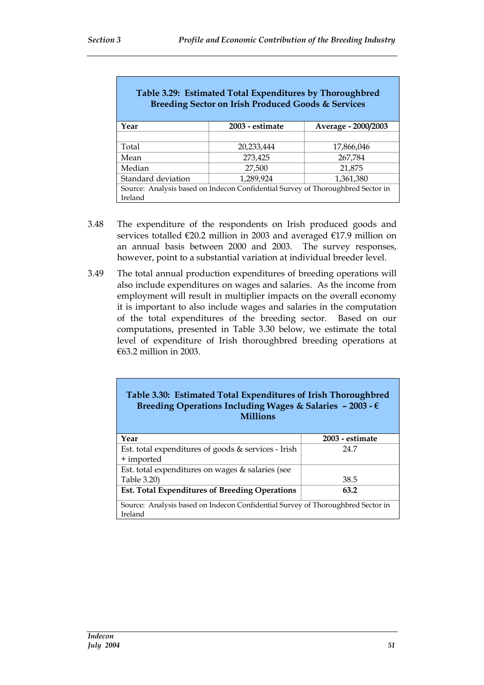| Table 3.29: Estimated Total Expenditures by Thoroughbred<br><b>Breeding Sector on Irish Produced Goods &amp; Services</b> |                 |                     |  |  |  |  |
|---------------------------------------------------------------------------------------------------------------------------|-----------------|---------------------|--|--|--|--|
| Year                                                                                                                      | 2003 - estimate | Average - 2000/2003 |  |  |  |  |
|                                                                                                                           |                 |                     |  |  |  |  |
| Total                                                                                                                     | 20,233,444      | 17,866,046          |  |  |  |  |
| Mean                                                                                                                      | 273,425         | 267,784             |  |  |  |  |
| Median                                                                                                                    | 27,500          | 21,875              |  |  |  |  |
| Standard deviation                                                                                                        | 1,289,924       | 1,361,380           |  |  |  |  |
| Source: Analysis based on Indecon Confidential Survey of Thoroughbred Sector in<br>Ireland                                |                 |                     |  |  |  |  |

- 3.48 The expenditure of the respondents on Irish produced goods and services totalled €20.2 million in 2003 and averaged €17.9 million on an annual basis between 2000 and 2003. The survey responses, however, point to a substantial variation at individual breeder level.
- 3.49 The total annual production expenditures of breeding operations will also include expenditures on wages and salaries. As the income from employment will result in multiplier impacts on the overall economy it is important to also include wages and salaries in the computation of the total expenditures of the breeding sector. Based on our computations, presented in Table 3.30 below, we estimate the total level of expenditure of Irish thoroughbred breeding operations at €63.2 million in 2003.

#### **Table 3.30: Estimated Total Expenditures of Irish Thoroughbred Breeding Operations Including Wages & Salaries – 2003 - € Millions**

| Year                                                                            | 2003 - estimate |
|---------------------------------------------------------------------------------|-----------------|
| Est. total expenditures of goods & services - Irish                             | 24.7            |
| + imported                                                                      |                 |
| Est. total expenditures on wages & salaries (see                                |                 |
| Table 3.20)                                                                     | 38.5            |
| <b>Est. Total Expenditures of Breeding Operations</b>                           | 63.2            |
| Source: Analysis based on Indecon Confidential Survey of Thoroughbred Sector in |                 |
| Ireland                                                                         |                 |
|                                                                                 |                 |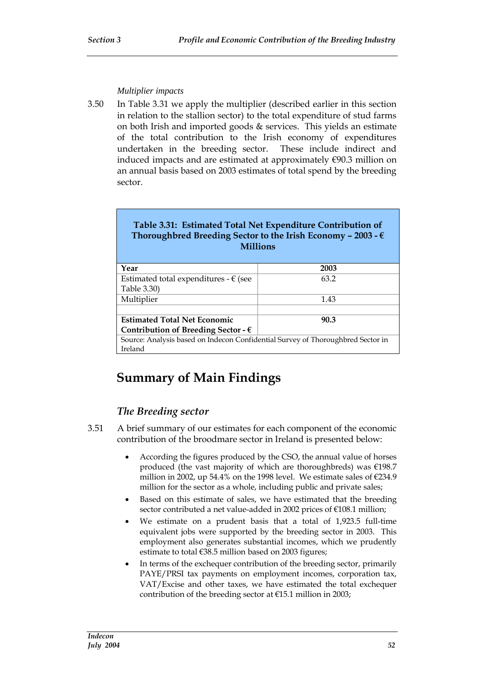#### *Multiplier impacts*

3.50 In Table 3.31 we apply the multiplier (described earlier in this section in relation to the stallion sector) to the total expenditure of stud farms on both Irish and imported goods & services. This yields an estimate of the total contribution to the Irish economy of expenditures undertaken in the breeding sector. These include indirect and induced impacts and are estimated at approximately  $\epsilon$ 90.3 million on an annual basis based on 2003 estimates of total spend by the breeding sector.

| <b>Millions</b>                                | Table 3.31: Estimated Total Net Expenditure Contribution of<br>Thoroughbred Breeding Sector to the Irish Economy - 2003 - $\epsilon$ |
|------------------------------------------------|--------------------------------------------------------------------------------------------------------------------------------------|
| Year                                           | 2003                                                                                                                                 |
| Estimated total expenditures - $\epsilon$ (see | 63.2                                                                                                                                 |
| Table 3.30)                                    |                                                                                                                                      |
| Multiplier                                     | 1.43                                                                                                                                 |

**Estimated Total Net Economic Contribution of Breeding Sector - €**

Source: Analysis based on Indecon Confidential Survey of Thoroughbred Sector in Ireland

**90.3**

# **Summary of Main Findings**

### *The Breeding sector*

- 3.51 A brief summary of our estimates for each component of the economic contribution of the broodmare sector in Ireland is presented below:
	- According the figures produced by the CSO, the annual value of horses produced (the vast majority of which are thoroughbreds) was €198.7 million in 2002, up 54.4% on the 1998 level. We estimate sales of  $\epsilon$ 234.9 million for the sector as a whole, including public and private sales;
	- Based on this estimate of sales, we have estimated that the breeding sector contributed a net value-added in 2002 prices of €108.1 million;
	- We estimate on a prudent basis that a total of 1,923.5 full-time equivalent jobs were supported by the breeding sector in 2003. This employment also generates substantial incomes, which we prudently estimate to total €38.5 million based on 2003 figures;
	- In terms of the exchequer contribution of the breeding sector, primarily PAYE/PRSI tax payments on employment incomes, corporation tax, VAT/Excise and other taxes, we have estimated the total exchequer contribution of the breeding sector at  $E15.1$  million in 2003;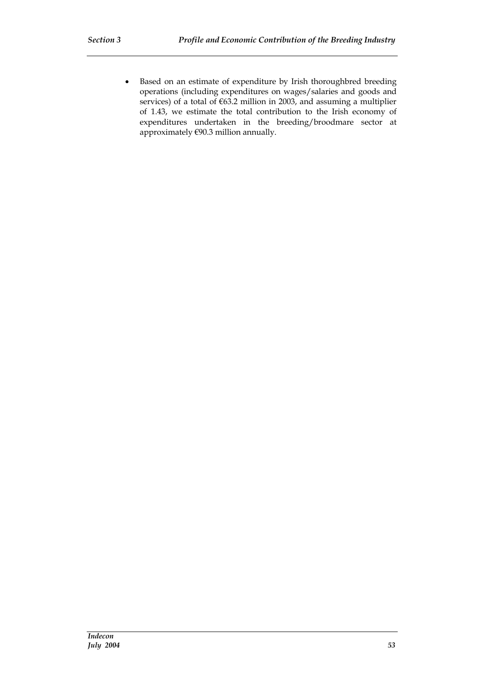Based on an estimate of expenditure by Irish thoroughbred breeding operations (including expenditures on wages/salaries and goods and services) of a total of  $\epsilon$ 63.2 million in 2003, and assuming a multiplier of 1.43, we estimate the total contribution to the Irish economy of expenditures undertaken in the breeding/broodmare sector at approximately €90.3 million annually.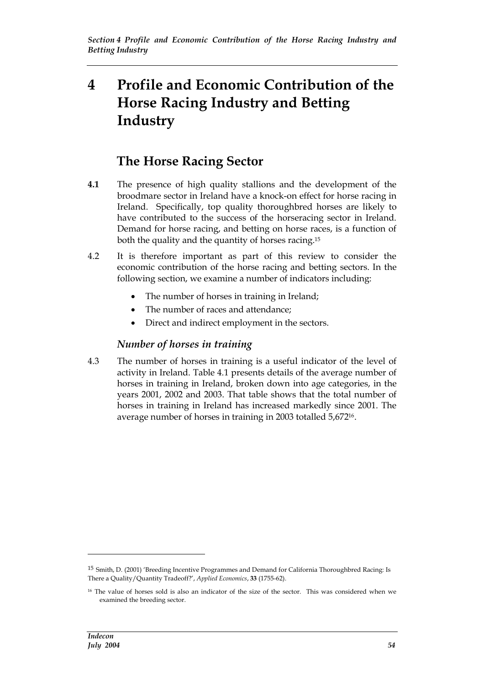# **4 Profile and Economic Contribution of the Horse Racing Industry and Betting Industry**

# **The Horse Racing Sector**

- **4.1** The presence of high quality stallions and the development of the broodmare sector in Ireland have a knock-on effect for horse racing in Ireland. Specifically, top quality thoroughbred horses are likely to have contributed to the success of the horseracing sector in Ireland. Demand for horse racing, and betting on horse races, is a function of both the quality and the quantity of horses racing.<sup>15</sup>
- 4.2 It is therefore important as part of this review to consider the economic contribution of the horse racing and betting sectors. In the following section, we examine a number of indicators including:
	- The number of horses in training in Ireland;
	- The number of races and attendance;
	- Direct and indirect employment in the sectors.

#### *Number of horses in training*

4.3 The number of horses in training is a useful indicator of the level of activity in Ireland. Table 4.1 presents details of the average number of horses in training in Ireland, broken down into age categories, in the years 2001, 2002 and 2003. That table shows that the total number of horses in training in Ireland has increased markedly since 2001. The average number of horses in training in 2003 totalled 5,67216.

<sup>15</sup> Smith, D. (2001) 'Breeding Incentive Programmes and Demand for California Thoroughbred Racing: Is There a Quality/Quantity Tradeoff?', *Applied Economics*, **33** (1755-62).

<sup>&</sup>lt;sup>16</sup> The value of horses sold is also an indicator of the size of the sector. This was considered when we examined the breeding sector.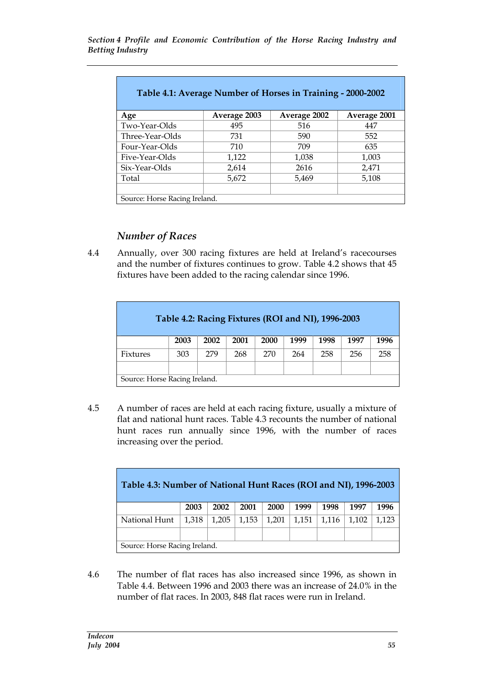| Table 4.1: Average Number of Horses in Training - 2000-2002 |              |              |              |  |  |  |  |  |
|-------------------------------------------------------------|--------------|--------------|--------------|--|--|--|--|--|
| Age                                                         | Average 2003 | Average 2002 | Average 2001 |  |  |  |  |  |
| Two-Year-Olds                                               | 495          | 516          | 447          |  |  |  |  |  |
| Three-Year-Olds                                             | 731          | 590          | 552          |  |  |  |  |  |
| Four-Year-Olds                                              | 710          | 709          | 635          |  |  |  |  |  |
| Five-Year-Olds                                              | 1,122        | 1,038        | 1,003        |  |  |  |  |  |
| Six-Year-Olds                                               | 2,614        | 2616         | 2,471        |  |  |  |  |  |
| Total                                                       | 5,672        | 5,469        | 5,108        |  |  |  |  |  |
|                                                             |              |              |              |  |  |  |  |  |
| Source: Horse Racing Ireland.                               |              |              |              |  |  |  |  |  |

### *Number of Races*

4.4 Annually, over 300 racing fixtures are held at Ireland's racecourses and the number of fixtures continues to grow. Table 4.2 shows that 45 fixtures have been added to the racing calendar since 1996.

| Table 4.2: Racing Fixtures (ROI and NI), 1996-2003 |                               |      |      |      |      |      |      |      |
|----------------------------------------------------|-------------------------------|------|------|------|------|------|------|------|
|                                                    | 2003                          | 2002 | 2001 | 2000 | 1999 | 1998 | 1997 | 1996 |
| Fixtures                                           | 303                           | 279  | 268  | 270  | 264  | 258  | 256  | 258  |
|                                                    |                               |      |      |      |      |      |      |      |
|                                                    | Source: Horse Racing Ireland. |      |      |      |      |      |      |      |

4.5 A number of races are held at each racing fixture, usually a mixture of flat and national hunt races. Table 4.3 recounts the number of national hunt races run annually since 1996, with the number of races increasing over the period.

| Table 4.3: Number of National Hunt Races (ROI and NI), 1996-2003 |       |       |       |       |       |       |       |       |
|------------------------------------------------------------------|-------|-------|-------|-------|-------|-------|-------|-------|
|                                                                  | 2003  | 2002  | 2001  | 2000  | 1999  | 1998  | 1997  | 1996  |
| National Hunt                                                    | 1,318 | 1,205 | 1,153 | 1,201 | 1,151 | 1,116 | 1,102 | 1,123 |
|                                                                  |       |       |       |       |       |       |       |       |
| Source: Horse Racing Ireland.                                    |       |       |       |       |       |       |       |       |

4.6 The number of flat races has also increased since 1996, as shown in Table 4.4. Between 1996 and 2003 there was an increase of 24.0% in the number of flat races. In 2003, 848 flat races were run in Ireland.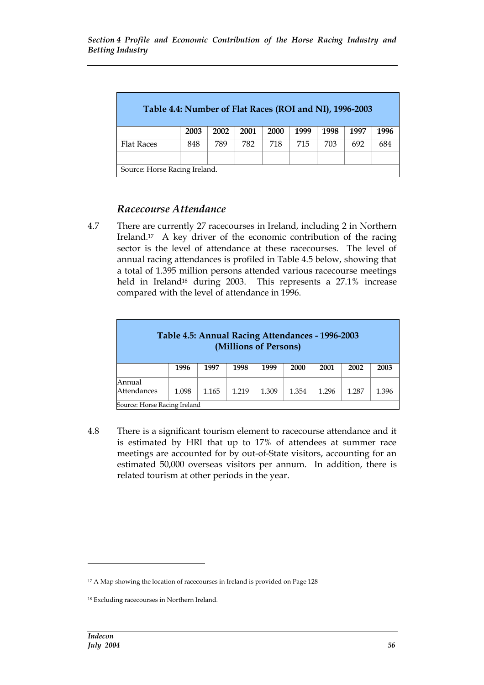| Table 4.4: Number of Flat Races (ROI and NI), 1996-2003 |      |      |      |      |      |      |      |      |
|---------------------------------------------------------|------|------|------|------|------|------|------|------|
|                                                         | 2003 | 2002 | 2001 | 2000 | 1999 | 1998 | 1997 | 1996 |
| <b>Flat Races</b>                                       | 848  | 789  | 782  | 718  | 715  | 703  | 692  | 684  |
|                                                         |      |      |      |      |      |      |      |      |
| Source: Horse Racing Ireland.                           |      |      |      |      |      |      |      |      |

## *Racecourse Attendance*

4.7 There are currently 27 racecourses in Ireland, including 2 in Northern Ireland.<sup>17</sup> A key driver of the economic contribution of the racing sector is the level of attendance at these racecourses. The level of annual racing attendances is profiled in Table 4.5 below, showing that a total of 1.395 million persons attended various racecourse meetings held in Ireland<sup>18</sup> during 2003. This represents a 27.1% increase compared with the level of attendance in 1996.

|                              | Table 4.5: Annual Racing Attendances - 1996-2003 |       | (Millions of Persons) |       |       |       |       |       |
|------------------------------|--------------------------------------------------|-------|-----------------------|-------|-------|-------|-------|-------|
|                              | 1996                                             | 1997  | 1998                  | 1999  | 2000  | 2001  | 2002  | 2003  |
| Annual<br>Attendances        | 1.098                                            | 1.165 | 1.219                 | 1.309 | 1.354 | 1.296 | 1.287 | 1.396 |
| Source: Horse Racing Ireland |                                                  |       |                       |       |       |       |       |       |

4.8 There is a significant tourism element to racecourse attendance and it is estimated by HRI that up to 17% of attendees at summer race meetings are accounted for by out-of-State visitors, accounting for an estimated 50,000 overseas visitors per annum. In addition, there is related tourism at other periods in the year.

<sup>&</sup>lt;sup>17</sup> A Map showing the location of racecourses in Ireland is provided on Page 128

<sup>18</sup> Excluding racecourses in Northern Ireland.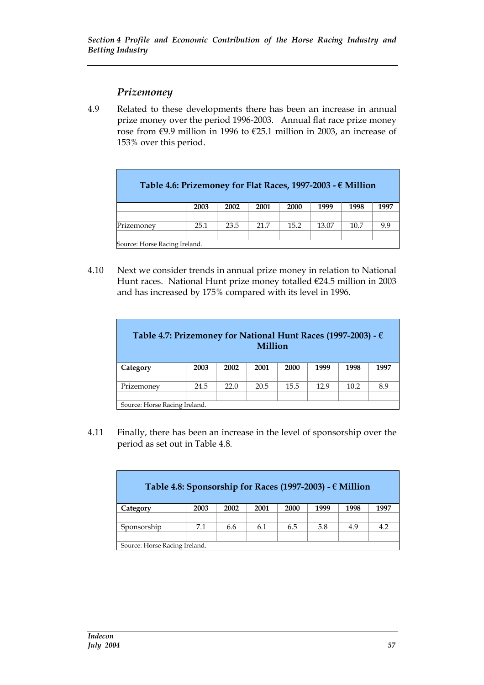### *Prizemoney*

4.9 Related to these developments there has been an increase in annual prize money over the period 1996-2003. Annual flat race prize money rose from €9.9 million in 1996 to €25.1 million in 2003, an increase of 153% over this period.

| Table 4.6: Prizemoney for Flat Races, 1997-2003 - $\epsilon$ Million |      |      |      |      |       |      |      |
|----------------------------------------------------------------------|------|------|------|------|-------|------|------|
|                                                                      | 2003 | 2002 | 2001 | 2000 | 1999  | 1998 | 1997 |
|                                                                      |      |      |      |      |       |      |      |
| Prizemoney                                                           | 25.1 | 23.5 | 21.7 | 15.2 | 13.07 | 10.7 | 9.9  |
|                                                                      |      |      |      |      |       |      |      |
| Source: Horse Racing Ireland.                                        |      |      |      |      |       |      |      |

4.10 Next we consider trends in annual prize money in relation to National Hunt races. National Hunt prize money totalled €24.5 million in 2003 and has increased by 175% compared with its level in 1996.

| Table 4.7: Prizemoney for National Hunt Races (1997-2003) - $\epsilon$<br><b>Million</b> |      |      |      |      |      |      |      |
|------------------------------------------------------------------------------------------|------|------|------|------|------|------|------|
| Category                                                                                 | 2003 | 2002 | 2001 | 2000 | 1999 | 1998 | 1997 |
|                                                                                          |      |      |      |      |      |      |      |
| Prizemoney                                                                               | 24.5 | 22.0 | 20.5 | 15.5 | 12.9 | 10.2 | 8.9  |
|                                                                                          |      |      |      |      |      |      |      |
| Source: Horse Racing Ireland.                                                            |      |      |      |      |      |      |      |

4.11 Finally, there has been an increase in the level of sponsorship over the period as set out in Table 4.8.

| Table 4.8: Sponsorship for Races (1997-2003) - $\epsilon$ Million |      |      |      |      |      |      |      |
|-------------------------------------------------------------------|------|------|------|------|------|------|------|
| Category                                                          | 2003 | 2002 | 2001 | 2000 | 1999 | 1998 | 1997 |
|                                                                   |      |      |      |      |      |      |      |
| Sponsorship                                                       | 7.1  | 6.6  | 6.1  | 6.5  | 5.8  | 4.9  | 4.2  |
|                                                                   |      |      |      |      |      |      |      |
| Source: Horse Racing Ireland.                                     |      |      |      |      |      |      |      |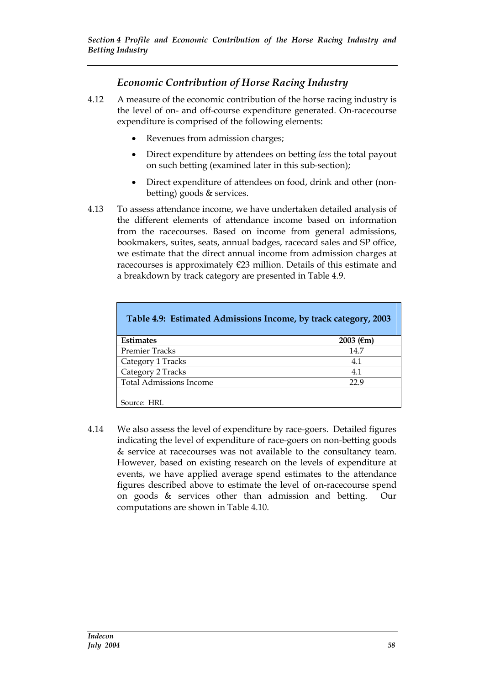## *Economic Contribution of Horse Racing Industry*

- 4.12 A measure of the economic contribution of the horse racing industry is the level of on- and off-course expenditure generated. On-racecourse expenditure is comprised of the following elements:
	- Revenues from admission charges;
	- Direct expenditure by attendees on betting *less* the total payout on such betting (examined later in this sub-section);
	- Direct expenditure of attendees on food, drink and other (nonbetting) goods & services.
- 4.13 To assess attendance income, we have undertaken detailed analysis of the different elements of attendance income based on information from the racecourses. Based on income from general admissions, bookmakers, suites, seats, annual badges, racecard sales and SP office, we estimate that the direct annual income from admission charges at racecourses is approximately €23 million. Details of this estimate and a breakdown by track category are presented in Table 4.9.

| Table 4.9: Estimated Admissions Income, by track category, 2003 |               |
|-----------------------------------------------------------------|---------------|
|                                                                 |               |
| <b>Estimates</b>                                                | 2003 ( $€m$ ) |
| <b>Premier Tracks</b>                                           | 14.7          |
| Category 1 Tracks                                               | 4.1           |
| Category 2 Tracks                                               | 4.1           |
| <b>Total Admissions Income</b>                                  | 22.9          |
|                                                                 |               |
| Source: HRI.                                                    |               |

4.14 We also assess the level of expenditure by race-goers. Detailed figures indicating the level of expenditure of race-goers on non-betting goods & service at racecourses was not available to the consultancy team. However, based on existing research on the levels of expenditure at events, we have applied average spend estimates to the attendance figures described above to estimate the level of on-racecourse spend on goods & services other than admission and betting. Our computations are shown in Table 4.10.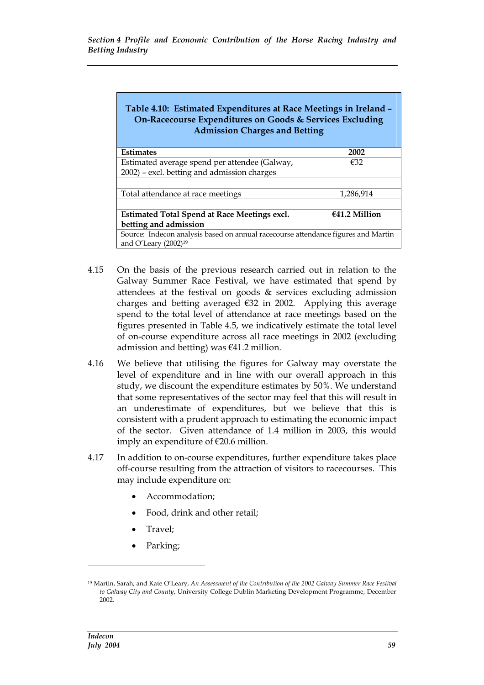| Table 4.10: Estimated Expenditures at Race Meetings in Ireland -<br>On-Racecourse Expenditures on Goods & Services Excluding<br><b>Admission Charges and Betting</b> |           |  |  |  |  |  |
|----------------------------------------------------------------------------------------------------------------------------------------------------------------------|-----------|--|--|--|--|--|
| <b>Estimates</b>                                                                                                                                                     | 2002      |  |  |  |  |  |
| Estimated average spend per attendee (Galway,                                                                                                                        | €32       |  |  |  |  |  |
| 2002) - excl. betting and admission charges                                                                                                                          |           |  |  |  |  |  |
|                                                                                                                                                                      |           |  |  |  |  |  |
| Total attendance at race meetings                                                                                                                                    | 1,286,914 |  |  |  |  |  |
|                                                                                                                                                                      |           |  |  |  |  |  |
| $€41.2$ Million<br>Estimated Total Spend at Race Meetings excl.                                                                                                      |           |  |  |  |  |  |
| betting and admission                                                                                                                                                |           |  |  |  |  |  |
| Source: Indecon analysis based on annual racecourse attendance figures and Martin<br>and O'Leary $(2002)^{19}$                                                       |           |  |  |  |  |  |

- 4.15 On the basis of the previous research carried out in relation to the Galway Summer Race Festival, we have estimated that spend by attendees at the festival on goods & services excluding admission charges and betting averaged  $\epsilon$ 32 in 2002. Applying this average spend to the total level of attendance at race meetings based on the figures presented in Table 4.5, we indicatively estimate the total level of on-course expenditure across all race meetings in 2002 (excluding admission and betting) was  $\epsilon$ 41.2 million.
- 4.16 We believe that utilising the figures for Galway may overstate the level of expenditure and in line with our overall approach in this study, we discount the expenditure estimates by 50%. We understand that some representatives of the sector may feel that this will result in an underestimate of expenditures, but we believe that this is consistent with a prudent approach to estimating the economic impact of the sector. Given attendance of 1.4 million in 2003, this would imply an expenditure of €20.6 million.
- 4.17 In addition to on-course expenditures, further expenditure takes place off-course resulting from the attraction of visitors to racecourses. This may include expenditure on:
	- Accommodation;
	- Food, drink and other retail;
	- Travel;
	- Parking;

<sup>19</sup> Martin, Sarah, and Kate O'Leary, *An Assessment of the Contribution of the 2002 Galway Summer Race Festival to Galway City and County*, University College Dublin Marketing Development Programme, December 2002.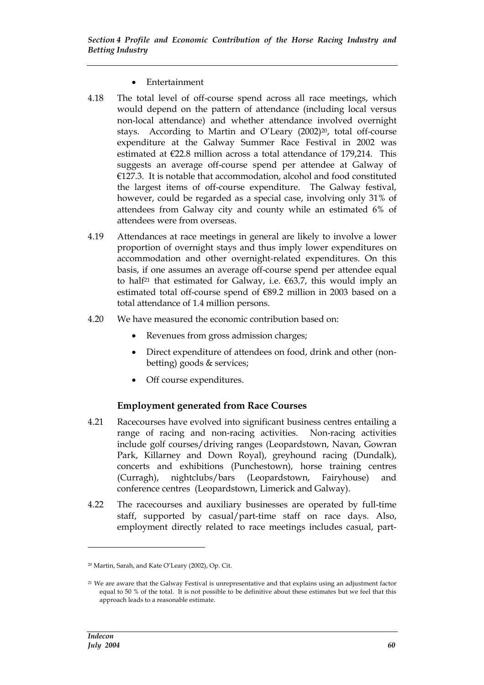#### Entertainment

- 4.18 The total level of off-course spend across all race meetings, which would depend on the pattern of attendance (including local versus non-local attendance) and whether attendance involved overnight stays. According to Martin and O'Leary (2002)20, total off-course expenditure at the Galway Summer Race Festival in 2002 was estimated at €22.8 million across a total attendance of 179,214. This suggests an average off-course spend per attendee at Galway of €127.3. It is notable that accommodation, alcohol and food constituted the largest items of off-course expenditure. The Galway festival, however, could be regarded as a special case, involving only 31% of attendees from Galway city and county while an estimated 6% of attendees were from overseas.
- 4.19 Attendances at race meetings in general are likely to involve a lower proportion of overnight stays and thus imply lower expenditures on accommodation and other overnight-related expenditures. On this basis, if one assumes an average off-course spend per attendee equal to half<sup>21</sup> that estimated for Galway, i.e.  $63.7$ , this would imply an estimated total off-course spend of €89.2 million in 2003 based on a total attendance of 1.4 million persons.
- 4.20 We have measured the economic contribution based on:
	- Revenues from gross admission charges;
	- Direct expenditure of attendees on food, drink and other (nonbetting) goods & services;
	- Off course expenditures.

#### **Employment generated from Race Courses**

- 4.21 Racecourses have evolved into significant business centres entailing a range of racing and non-racing activities. Non-racing activities include golf courses/driving ranges (Leopardstown, Navan, Gowran Park, Killarney and Down Royal), greyhound racing (Dundalk), concerts and exhibitions (Punchestown), horse training centres (Curragh), nightclubs/bars (Leopardstown, Fairyhouse) and conference centres (Leopardstown, Limerick and Galway).
- 4.22 The racecourses and auxiliary businesses are operated by full-time staff, supported by casual/part-time staff on race days. Also, employment directly related to race meetings includes casual, part-

<sup>20</sup> Martin, Sarah, and Kate O'Leary (2002), Op. Cit.

<sup>21</sup> We are aware that the Galway Festival is unrepresentative and that explains using an adjustment factor equal to 50 % of the total. It is not possible to be definitive about these estimates but we feel that this approach leads to a reasonable estimate.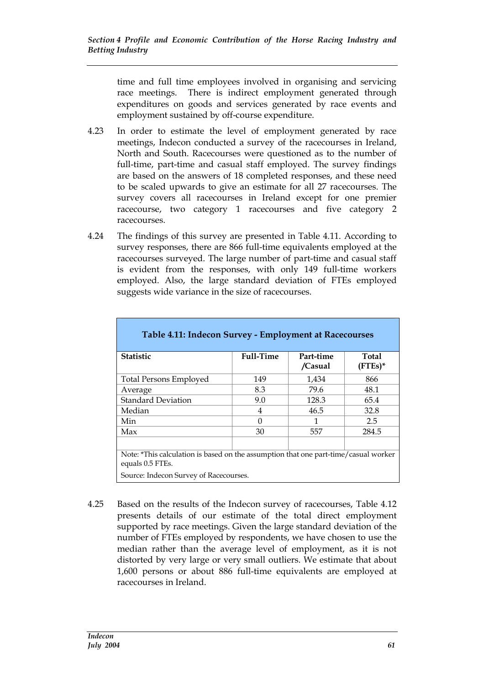time and full time employees involved in organising and servicing race meetings. There is indirect employment generated through expenditures on goods and services generated by race events and employment sustained by off-course expenditure.

- 4.23 In order to estimate the level of employment generated by race meetings, Indecon conducted a survey of the racecourses in Ireland, North and South. Racecourses were questioned as to the number of full-time, part-time and casual staff employed. The survey findings are based on the answers of 18 completed responses, and these need to be scaled upwards to give an estimate for all 27 racecourses. The survey covers all racecourses in Ireland except for one premier racecourse, two category 1 racecourses and five category 2 racecourses.
- 4.24 The findings of this survey are presented in Table 4.11. According to survey responses, there are 866 full-time equivalents employed at the racecourses surveyed. The large number of part-time and casual staff is evident from the responses, with only 149 full-time workers employed. Also, the large standard deviation of FTEs employed suggests wide variance in the size of racecourses.

| Table 4.11: Indecon Survey - Employment at Racecourses                                                  |                  |                      |                            |
|---------------------------------------------------------------------------------------------------------|------------------|----------------------|----------------------------|
| <b>Statistic</b>                                                                                        | <b>Full-Time</b> | Part-time<br>/Casual | <b>Total</b><br>$(FTEs)^*$ |
| <b>Total Persons Employed</b>                                                                           | 149              | 1,434                | 866                        |
| Average                                                                                                 | 8.3              | 79.6                 | 48.1                       |
| <b>Standard Deviation</b>                                                                               | 9.0              | 128.3                | 65.4                       |
| Median                                                                                                  | 4                | 46.5                 | 32.8                       |
| Min                                                                                                     | 0                | 1                    | 2.5                        |
| Max                                                                                                     | 30               | 557                  | 284.5                      |
|                                                                                                         |                  |                      |                            |
| Note: *This calculation is based on the assumption that one part-time/casual worker<br>equals 0.5 FTEs. |                  |                      |                            |
| Source: Indecon Survey of Racecourses.                                                                  |                  |                      |                            |

4.25 Based on the results of the Indecon survey of racecourses, Table 4.12 presents details of our estimate of the total direct employment supported by race meetings. Given the large standard deviation of the number of FTEs employed by respondents, we have chosen to use the median rather than the average level of employment, as it is not distorted by very large or very small outliers. We estimate that about 1,600 persons or about 886 full-time equivalents are employed at racecourses in Ireland.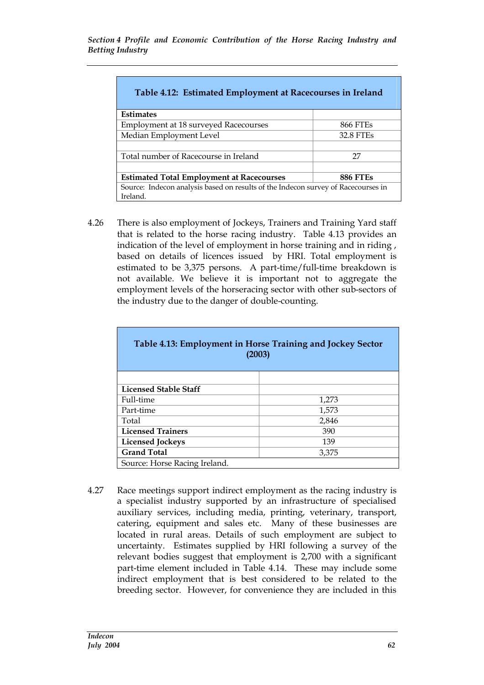| Table 4.12: Estimated Employment at Racecourses in Ireland                        |                 |  |  |  |  |  |
|-----------------------------------------------------------------------------------|-----------------|--|--|--|--|--|
| <b>Estimates</b>                                                                  |                 |  |  |  |  |  |
| <b>Employment at 18 surveyed Racecourses</b>                                      | <b>866 FTEs</b> |  |  |  |  |  |
| Median Employment Level<br>32.8 FTEs                                              |                 |  |  |  |  |  |
|                                                                                   |                 |  |  |  |  |  |
| Total number of Racecourse in Ireland                                             | 27              |  |  |  |  |  |
|                                                                                   |                 |  |  |  |  |  |
| <b>Estimated Total Employment at Racecourses</b><br><b>886 FTEs</b>               |                 |  |  |  |  |  |
| Source: Indecon analysis based on results of the Indecon survey of Racecourses in |                 |  |  |  |  |  |
| Ireland.                                                                          |                 |  |  |  |  |  |

4.26 There is also employment of Jockeys, Trainers and Training Yard staff that is related to the horse racing industry. Table 4.13 provides an indication of the level of employment in horse training and in riding , based on details of licences issued by HRI. Total employment is estimated to be 3,375 persons. A part-time/full-time breakdown is not available. We believe it is important not to aggregate the employment levels of the horseracing sector with other sub-sectors of the industry due to the danger of double-counting.

| Table 4.13: Employment in Horse Training and Jockey Sector<br>(2003) |       |  |  |  |  |  |
|----------------------------------------------------------------------|-------|--|--|--|--|--|
|                                                                      |       |  |  |  |  |  |
| Licensed Stable Staff                                                |       |  |  |  |  |  |
| Full-time                                                            | 1,273 |  |  |  |  |  |
| Part-time                                                            | 1,573 |  |  |  |  |  |
| Total                                                                | 2,846 |  |  |  |  |  |
| <b>Licensed Trainers</b>                                             | 390   |  |  |  |  |  |
| <b>Licensed Jockeys</b>                                              | 139   |  |  |  |  |  |
| <b>Grand Total</b><br>3,375                                          |       |  |  |  |  |  |
| Source: Horse Racing Ireland.                                        |       |  |  |  |  |  |

4.27 Race meetings support indirect employment as the racing industry is a specialist industry supported by an infrastructure of specialised auxiliary services, including media, printing, veterinary, transport, catering, equipment and sales etc. Many of these businesses are located in rural areas. Details of such employment are subject to uncertainty. Estimates supplied by HRI following a survey of the relevant bodies suggest that employment is 2,700 with a significant part-time element included in Table 4.14. These may include some indirect employment that is best considered to be related to the breeding sector. However, for convenience they are included in this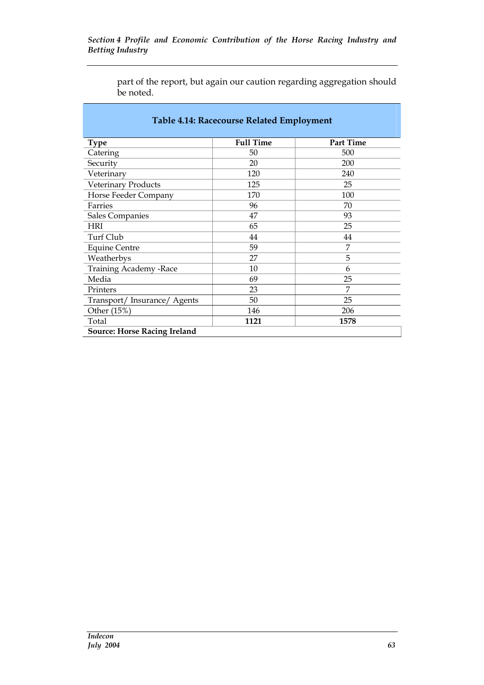|           | part of the report, but again our caution regarding aggregation should |
|-----------|------------------------------------------------------------------------|
| be noted. |                                                                        |

| <b>Table 4.14: Racecourse Related Employment</b> |                  |                  |  |  |  |  |
|--------------------------------------------------|------------------|------------------|--|--|--|--|
| <b>Type</b>                                      | <b>Full Time</b> | <b>Part Time</b> |  |  |  |  |
| Catering                                         | 50               | 500              |  |  |  |  |
| Security                                         | 20               | 200              |  |  |  |  |
| Veterinary                                       | 120              | 240              |  |  |  |  |
| Veterinary Products                              | 125              | 25               |  |  |  |  |
| Horse Feeder Company                             | 170              | 100              |  |  |  |  |
| Farries                                          | 96               | 70               |  |  |  |  |
| Sales Companies                                  | 47               | 93               |  |  |  |  |
| <b>HRI</b>                                       | 65               | 25               |  |  |  |  |
| Turf Club                                        | 44               | 44               |  |  |  |  |
| <b>Equine Centre</b>                             | 59               | 7                |  |  |  |  |
| Weatherbys                                       | 27               | 5                |  |  |  |  |
| <b>Training Academy -Race</b>                    | 10               | 6                |  |  |  |  |
| Media                                            | 69               | 25               |  |  |  |  |
| Printers                                         | 23               | 7                |  |  |  |  |
| Transport/Insurance/Agents                       | 50               | 25               |  |  |  |  |
| Other (15%)                                      | 146              | 206              |  |  |  |  |
| Total                                            | 1121             | 1578             |  |  |  |  |
| <b>Source: Horse Racing Ireland</b>              |                  |                  |  |  |  |  |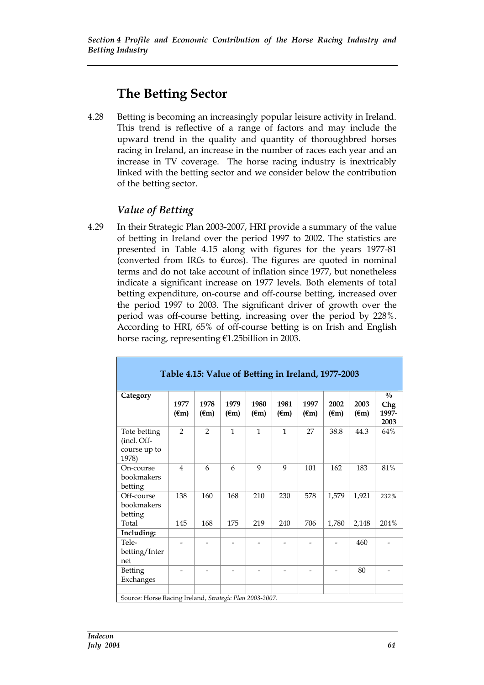## **The Betting Sector**

4.28 Betting is becoming an increasingly popular leisure activity in Ireland. This trend is reflective of a range of factors and may include the upward trend in the quality and quantity of thoroughbred horses racing in Ireland, an increase in the number of races each year and an increase in TV coverage. The horse racing industry is inextricably linked with the betting sector and we consider below the contribution of the betting sector.

#### *Value of Betting*

4.29 In their Strategic Plan 2003-2007, HRI provide a summary of the value of betting in Ireland over the period 1997 to 2002. The statistics are presented in Table 4.15 along with figures for the years 1977-81 (converted from IR£s to  $E$ uros). The figures are quoted in nominal terms and do not take account of inflation since 1977, but nonetheless indicate a significant increase on 1977 levels. Both elements of total betting expenditure, on-course and off-course betting, increased over the period 1997 to 2003. The significant driver of growth over the period was off-course betting, increasing over the period by 228%. According to HRI, 65% of off-course betting is on Irish and English horse racing, representing €1.25billion in 2003.

| Table 4.15: Value of Betting in Ireland, 1977-2003      |                        |                        |                        |                        |                        |                        |                          |                        |                                       |
|---------------------------------------------------------|------------------------|------------------------|------------------------|------------------------|------------------------|------------------------|--------------------------|------------------------|---------------------------------------|
| Category                                                | 1977<br>$(\epsilon m)$ | 1978<br>$(\epsilon m)$ | 1979<br>$(\epsilon m)$ | 1980<br>$(\epsilon m)$ | 1981<br>$(\epsilon m)$ | 1997<br>$(\epsilon m)$ | 2002<br>$(\epsilon m)$   | 2003<br>$(\epsilon m)$ | $\frac{0}{0}$<br>Chg<br>1997-<br>2003 |
| Tote betting<br>(incl. Off-<br>course up to<br>1978)    | $\overline{2}$         | $\mathcal{P}$          | $\mathbf{1}$           | $\mathbf{1}$           | $\mathbf{1}$           | 27                     | 38.8                     | 44.3                   | 64%                                   |
| On-course<br>bookmakers<br>betting                      | $\overline{4}$         | 6                      | 6                      | 9                      | 9                      | 101                    | 162                      | 183                    | 81%                                   |
| Off-course<br>bookmakers<br>betting                     | 138                    | 160                    | 168                    | 210                    | 230                    | 578                    | 1,579                    | 1,921                  | 232%                                  |
| Total                                                   | 145                    | 168                    | 175                    | 219                    | 240                    | 706                    | 1,780                    | 2,148                  | 204%                                  |
| Including:                                              |                        |                        |                        |                        |                        |                        |                          |                        |                                       |
| Tele-<br>betting/Inter<br>net                           |                        |                        |                        |                        |                        |                        | $\overline{\phantom{0}}$ | 460                    |                                       |
| Betting<br>Exchanges                                    |                        |                        |                        |                        |                        |                        |                          | 80                     |                                       |
|                                                         |                        |                        |                        |                        |                        |                        |                          |                        |                                       |
| Source: Horse Racing Ireland, Strategic Plan 2003-2007. |                        |                        |                        |                        |                        |                        |                          |                        |                                       |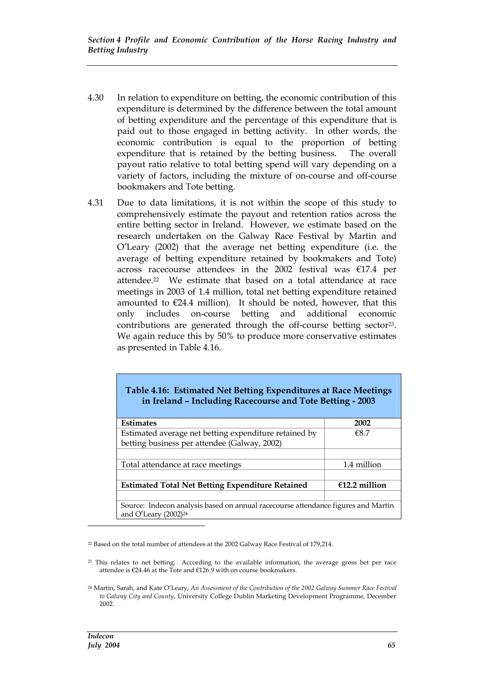- 4.30 In relation to expenditure on betting, the economic contribution of this expenditure is determined by the difference between the total amount of betting expenditure and the percentage of this expenditure that is paid out to those engaged in betting activity. In other words, the economic contribution is equal to the proportion of betting expenditure that is retained by the betting business. The overall payout ratio relative to total betting spend will vary depending on a variety of factors, including the mixture of on-course and off-course bookmakers and Tote betting.
- 4.31 Due to data limitations, it is not within the scope of this study to comprehensively estimate the payout and retention ratios across the entire betting sector in Ireland. However, we estimate based on the research undertaken on the Galway Race Festival by Martin and O'Leary (2002) that the average net betting expenditure (i.e. the average of betting expenditure retained by bookmakers and Tote) across racecourse attendees in the 2002 festival was €17.4 per attendee.<sup>22</sup> We estimate that based on a total attendance at race meetings in 2003 of 1.4 million, total net betting expenditure retained amounted to  $\epsilon$ 24.4 million). It should be noted, however, that this only includes on-course betting and additional economic contributions are generated through the off-course betting sector<sup>23</sup>. We again reduce this by 50% to produce more conservative estimates as presented in Table 4.16.

#### **Table 4.16: Estimated Net Betting Expenditures at Race Meetings in Ireland – Including Racecourse and Tote Betting - 2003**

| <b>Estimates</b>                                                                                               | 2002            |
|----------------------------------------------------------------------------------------------------------------|-----------------|
| Estimated average net betting expenditure retained by                                                          | €8.7            |
| betting business per attendee (Galway, 2002)                                                                   |                 |
|                                                                                                                |                 |
| Total attendance at race meetings                                                                              | 1.4 million     |
|                                                                                                                |                 |
| <b>Estimated Total Net Betting Expenditure Retained</b>                                                        | $£12.2$ million |
|                                                                                                                |                 |
| Source: Indecon analysis based on annual racecourse attendance figures and Martin<br>and O'Leary $(2002)^{24}$ |                 |

<sup>22</sup> Based on the total number of attendees at the 2002 Galway Race Festival of 179,214.

<sup>&</sup>lt;sup>23</sup> This relates to net betting. According to the available information, the average gross bet per race attendee is €24.46 at the Tote and €126.9 with on course bookmakers.

<sup>24</sup> Martin, Sarah, and Kate O'Leary, *An Assessment of the Contribution of the 2002 Galway Summer Race Festival to Galway City and County*, University College Dublin Marketing Development Programme, December 2002.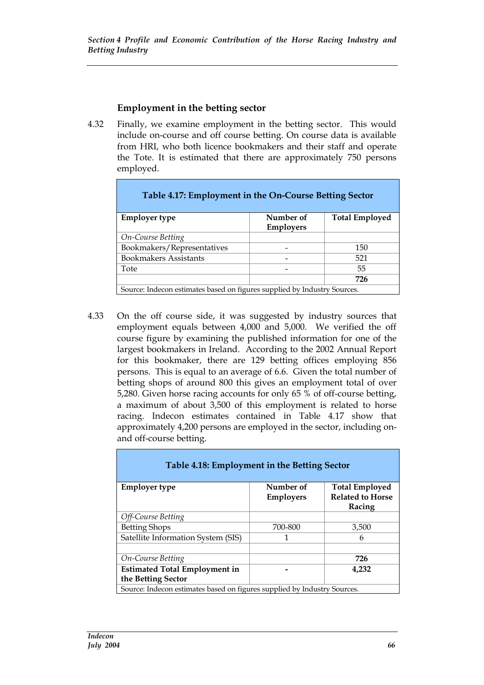#### **Employment in the betting sector**

4.32 Finally, we examine employment in the betting sector. This would include on-course and off course betting. On course data is available from HRI, who both licence bookmakers and their staff and operate the Tote. It is estimated that there are approximately 750 persons employed.

| Table 4.17: Employment in the On-Course Betting Sector                   |                               |                       |
|--------------------------------------------------------------------------|-------------------------------|-----------------------|
| <b>Employer type</b>                                                     | Number of<br><b>Employers</b> | <b>Total Employed</b> |
| On-Course Betting                                                        |                               |                       |
| Bookmakers/Representatives                                               |                               | 150                   |
| <b>Bookmakers Assistants</b>                                             |                               | 521                   |
| Tote                                                                     |                               | 55                    |
|                                                                          |                               | 726                   |
| Source: Indecon estimates based on figures supplied by Industry Sources. |                               |                       |

4.33 On the off course side, it was suggested by industry sources that employment equals between 4,000 and 5,000. We verified the off course figure by examining the published information for one of the largest bookmakers in Ireland. According to the 2002 Annual Report for this bookmaker, there are 129 betting offices employing 856 persons. This is equal to an average of 6.6. Given the total number of betting shops of around 800 this gives an employment total of over 5,280. Given horse racing accounts for only 65 % of off-course betting, a maximum of about 3,500 of this employment is related to horse racing. Indecon estimates contained in Table 4.17 show that approximately 4,200 persons are employed in the sector, including onand off-course betting.

| Table 4.18: Employment in the Betting Sector                             |                               |                                                            |  |  |  |  |
|--------------------------------------------------------------------------|-------------------------------|------------------------------------------------------------|--|--|--|--|
| <b>Employer type</b>                                                     | Number of<br><b>Employers</b> | <b>Total Employed</b><br><b>Related to Horse</b><br>Racing |  |  |  |  |
| Off-Course Betting                                                       |                               |                                                            |  |  |  |  |
| <b>Betting Shops</b>                                                     | 700-800                       | 3,500                                                      |  |  |  |  |
| Satellite Information System (SIS)                                       | 1                             | 6                                                          |  |  |  |  |
| <b>On-Course Betting</b>                                                 |                               | 726                                                        |  |  |  |  |
| <b>Estimated Total Employment in</b><br>4,232<br>the Betting Sector      |                               |                                                            |  |  |  |  |
| Source: Indecon estimates based on figures supplied by Industry Sources. |                               |                                                            |  |  |  |  |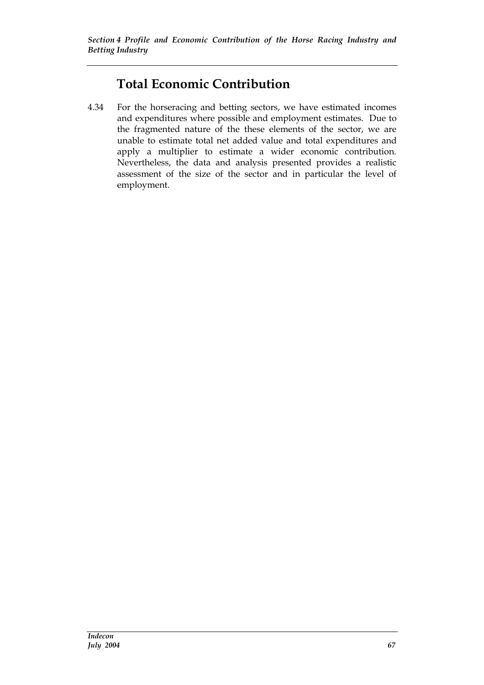## **Total Economic Contribution**

4.34 For the horseracing and betting sectors, we have estimated incomes and expenditures where possible and employment estimates. Due to the fragmented nature of the these elements of the sector, we are unable to estimate total net added value and total expenditures and apply a multiplier to estimate a wider economic contribution. Nevertheless, the data and analysis presented provides a realistic assessment of the size of the sector and in particular the level of employment.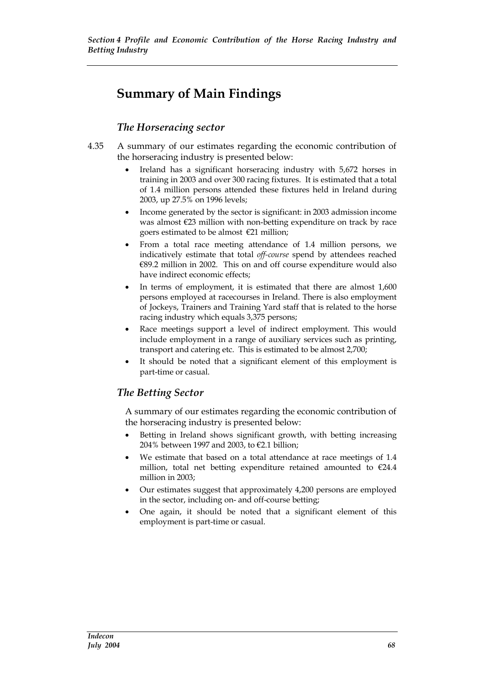## **Summary of Main Findings**

#### *The Horseracing sector*

- 4.35 A summary of our estimates regarding the economic contribution of the horseracing industry is presented below:
	- Ireland has a significant horseracing industry with 5,672 horses in training in 2003 and over 300 racing fixtures. It is estimated that a total of 1.4 million persons attended these fixtures held in Ireland during 2003, up 27.5% on 1996 levels;
	- Income generated by the sector is significant: in 2003 admission income was almost €23 million with non-betting expenditure on track by race goers estimated to be almost  $\epsilon$ 21 million;
	- From a total race meeting attendance of 1.4 million persons, we indicatively estimate that total *off-course* spend by attendees reached €89.2 million in 2002. This on and off course expenditure would also have indirect economic effects;
	- In terms of employment, it is estimated that there are almost 1,600 persons employed at racecourses in Ireland. There is also employment of Jockeys, Trainers and Training Yard staff that is related to the horse racing industry which equals 3,375 persons;
	- Race meetings support a level of indirect employment. This would include employment in a range of auxiliary services such as printing, transport and catering etc. This is estimated to be almost 2,700;
	- It should be noted that a significant element of this employment is part-time or casual.

#### *The Betting Sector*

A summary of our estimates regarding the economic contribution of the horseracing industry is presented below:

- Betting in Ireland shows significant growth, with betting increasing 204% between 1997 and 2003, to €2.1 billion;
- We estimate that based on a total attendance at race meetings of 1.4 million, total net betting expenditure retained amounted to  $€24.4$ million in 2003;
- Our estimates suggest that approximately 4,200 persons are employed in the sector, including on- and off-course betting;
- One again, it should be noted that a significant element of this employment is part-time or casual.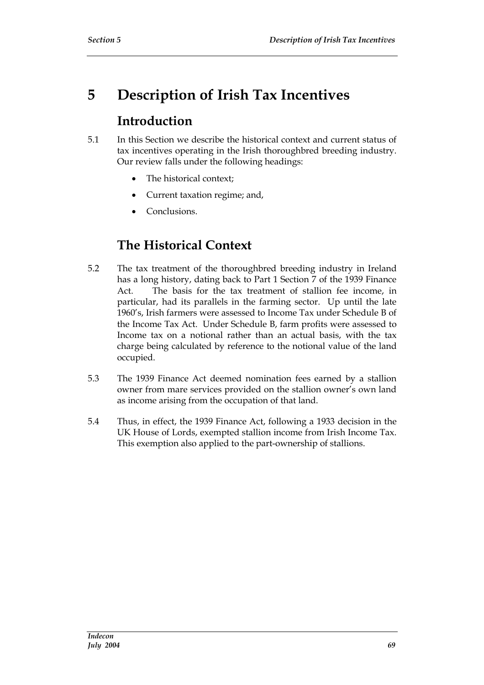# **5 Description of Irish Tax Incentives**

### **Introduction**

- 5.1 In this Section we describe the historical context and current status of tax incentives operating in the Irish thoroughbred breeding industry. Our review falls under the following headings:
	- The historical context:
	- Current taxation regime; and,
	- Conclusions.

## **The Historical Context**

- 5.2 The tax treatment of the thoroughbred breeding industry in Ireland has a long history, dating back to Part 1 Section 7 of the 1939 Finance Act. The basis for the tax treatment of stallion fee income, in particular, had its parallels in the farming sector. Up until the late 1960's, Irish farmers were assessed to Income Tax under Schedule B of the Income Tax Act. Under Schedule B, farm profits were assessed to Income tax on a notional rather than an actual basis, with the tax charge being calculated by reference to the notional value of the land occupied.
- 5.3 The 1939 Finance Act deemed nomination fees earned by a stallion owner from mare services provided on the stallion owner's own land as income arising from the occupation of that land.
- 5.4 Thus, in effect, the 1939 Finance Act, following a 1933 decision in the UK House of Lords, exempted stallion income from Irish Income Tax. This exemption also applied to the part-ownership of stallions.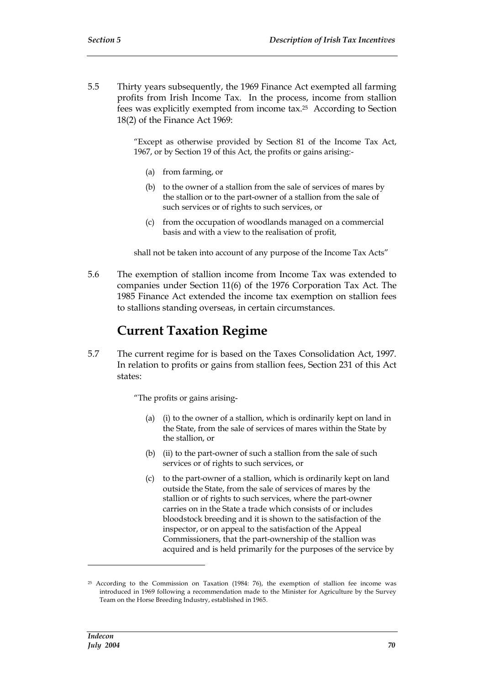5.5 Thirty years subsequently, the 1969 Finance Act exempted all farming profits from Irish Income Tax. In the process, income from stallion fees was explicitly exempted from income tax.<sup>25</sup> According to Section 18(2) of the Finance Act 1969:

> "Except as otherwise provided by Section 81 of the Income Tax Act, 1967, or by Section 19 of this Act, the profits or gains arising:-

- (a) from farming, or
- (b) to the owner of a stallion from the sale of services of mares by the stallion or to the part-owner of a stallion from the sale of such services or of rights to such services, or
- (c) from the occupation of woodlands managed on a commercial basis and with a view to the realisation of profit,

shall not be taken into account of any purpose of the Income Tax Acts"

5.6 The exemption of stallion income from Income Tax was extended to companies under Section 11(6) of the 1976 Corporation Tax Act. The 1985 Finance Act extended the income tax exemption on stallion fees to stallions standing overseas, in certain circumstances.

### **Current Taxation Regime**

5.7 The current regime for is based on the Taxes Consolidation Act, 1997. In relation to profits or gains from stallion fees, Section 231 of this Act states:

"The profits or gains arising-

- (a) (i) to the owner of a stallion, which is ordinarily kept on land in the State, from the sale of services of mares within the State by the stallion, or
- (b) (ii) to the part-owner of such a stallion from the sale of such services or of rights to such services, or
- (c) to the part-owner of a stallion, which is ordinarily kept on land outside the State, from the sale of services of mares by the stallion or of rights to such services, where the part-owner carries on in the State a trade which consists of or includes bloodstock breeding and it is shown to the satisfaction of the inspector, or on appeal to the satisfaction of the Appeal Commissioners, that the part-ownership of the stallion was acquired and is held primarily for the purposes of the service by

 $25$  According to the Commission on Taxation (1984: 76), the exemption of stallion fee income was introduced in 1969 following a recommendation made to the Minister for Agriculture by the Survey Team on the Horse Breeding Industry, established in 1965.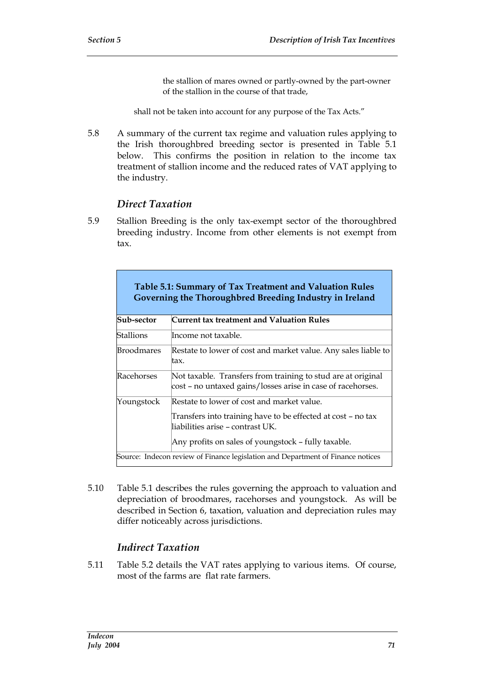the stallion of mares owned or partly-owned by the part-owner of the stallion in the course of that trade,

shall not be taken into account for any purpose of the Tax Acts."

5.8 A summary of the current tax regime and valuation rules applying to the Irish thoroughbred breeding sector is presented in Table 5.1 below. This confirms the position in relation to the income tax treatment of stallion income and the reduced rates of VAT applying to the industry.

#### *Direct Taxation*

5.9 Stallion Breeding is the only tax-exempt sector of the thoroughbred breeding industry. Income from other elements is not exempt from tax.

|                   | Table 5.1: Summary of Tax Treatment and Valuation Rules<br>Governing the Thoroughbred Breeding Industry in Ireland                                                                                    |
|-------------------|-------------------------------------------------------------------------------------------------------------------------------------------------------------------------------------------------------|
| Sub-sector        | Current tax treatment and Valuation Rules                                                                                                                                                             |
| Stallions         | Income not taxable.                                                                                                                                                                                   |
| <b>Broodmares</b> | Restate to lower of cost and market value. Any sales liable to<br>ltax.                                                                                                                               |
| Racehorses        | Not taxable. Transfers from training to stud are at original<br>cost - no untaxed gains/losses arise in case of racehorses.                                                                           |
| Youngstock        | Restate to lower of cost and market value.<br>Transfers into training have to be effected at cost – no tax<br>liabilities arise – contrast UK.<br>Any profits on sales of youngstock – fully taxable. |
|                   | Source: Indecon review of Finance legislation and Department of Finance notices                                                                                                                       |

5.10 Table 5.1 describes the rules governing the approach to valuation and depreciation of broodmares, racehorses and youngstock. As will be described in Section 6, taxation, valuation and depreciation rules may differ noticeably across jurisdictions.

#### *Indirect Taxation*

5.11 Table 5.2 details the VAT rates applying to various items. Of course, most of the farms are flat rate farmers.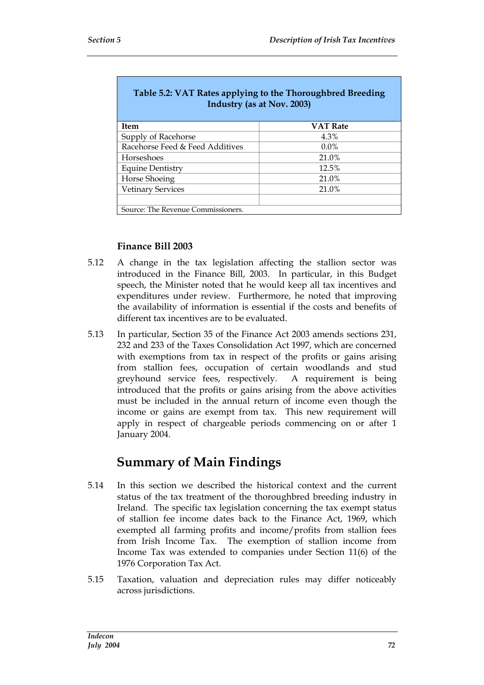| Table 5.2: VAT Rates applying to the Thoroughbred Breeding<br>Industry (as at Nov. 2003) |                 |  |  |  |  |  |
|------------------------------------------------------------------------------------------|-----------------|--|--|--|--|--|
| Item                                                                                     | <b>VAT Rate</b> |  |  |  |  |  |
| Supply of Racehorse                                                                      | 4.3%            |  |  |  |  |  |
| Racehorse Feed & Feed Additives                                                          | $0.0\%$         |  |  |  |  |  |
| Horseshoes                                                                               | 21.0%           |  |  |  |  |  |
| <b>Equine Dentistry</b>                                                                  | 12.5%           |  |  |  |  |  |
| Horse Shoeing                                                                            | 21.0%           |  |  |  |  |  |
| <b>Vetinary Services</b>                                                                 | 21.0%           |  |  |  |  |  |
|                                                                                          |                 |  |  |  |  |  |
| Source: The Revenue Commissioners.                                                       |                 |  |  |  |  |  |

#### **Finance Bill 2003**

- 5.12 A change in the tax legislation affecting the stallion sector was introduced in the Finance Bill, 2003. In particular, in this Budget speech, the Minister noted that he would keep all tax incentives and expenditures under review. Furthermore, he noted that improving the availability of information is essential if the costs and benefits of different tax incentives are to be evaluated.
- 5.13 In particular, Section 35 of the Finance Act 2003 amends sections 231, 232 and 233 of the Taxes Consolidation Act 1997, which are concerned with exemptions from tax in respect of the profits or gains arising from stallion fees, occupation of certain woodlands and stud greyhound service fees, respectively. A requirement is being introduced that the profits or gains arising from the above activities must be included in the annual return of income even though the income or gains are exempt from tax. This new requirement will apply in respect of chargeable periods commencing on or after 1 January 2004.

### **Summary of Main Findings**

- 5.14 In this section we described the historical context and the current status of the tax treatment of the thoroughbred breeding industry in Ireland. The specific tax legislation concerning the tax exempt status of stallion fee income dates back to the Finance Act, 1969, which exempted all farming profits and income/profits from stallion fees from Irish Income Tax. The exemption of stallion income from Income Tax was extended to companies under Section 11(6) of the 1976 Corporation Tax Act.
- 5.15 Taxation, valuation and depreciation rules may differ noticeably across jurisdictions.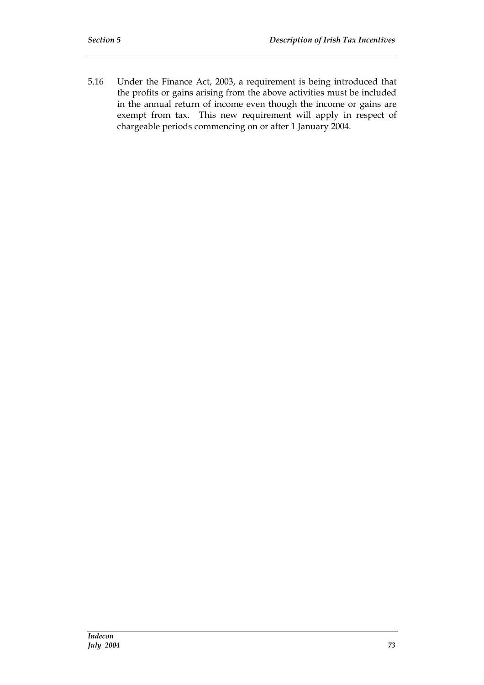5.16 Under the Finance Act, 2003, a requirement is being introduced that the profits or gains arising from the above activities must be included in the annual return of income even though the income or gains are exempt from tax. This new requirement will apply in respect of chargeable periods commencing on or after 1 January 2004.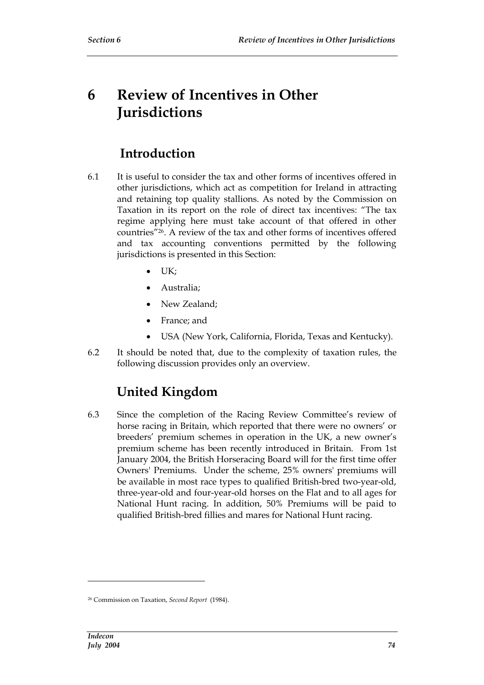# **6 Review of Incentives in Other Jurisdictions**

### **Introduction**

- 6.1 It is useful to consider the tax and other forms of incentives offered in other jurisdictions, which act as competition for Ireland in attracting and retaining top quality stallions. As noted by the Commission on Taxation in its report on the role of direct tax incentives: "The tax regime applying here must take account of that offered in other countries"26. A review of the tax and other forms of incentives offered and tax accounting conventions permitted by the following jurisdictions is presented in this Section:
	- $\bullet$  UK;
	- Australia;
	- New Zealand;
	- France; and
	- USA (New York, California, Florida, Texas and Kentucky).
- 6.2 It should be noted that, due to the complexity of taxation rules, the following discussion provides only an overview.

## **United Kingdom**

6.3 Since the completion of the Racing Review Committee's review of horse racing in Britain, which reported that there were no owners' or breeders' premium schemes in operation in the UK, a new owner's premium scheme has been recently introduced in Britain. From 1st January 2004, the British Horseracing Board will for the first time offer Owners' Premiums. Under the scheme, 25% owners' premiums will be available in most race types to qualified British-bred two-year-old, three-year-old and four-year-old horses on the Flat and to all ages for National Hunt racing. In addition, 50% Premiums will be paid to qualified British-bred fillies and mares for National Hunt racing.

<sup>26</sup> Commission on Taxation, *Second Report* (1984).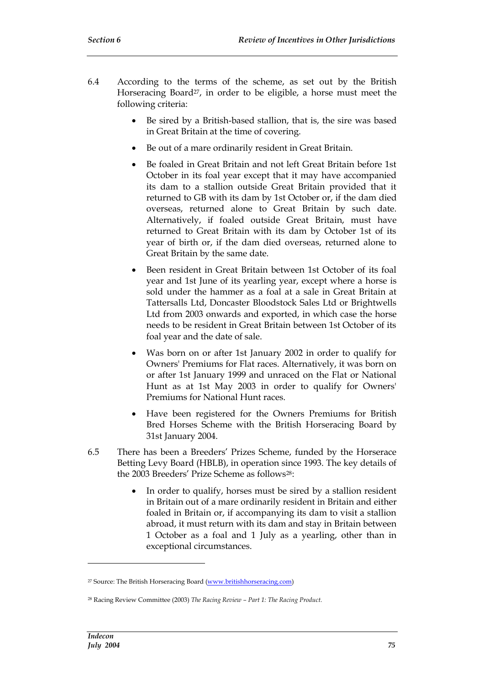- 6.4 According to the terms of the scheme, as set out by the British Horseracing Board<sup>27</sup>, in order to be eligible, a horse must meet the following criteria:
	- Be sired by a British-based stallion, that is, the sire was based in Great Britain at the time of covering.
	- Be out of a mare ordinarily resident in Great Britain.
	- Be foaled in Great Britain and not left Great Britain before 1st October in its foal year except that it may have accompanied its dam to a stallion outside Great Britain provided that it returned to GB with its dam by 1st October or, if the dam died overseas, returned alone to Great Britain by such date. Alternatively, if foaled outside Great Britain, must have returned to Great Britain with its dam by October 1st of its year of birth or, if the dam died overseas, returned alone to Great Britain by the same date.
	- Been resident in Great Britain between 1st October of its foal year and 1st June of its yearling year, except where a horse is sold under the hammer as a foal at a sale in Great Britain at Tattersalls Ltd, Doncaster Bloodstock Sales Ltd or Brightwells Ltd from 2003 onwards and exported, in which case the horse needs to be resident in Great Britain between 1st October of its foal year and the date of sale.
	- Was born on or after 1st January 2002 in order to qualify for Owners' Premiums for Flat races. Alternatively, it was born on or after 1st January 1999 and unraced on the Flat or National Hunt as at 1st May 2003 in order to qualify for Owners' Premiums for National Hunt races.
	- Have been registered for the Owners Premiums for British Bred Horses Scheme with the British Horseracing Board by 31st January 2004.
- 6.5 There has been a Breeders' Prizes Scheme, funded by the Horserace Betting Levy Board (HBLB), in operation since 1993. The key details of the 2003 Breeders' Prize Scheme as follows<sup>28</sup>:
	- In order to qualify, horses must be sired by a stallion resident in Britain out of a mare ordinarily resident in Britain and either foaled in Britain or, if accompanying its dam to visit a stallion abroad, it must return with its dam and stay in Britain between 1 October as a foal and 1 July as a yearling, other than in exceptional circumstances.

<sup>&</sup>lt;sup>27</sup> Source: The British Horseracing Board (www.britishhorseracing.com)

<sup>28</sup> Racing Review Committee (2003) *The Racing Review – Part 1: The Racing Product.*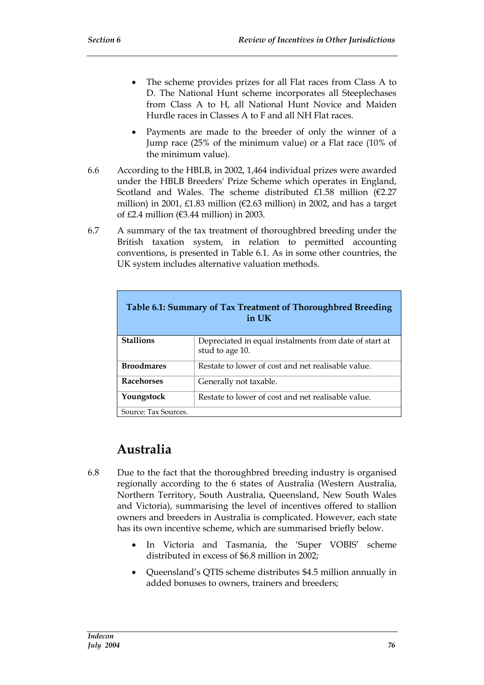- The scheme provides prizes for all Flat races from Class A to D. The National Hunt scheme incorporates all Steeplechases from Class A to H, all National Hunt Novice and Maiden Hurdle races in Classes A to F and all NH Flat races.
- Payments are made to the breeder of only the winner of a Jump race (25% of the minimum value) or a Flat race (10% of the minimum value).
- 6.6 According to the HBLB, in 2002, 1,464 individual prizes were awarded under the HBLB Breeders' Prize Scheme which operates in England, Scotland and Wales. The scheme distributed £1.58 million (€2.27 million) in 2001, £1.83 million ( $\epsilon$ 2.63 million) in 2002, and has a target of  $£2.4$  million ( $€3.44$  million) in 2003.
- 6.7 A summary of the tax treatment of thoroughbred breeding under the British taxation system, in relation to permitted accounting conventions, is presented in Table 6.1. As in some other countries, the UK system includes alternative valuation methods.

| Table 6.1: Summary of Tax Treatment of Thoroughbred Breeding<br>in UK |                                                                           |  |  |  |  |
|-----------------------------------------------------------------------|---------------------------------------------------------------------------|--|--|--|--|
| <b>Stallions</b>                                                      | Depreciated in equal instalments from date of start at<br>stud to age 10. |  |  |  |  |
| <b>Broodmares</b>                                                     | Restate to lower of cost and net realisable value.                        |  |  |  |  |
| <b>Racehorses</b>                                                     | Generally not taxable.                                                    |  |  |  |  |
| Youngstock                                                            | Restate to lower of cost and net realisable value.                        |  |  |  |  |
| Source: Tax Sources.                                                  |                                                                           |  |  |  |  |

## **Australia**

- 6.8 Due to the fact that the thoroughbred breeding industry is organised regionally according to the 6 states of Australia (Western Australia, Northern Territory, South Australia, Queensland, New South Wales and Victoria), summarising the level of incentives offered to stallion owners and breeders in Australia is complicated. However, each state has its own incentive scheme, which are summarised briefly below.
	- In Victoria and Tasmania, the 'Super VOBIS' scheme distributed in excess of \$6.8 million in 2002;
	- Queensland's QTIS scheme distributes \$4.5 million annually in added bonuses to owners, trainers and breeders;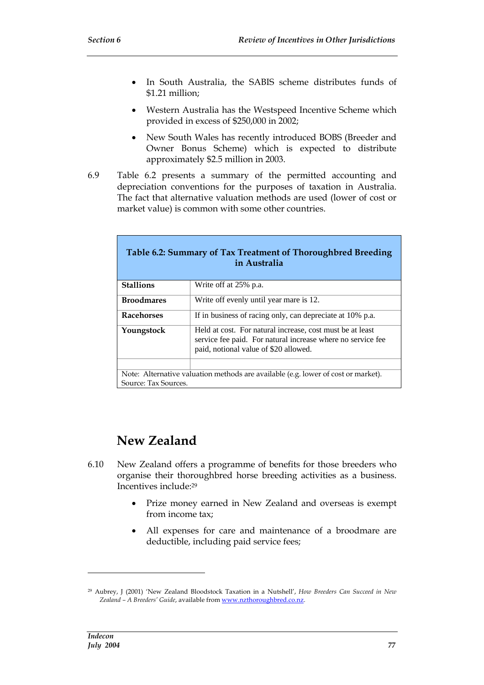- In South Australia, the SABIS scheme distributes funds of \$1.21 million;
- Western Australia has the Westspeed Incentive Scheme which provided in excess of \$250,000 in 2002;
- New South Wales has recently introduced BOBS (Breeder and Owner Bonus Scheme) which is expected to distribute approximately \$2.5 million in 2003.
- 6.9 Table 6.2 presents a summary of the permitted accounting and depreciation conventions for the purposes of taxation in Australia. The fact that alternative valuation methods are used (lower of cost or market value) is common with some other countries.

|                      | Table 6.2: Summary of Tax Treatment of Thoroughbred Breeding<br>in Australia                                                                                      |
|----------------------|-------------------------------------------------------------------------------------------------------------------------------------------------------------------|
| <b>Stallions</b>     | Write off at 25% p.a.                                                                                                                                             |
| <b>Broodmares</b>    | Write off evenly until year mare is 12.                                                                                                                           |
| <b>Racehorses</b>    | If in business of racing only, can depreciate at 10% p.a.                                                                                                         |
| Youngstock           | Held at cost. For natural increase, cost must be at least<br>service fee paid. For natural increase where no service fee<br>paid, notional value of \$20 allowed. |
|                      |                                                                                                                                                                   |
| Source: Tax Sources. | Note: Alternative valuation methods are available (e.g. lower of cost or market).                                                                                 |

## **New Zealand**

- 6.10 New Zealand offers a programme of benefits for those breeders who organise their thoroughbred horse breeding activities as a business. Incentives include:<sup>29</sup>
	- Prize money earned in New Zealand and overseas is exempt from income tax;
	- All expenses for care and maintenance of a broodmare are deductible, including paid service fees;

<sup>29</sup> Aubrey, J (2001) 'New Zealand Bloodstock Taxation in a Nutshell', *How Breeders Can Succeed in New Zealand – A Breeders' Guide*, available from www.nzthoroughbred.co.nz.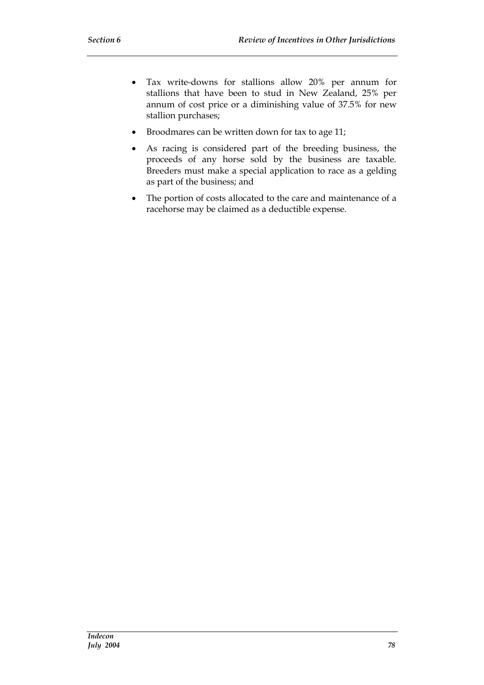- Tax write-downs for stallions allow 20% per annum for stallions that have been to stud in New Zealand, 25% per annum of cost price or a diminishing value of 37.5% for new stallion purchases;
- Broodmares can be written down for tax to age 11;
- As racing is considered part of the breeding business, the proceeds of any horse sold by the business are taxable. Breeders must make a special application to race as a gelding as part of the business; and
- The portion of costs allocated to the care and maintenance of a racehorse may be claimed as a deductible expense.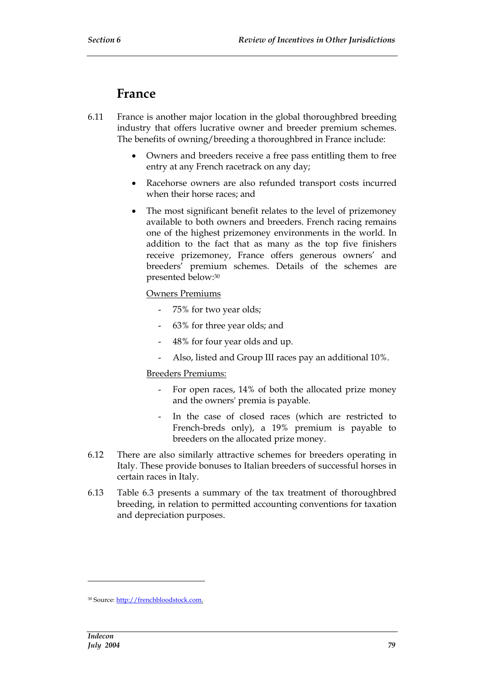### **France**

- 6.11 France is another major location in the global thoroughbred breeding industry that offers lucrative owner and breeder premium schemes. The benefits of owning/breeding a thoroughbred in France include:
	- Owners and breeders receive a free pass entitling them to free entry at any French racetrack on any day;
	- Racehorse owners are also refunded transport costs incurred when their horse races; and
	- The most significant benefit relates to the level of prizemoney available to both owners and breeders. French racing remains one of the highest prizemoney environments in the world. In addition to the fact that as many as the top five finishers receive prizemoney, France offers generous owners' and breeders' premium schemes. Details of the schemes are presented below:<sup>30</sup>

#### Owners Premiums

- 75% for two year olds;
- 63% for three year olds; and
- 48% for four year olds and up.
- Also, listed and Group III races pay an additional 10%.

#### Breeders Premiums:

- For open races, 14% of both the allocated prize money and the owners' premia is payable.
- In the case of closed races (which are restricted to French-breds only), a 19% premium is payable to breeders on the allocated prize money.
- 6.12 There are also similarly attractive schemes for breeders operating in Italy. These provide bonuses to Italian breeders of successful horses in certain races in Italy.
- 6.13 Table 6.3 presents a summary of the tax treatment of thoroughbred breeding, in relation to permitted accounting conventions for taxation and depreciation purposes.

<sup>30</sup> Source: http://frenchbloodstock.com.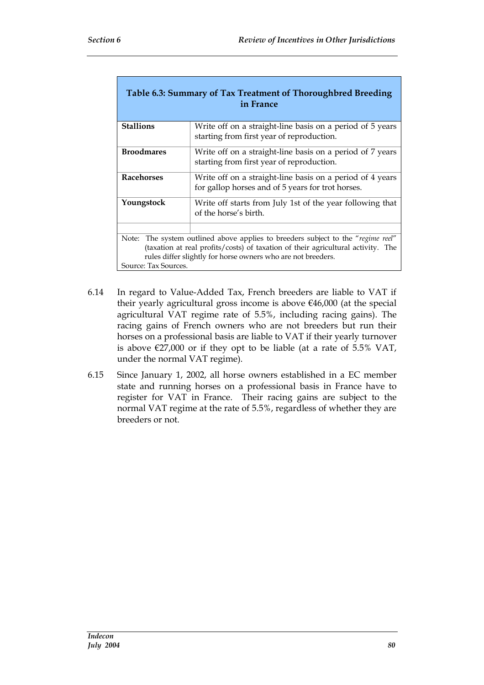| Table 6.3: Summary of Tax Treatment of Thoroughbred Breeding<br>in France                                                                                                                                                                                    |                                                                                                                |  |  |  |  |
|--------------------------------------------------------------------------------------------------------------------------------------------------------------------------------------------------------------------------------------------------------------|----------------------------------------------------------------------------------------------------------------|--|--|--|--|
| <b>Stallions</b>                                                                                                                                                                                                                                             | Write off on a straight-line basis on a period of 5 years<br>starting from first year of reproduction.         |  |  |  |  |
| <b>Broodmares</b>                                                                                                                                                                                                                                            | Write off on a straight-line basis on a period of 7 years<br>starting from first year of reproduction.         |  |  |  |  |
| <b>Racehorses</b>                                                                                                                                                                                                                                            | Write off on a straight-line basis on a period of 4 years<br>for gallop horses and of 5 years for trot horses. |  |  |  |  |
| Youngstock                                                                                                                                                                                                                                                   | Write off starts from July 1st of the year following that<br>of the horse's birth.                             |  |  |  |  |
|                                                                                                                                                                                                                                                              |                                                                                                                |  |  |  |  |
| Note: The system outlined above applies to breeders subject to the "regime reel"<br>(taxation at real profits/costs) of taxation of their agricultural activity. The<br>rules differ slightly for horse owners who are not breeders.<br>Source: Tax Sources. |                                                                                                                |  |  |  |  |

- 6.14 In regard to Value-Added Tax, French breeders are liable to VAT if their yearly agricultural gross income is above €46,000 (at the special agricultural VAT regime rate of 5.5%, including racing gains). The racing gains of French owners who are not breeders but run their horses on a professional basis are liable to VAT if their yearly turnover is above  $\epsilon$ 27,000 or if they opt to be liable (at a rate of 5.5% VAT, under the normal VAT regime).
- 6.15 Since January 1, 2002, all horse owners established in a EC member state and running horses on a professional basis in France have to register for VAT in France. Their racing gains are subject to the normal VAT regime at the rate of 5.5%, regardless of whether they are breeders or not.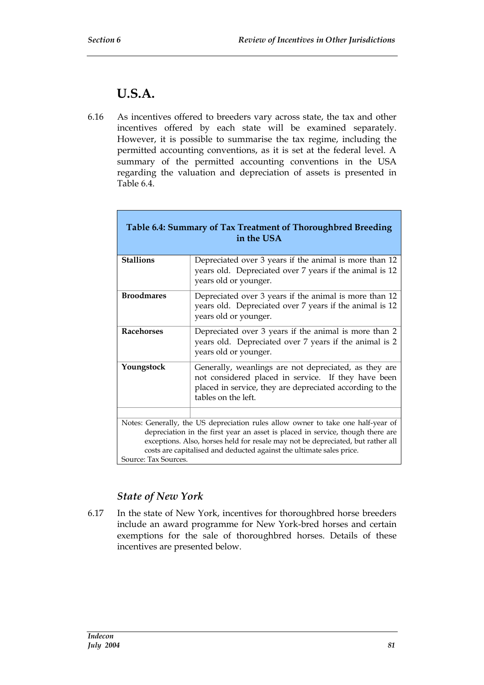### **U.S.A.**

6.16 As incentives offered to breeders vary across state, the tax and other incentives offered by each state will be examined separately. However, it is possible to summarise the tax regime, including the permitted accounting conventions, as it is set at the federal level. A summary of the permitted accounting conventions in the USA regarding the valuation and depreciation of assets is presented in Table 6.4.

|                      | Table 6.4: Summary of Tax Treatment of Thoroughbred Breeding<br>in the USA                                                                                                                                                                                                                                                    |
|----------------------|-------------------------------------------------------------------------------------------------------------------------------------------------------------------------------------------------------------------------------------------------------------------------------------------------------------------------------|
| <b>Stallions</b>     | Depreciated over 3 years if the animal is more than 12<br>years old. Depreciated over 7 years if the animal is 12<br>years old or younger.                                                                                                                                                                                    |
| <b>Broodmares</b>    | Depreciated over 3 years if the animal is more than 12<br>years old. Depreciated over 7 years if the animal is 12<br>years old or younger.                                                                                                                                                                                    |
| <b>Racehorses</b>    | Depreciated over 3 years if the animal is more than 2<br>years old. Depreciated over 7 years if the animal is 2<br>years old or younger.                                                                                                                                                                                      |
| Youngstock           | Generally, weanlings are not depreciated, as they are<br>not considered placed in service. If they have been<br>placed in service, they are depreciated according to the<br>tables on the left.                                                                                                                               |
|                      |                                                                                                                                                                                                                                                                                                                               |
| Source: Tax Sources. | Notes: Generally, the US depreciation rules allow owner to take one half-year of<br>depreciation in the first year an asset is placed in service, though there are<br>exceptions. Also, horses held for resale may not be depreciated, but rather all<br>costs are capitalised and deducted against the ultimate sales price. |

#### *State of New York*

6.17 In the state of New York, incentives for thoroughbred horse breeders include an award programme for New York-bred horses and certain exemptions for the sale of thoroughbred horses. Details of these incentives are presented below.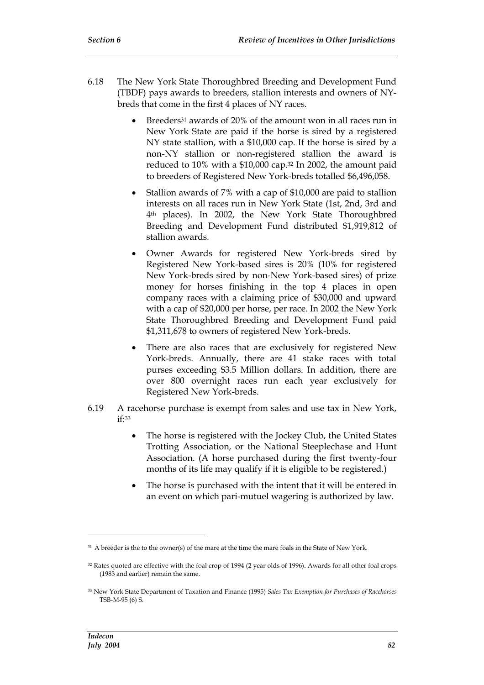- 6.18 The New York State Thoroughbred Breeding and Development Fund (TBDF) pays awards to breeders, stallion interests and owners of NYbreds that come in the first 4 places of NY races.
	- Breeders<sup>31</sup> awards of 20% of the amount won in all races run in New York State are paid if the horse is sired by a registered NY state stallion, with a \$10,000 cap. If the horse is sired by a non-NY stallion or non-registered stallion the award is reduced to 10% with a \$10,000 cap.<sup>32</sup> In 2002, the amount paid to breeders of Registered New York-breds totalled \$6,496,058.
	- Stallion awards of 7% with a cap of \$10,000 are paid to stallion interests on all races run in New York State (1st, 2nd, 3rd and 4th places). In 2002, the New York State Thoroughbred Breeding and Development Fund distributed \$1,919,812 of stallion awards.
	- Owner Awards for registered New York-breds sired by Registered New York-based sires is 20% (10% for registered New York-breds sired by non-New York-based sires) of prize money for horses finishing in the top 4 places in open company races with a claiming price of \$30,000 and upward with a cap of \$20,000 per horse, per race. In 2002 the New York State Thoroughbred Breeding and Development Fund paid \$1,311,678 to owners of registered New York-breds.
	- There are also races that are exclusively for registered New York-breds. Annually, there are 41 stake races with total purses exceeding \$3.5 Million dollars. In addition, there are over 800 overnight races run each year exclusively for Registered New York-breds.
- 6.19 A racehorse purchase is exempt from sales and use tax in New York,  $i$ f $\cdot$ 33
	- The horse is registered with the Jockey Club, the United States Trotting Association, or the National Steeplechase and Hunt Association. (A horse purchased during the first twenty-four months of its life may qualify if it is eligible to be registered.)
	- The horse is purchased with the intent that it will be entered in an event on which pari-mutuel wagering is authorized by law.

<sup>&</sup>lt;sup>31</sup> A breeder is the to the owner(s) of the mare at the time the mare foals in the State of New York.

<sup>32</sup> Rates quoted are effective with the foal crop of 1994 (2 year olds of 1996). Awards for all other foal crops (1983 and earlier) remain the same.

<sup>33</sup> New York State Department of Taxation and Finance (1995) *Sales Tax Exemption for Purchases of Racehorses* TSB-M-95 (6) S.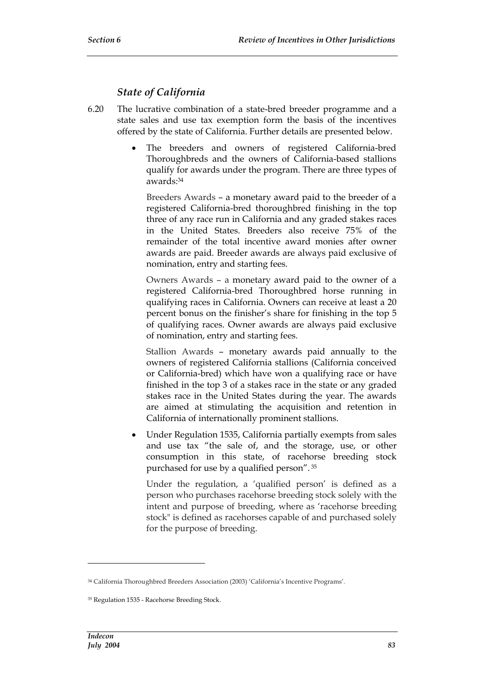#### *State of California*

- 6.20 The lucrative combination of a state-bred breeder programme and a state sales and use tax exemption form the basis of the incentives offered by the state of California. Further details are presented below.
	- The breeders and owners of registered California-bred Thoroughbreds and the owners of California-based stallions qualify for awards under the program. There are three types of awards:<sup>34</sup>

Breeders Awards – a monetary award paid to the breeder of a registered California-bred thoroughbred finishing in the top three of any race run in California and any graded stakes races in the United States. Breeders also receive 75% of the remainder of the total incentive award monies after owner awards are paid. Breeder awards are always paid exclusive of nomination, entry and starting fees.

Owners Awards – a monetary award paid to the owner of a registered California-bred Thoroughbred horse running in qualifying races in California. Owners can receive at least a 20 percent bonus on the finisher's share for finishing in the top 5 of qualifying races. Owner awards are always paid exclusive of nomination, entry and starting fees.

Stallion Awards – monetary awards paid annually to the owners of registered California stallions (California conceived or California-bred) which have won a qualifying race or have finished in the top 3 of a stakes race in the state or any graded stakes race in the United States during the year. The awards are aimed at stimulating the acquisition and retention in California of internationally prominent stallions.

 Under Regulation 1535, California partially exempts from sales and use tax "the sale of, and the storage, use, or other consumption in this state, of racehorse breeding stock purchased for use by a qualified person". <sup>35</sup>

Under the regulation, a 'qualified person' is defined as a person who purchases racehorse breeding stock solely with the intent and purpose of breeding, where as 'racehorse breeding stock" is defined as racehorses capable of and purchased solely for the purpose of breeding.

<sup>34</sup> California Thoroughbred Breeders Association (2003) 'California's Incentive Programs'.

<sup>35</sup> Regulation 1535 - Racehorse Breeding Stock.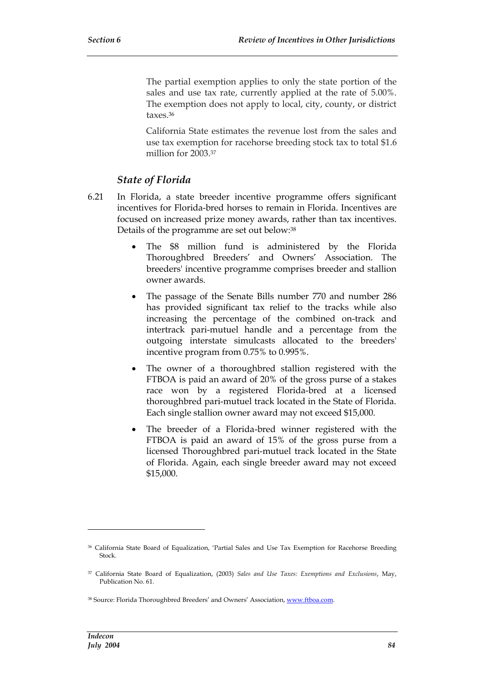The partial exemption applies to only the state portion of the sales and use tax rate, currently applied at the rate of 5.00%. The exemption does not apply to local, city, county, or district taxes.<sup>36</sup>

California State estimates the revenue lost from the sales and use tax exemption for racehorse breeding stock tax to total \$1.6 million for 2003.<sup>37</sup>

#### *State of Florida*

- 6.21 In Florida, a state breeder incentive programme offers significant incentives for Florida-bred horses to remain in Florida. Incentives are focused on increased prize money awards, rather than tax incentives. Details of the programme are set out below:<sup>38</sup>
	- The \$8 million fund is administered by the Florida Thoroughbred Breeders' and Owners' Association. The breeders' incentive programme comprises breeder and stallion owner awards.
	- The passage of the Senate Bills number 770 and number 286 has provided significant tax relief to the tracks while also increasing the percentage of the combined on-track and intertrack pari-mutuel handle and a percentage from the outgoing interstate simulcasts allocated to the breeders' incentive program from 0.75% to 0.995%.
	- The owner of a thoroughbred stallion registered with the FTBOA is paid an award of 20% of the gross purse of a stakes race won by a registered Florida-bred at a licensed thoroughbred pari-mutuel track located in the State of Florida. Each single stallion owner award may not exceed \$15,000.
	- The breeder of a Florida-bred winner registered with the FTBOA is paid an award of 15% of the gross purse from a licensed Thoroughbred pari-mutuel track located in the State of Florida. Again, each single breeder award may not exceed \$15,000.

<sup>36</sup> California State Board of Equalization, 'Partial Sales and Use Tax Exemption for Racehorse Breeding Stock.

<sup>37</sup> California State Board of Equalization, (2003) *Sales and Use Taxes: Exemptions and Exclusions*, May, Publication No. 61.

<sup>38</sup> Source: Florida Thoroughbred Breeders' and Owners' Association, www.ftboa.com.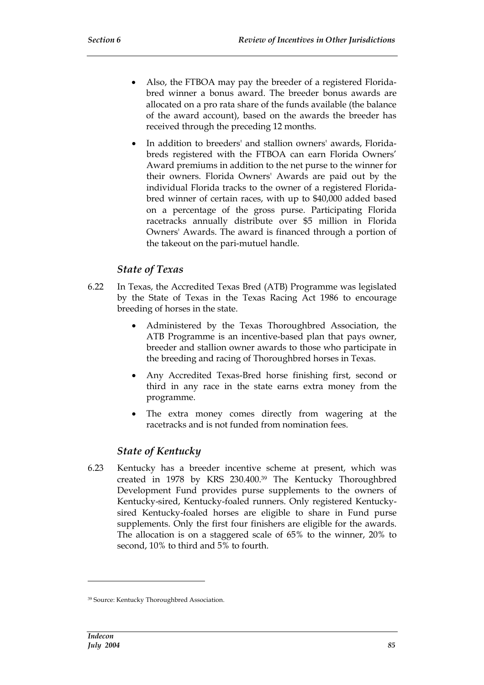- Also, the FTBOA may pay the breeder of a registered Floridabred winner a bonus award. The breeder bonus awards are allocated on a pro rata share of the funds available (the balance of the award account), based on the awards the breeder has received through the preceding 12 months.
- In addition to breeders' and stallion owners' awards, Floridabreds registered with the FTBOA can earn Florida Owners' Award premiums in addition to the net purse to the winner for their owners. Florida Owners' Awards are paid out by the individual Florida tracks to the owner of a registered Floridabred winner of certain races, with up to \$40,000 added based on a percentage of the gross purse. Participating Florida racetracks annually distribute over \$5 million in Florida Owners' Awards. The award is financed through a portion of the takeout on the pari-mutuel handle.

#### *State of Texas*

- 6.22 In Texas, the Accredited Texas Bred (ATB) Programme was legislated by the State of Texas in the Texas Racing Act 1986 to encourage breeding of horses in the state.
	- Administered by the Texas Thoroughbred Association, the ATB Programme is an incentive-based plan that pays owner, breeder and stallion owner awards to those who participate in the breeding and racing of Thoroughbred horses in Texas.
	- Any Accredited Texas-Bred horse finishing first, second or third in any race in the state earns extra money from the programme.
	- The extra money comes directly from wagering at the racetracks and is not funded from nomination fees.

#### *State of Kentucky*

6.23 Kentucky has a breeder incentive scheme at present, which was created in 1978 by KRS 230.400.<sup>39</sup> The Kentucky Thoroughbred Development Fund provides purse supplements to the owners of Kentucky-sired, Kentucky-foaled runners. Only registered Kentuckysired Kentucky-foaled horses are eligible to share in Fund purse supplements. Only the first four finishers are eligible for the awards. The allocation is on a staggered scale of 65% to the winner, 20% to second, 10% to third and 5% to fourth.

<sup>39</sup> Source: Kentucky Thoroughbred Association.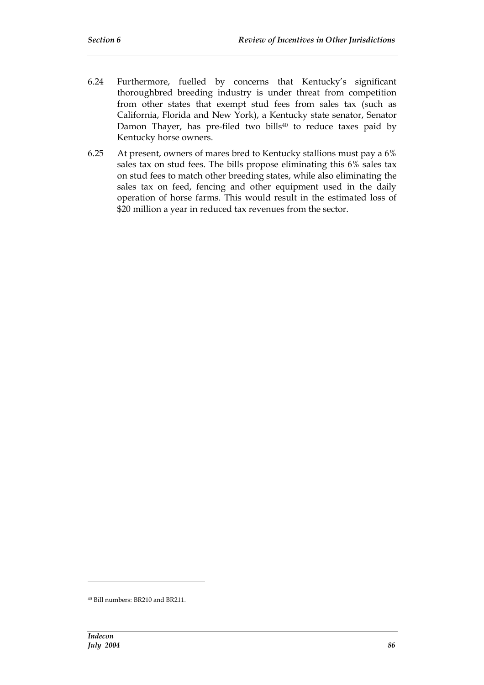- 6.24 Furthermore, fuelled by concerns that Kentucky's significant thoroughbred breeding industry is under threat from competition from other states that exempt stud fees from sales tax (such as California, Florida and New York), a Kentucky state senator, Senator Damon Thayer, has pre-filed two bills<sup>40</sup> to reduce taxes paid by Kentucky horse owners.
- 6.25 At present, owners of mares bred to Kentucky stallions must pay a 6% sales tax on stud fees. The bills propose eliminating this 6% sales tax on stud fees to match other breeding states, while also eliminating the sales tax on feed, fencing and other equipment used in the daily operation of horse farms. This would result in the estimated loss of \$20 million a year in reduced tax revenues from the sector.

<sup>40</sup> Bill numbers: BR210 and BR211.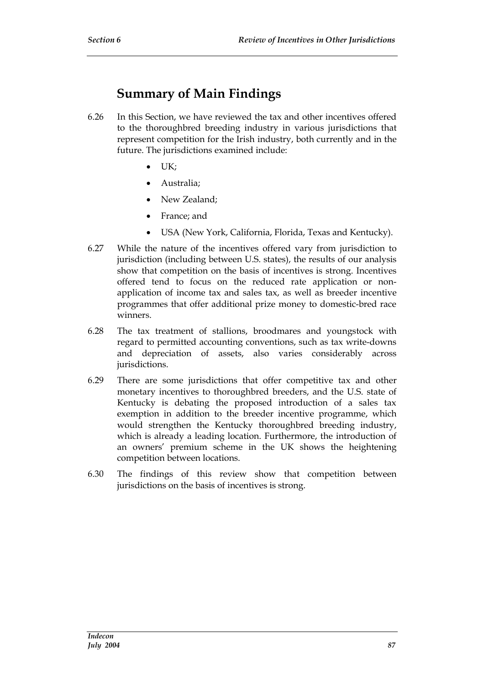## **Summary of Main Findings**

- 6.26 In this Section, we have reviewed the tax and other incentives offered to the thoroughbred breeding industry in various jurisdictions that represent competition for the Irish industry, both currently and in the future. The jurisdictions examined include:
	- $\bullet$   $IJK:$
	- Australia;
	- New Zealand:
	- France; and
	- USA (New York, California, Florida, Texas and Kentucky).
- 6.27 While the nature of the incentives offered vary from jurisdiction to jurisdiction (including between U.S. states), the results of our analysis show that competition on the basis of incentives is strong. Incentives offered tend to focus on the reduced rate application or nonapplication of income tax and sales tax, as well as breeder incentive programmes that offer additional prize money to domestic-bred race winners.
- 6.28 The tax treatment of stallions, broodmares and youngstock with regard to permitted accounting conventions, such as tax write-downs and depreciation of assets, also varies considerably across jurisdictions.
- 6.29 There are some jurisdictions that offer competitive tax and other monetary incentives to thoroughbred breeders, and the U.S. state of Kentucky is debating the proposed introduction of a sales tax exemption in addition to the breeder incentive programme, which would strengthen the Kentucky thoroughbred breeding industry, which is already a leading location. Furthermore, the introduction of an owners' premium scheme in the UK shows the heightening competition between locations.
- 6.30 The findings of this review show that competition between jurisdictions on the basis of incentives is strong.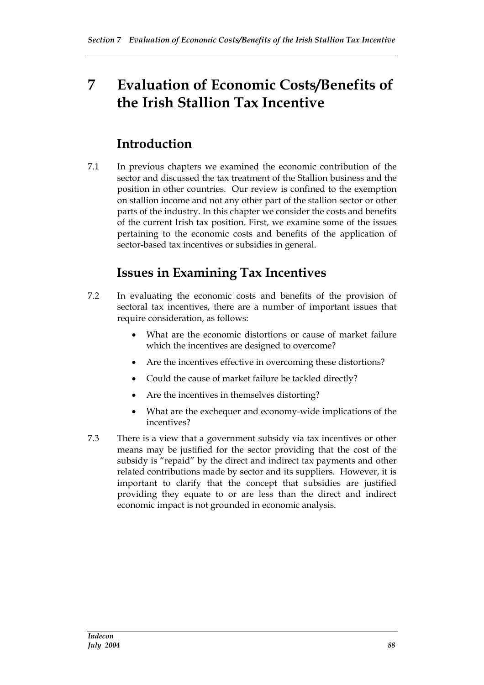# **7 Evaluation of Economic Costs/Benefits of the Irish Stallion Tax Incentive**

### **Introduction**

7.1 In previous chapters we examined the economic contribution of the sector and discussed the tax treatment of the Stallion business and the position in other countries. Our review is confined to the exemption on stallion income and not any other part of the stallion sector or other parts of the industry. In this chapter we consider the costs and benefits of the current Irish tax position. First, we examine some of the issues pertaining to the economic costs and benefits of the application of sector-based tax incentives or subsidies in general.

## **Issues in Examining Tax Incentives**

- 7.2 In evaluating the economic costs and benefits of the provision of sectoral tax incentives, there are a number of important issues that require consideration, as follows:
	- What are the economic distortions or cause of market failure which the incentives are designed to overcome?
	- Are the incentives effective in overcoming these distortions?
	- Could the cause of market failure be tackled directly?
	- Are the incentives in themselves distorting?
	- What are the exchequer and economy-wide implications of the incentives?
- 7.3 There is a view that a government subsidy via tax incentives or other means may be justified for the sector providing that the cost of the subsidy is "repaid" by the direct and indirect tax payments and other related contributions made by sector and its suppliers. However, it is important to clarify that the concept that subsidies are justified providing they equate to or are less than the direct and indirect economic impact is not grounded in economic analysis.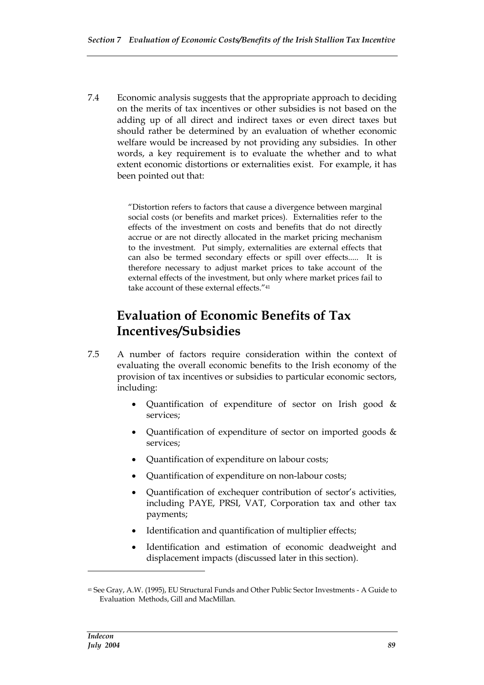7.4 Economic analysis suggests that the appropriate approach to deciding on the merits of tax incentives or other subsidies is not based on the adding up of all direct and indirect taxes or even direct taxes but should rather be determined by an evaluation of whether economic welfare would be increased by not providing any subsidies. In other words, a key requirement is to evaluate the whether and to what extent economic distortions or externalities exist. For example, it has been pointed out that:

> "Distortion refers to factors that cause a divergence between marginal social costs (or benefits and market prices). Externalities refer to the effects of the investment on costs and benefits that do not directly accrue or are not directly allocated in the market pricing mechanism to the investment. Put simply, externalities are external effects that can also be termed secondary effects or spill over effects..... It is therefore necessary to adjust market prices to take account of the external effects of the investment, but only where market prices fail to take account of these external effects."<sup>41</sup>

### **Evaluation of Economic Benefits of Tax Incentives/Subsidies**

- 7.5 A number of factors require consideration within the context of evaluating the overall economic benefits to the Irish economy of the provision of tax incentives or subsidies to particular economic sectors, including:
	- Quantification of expenditure of sector on Irish good & services;
	- Quantification of expenditure of sector on imported goods & services;
	- Quantification of expenditure on labour costs;
	- Quantification of expenditure on non-labour costs;
	- Quantification of exchequer contribution of sector's activities, including PAYE, PRSI, VAT, Corporation tax and other tax payments;
	- Identification and quantification of multiplier effects;
	- Identification and estimation of economic deadweight and displacement impacts (discussed later in this section).

<sup>41</sup> See Gray, A.W. (1995), EU Structural Funds and Other Public Sector Investments - A Guide to Evaluation Methods, Gill and MacMillan.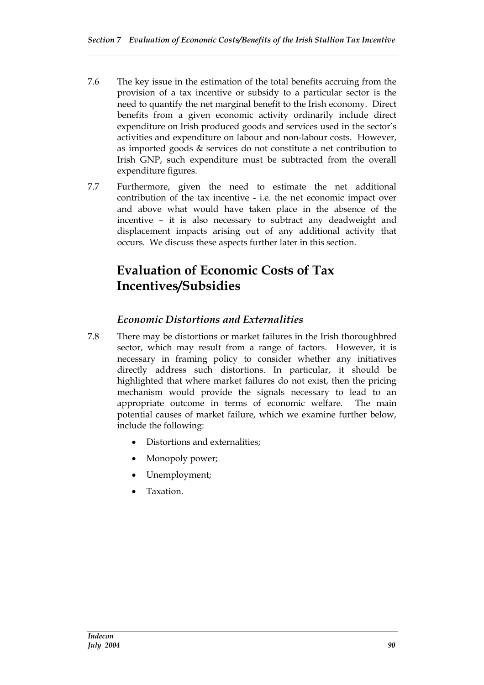- 7.6 The key issue in the estimation of the total benefits accruing from the provision of a tax incentive or subsidy to a particular sector is the need to quantify the net marginal benefit to the Irish economy. Direct benefits from a given economic activity ordinarily include direct expenditure on Irish produced goods and services used in the sector's activities and expenditure on labour and non-labour costs. However, as imported goods & services do not constitute a net contribution to Irish GNP, such expenditure must be subtracted from the overall expenditure figures.
- 7.7 Furthermore, given the need to estimate the net additional contribution of the tax incentive - i.e. the net economic impact over and above what would have taken place in the absence of the incentive – it is also necessary to subtract any deadweight and displacement impacts arising out of any additional activity that occurs. We discuss these aspects further later in this section.

## **Evaluation of Economic Costs of Tax Incentives/Subsidies**

### *Economic Distortions and Externalities*

- 7.8 There may be distortions or market failures in the Irish thoroughbred sector, which may result from a range of factors. However, it is necessary in framing policy to consider whether any initiatives directly address such distortions. In particular, it should be highlighted that where market failures do not exist, then the pricing mechanism would provide the signals necessary to lead to an appropriate outcome in terms of economic welfare. The main potential causes of market failure, which we examine further below, include the following:
	- Distortions and externalities;
	- Monopoly power;
	- Unemployment;
	- Taxation.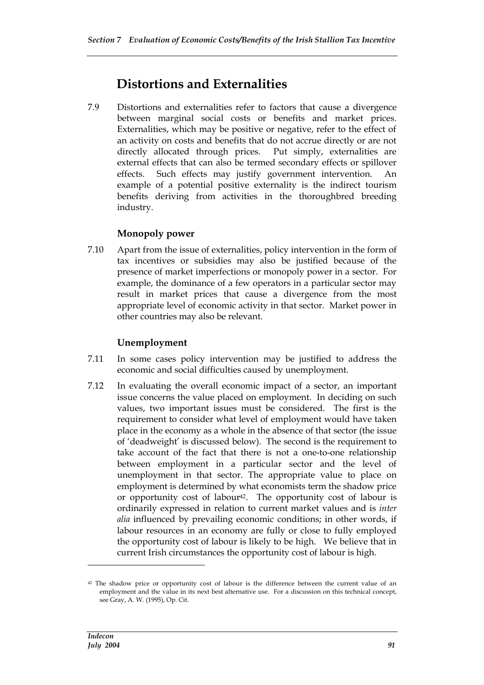### **Distortions and Externalities**

7.9 Distortions and externalities refer to factors that cause a divergence between marginal social costs or benefits and market prices. Externalities, which may be positive or negative, refer to the effect of an activity on costs and benefits that do not accrue directly or are not directly allocated through prices. Put simply, externalities are external effects that can also be termed secondary effects or spillover effects. Such effects may justify government intervention. An example of a potential positive externality is the indirect tourism benefits deriving from activities in the thoroughbred breeding industry.

#### **Monopoly power**

7.10 Apart from the issue of externalities, policy intervention in the form of tax incentives or subsidies may also be justified because of the presence of market imperfections or monopoly power in a sector. For example, the dominance of a few operators in a particular sector may result in market prices that cause a divergence from the most appropriate level of economic activity in that sector. Market power in other countries may also be relevant.

#### **Unemployment**

- 7.11 In some cases policy intervention may be justified to address the economic and social difficulties caused by unemployment.
- 7.12 In evaluating the overall economic impact of a sector, an important issue concerns the value placed on employment. In deciding on such values, two important issues must be considered. The first is the requirement to consider what level of employment would have taken place in the economy as a whole in the absence of that sector (the issue of 'deadweight' is discussed below). The second is the requirement to take account of the fact that there is not a one-to-one relationship between employment in a particular sector and the level of unemployment in that sector. The appropriate value to place on employment is determined by what economists term the shadow price or opportunity cost of labour<sup>42</sup>. The opportunity cost of labour is ordinarily expressed in relation to current market values and is *inter alia* influenced by prevailing economic conditions; in other words, if labour resources in an economy are fully or close to fully employed the opportunity cost of labour is likely to be high. We believe that in current Irish circumstances the opportunity cost of labour is high.

<sup>&</sup>lt;sup>42</sup> The shadow price or opportunity cost of labour is the difference between the current value of an employment and the value in its next best alternative use. For a discussion on this technical concept, see Gray, A. W. (1995), Op. Cit.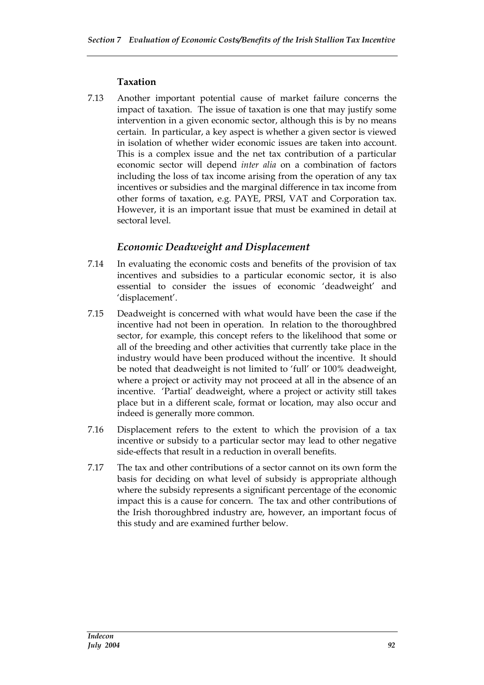#### **Taxation**

7.13 Another important potential cause of market failure concerns the impact of taxation. The issue of taxation is one that may justify some intervention in a given economic sector, although this is by no means certain. In particular, a key aspect is whether a given sector is viewed in isolation of whether wider economic issues are taken into account. This is a complex issue and the net tax contribution of a particular economic sector will depend *inter alia* on a combination of factors including the loss of tax income arising from the operation of any tax incentives or subsidies and the marginal difference in tax income from other forms of taxation, e.g. PAYE, PRSI, VAT and Corporation tax. However, it is an important issue that must be examined in detail at sectoral level.

#### *Economic Deadweight and Displacement*

- 7.14 In evaluating the economic costs and benefits of the provision of tax incentives and subsidies to a particular economic sector, it is also essential to consider the issues of economic 'deadweight' and 'displacement'.
- 7.15 Deadweight is concerned with what would have been the case if the incentive had not been in operation. In relation to the thoroughbred sector, for example, this concept refers to the likelihood that some or all of the breeding and other activities that currently take place in the industry would have been produced without the incentive. It should be noted that deadweight is not limited to 'full' or 100% deadweight, where a project or activity may not proceed at all in the absence of an incentive. 'Partial' deadweight, where a project or activity still takes place but in a different scale, format or location, may also occur and indeed is generally more common.
- 7.16 Displacement refers to the extent to which the provision of a tax incentive or subsidy to a particular sector may lead to other negative side-effects that result in a reduction in overall benefits.
- 7.17 The tax and other contributions of a sector cannot on its own form the basis for deciding on what level of subsidy is appropriate although where the subsidy represents a significant percentage of the economic impact this is a cause for concern. The tax and other contributions of the Irish thoroughbred industry are, however, an important focus of this study and are examined further below.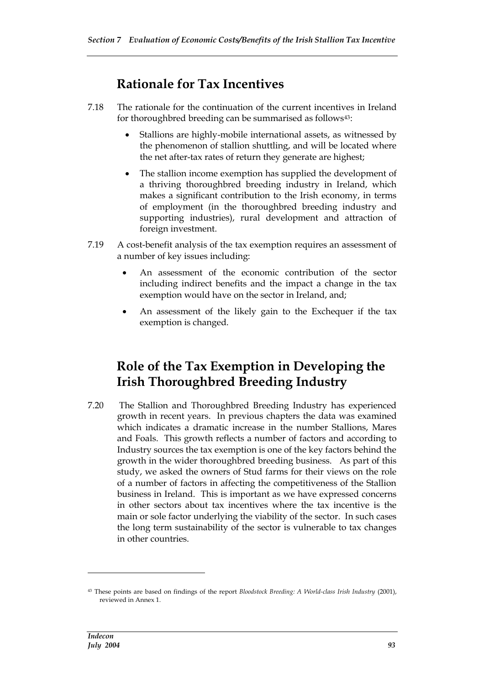### **Rationale for Tax Incentives**

- 7.18 The rationale for the continuation of the current incentives in Ireland for thoroughbred breeding can be summarised as follows<sup>43</sup>:
	- Stallions are highly-mobile international assets, as witnessed by the phenomenon of stallion shuttling, and will be located where the net after-tax rates of return they generate are highest;
	- The stallion income exemption has supplied the development of a thriving thoroughbred breeding industry in Ireland, which makes a significant contribution to the Irish economy, in terms of employment (in the thoroughbred breeding industry and supporting industries), rural development and attraction of foreign investment.
- 7.19 A cost-benefit analysis of the tax exemption requires an assessment of a number of key issues including:
	- An assessment of the economic contribution of the sector including indirect benefits and the impact a change in the tax exemption would have on the sector in Ireland, and;
	- An assessment of the likely gain to the Exchequer if the tax exemption is changed.

### **Role of the Tax Exemption in Developing the Irish Thoroughbred Breeding Industry**

7.20 The Stallion and Thoroughbred Breeding Industry has experienced growth in recent years. In previous chapters the data was examined which indicates a dramatic increase in the number Stallions, Mares and Foals. This growth reflects a number of factors and according to Industry sources the tax exemption is one of the key factors behind the growth in the wider thoroughbred breeding business. As part of this study, we asked the owners of Stud farms for their views on the role of a number of factors in affecting the competitiveness of the Stallion business in Ireland. This is important as we have expressed concerns in other sectors about tax incentives where the tax incentive is the main or sole factor underlying the viability of the sector. In such cases the long term sustainability of the sector is vulnerable to tax changes in other countries.

<sup>43</sup> These points are based on findings of the report *Bloodstock Breeding: A World-class Irish Industry* (2001), reviewed in Annex 1.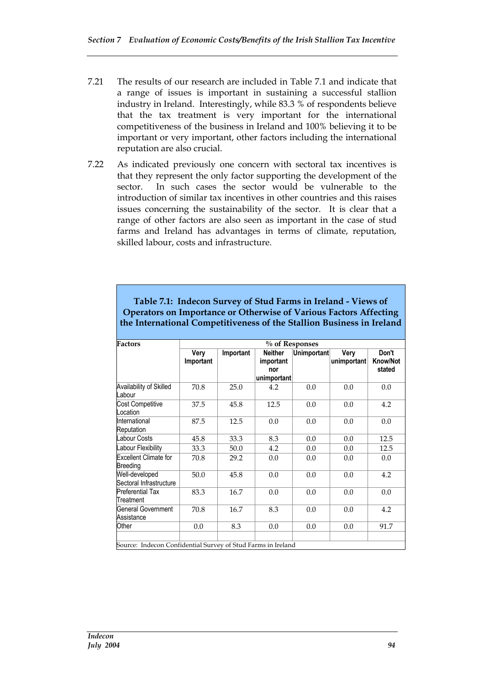- 7.21 The results of our research are included in Table 7.1 and indicate that a range of issues is important in sustaining a successful stallion industry in Ireland. Interestingly, while 83.3 % of respondents believe that the tax treatment is very important for the international competitiveness of the business in Ireland and 100% believing it to be important or very important, other factors including the international reputation are also crucial.
- 7.22 As indicated previously one concern with sectoral tax incentives is that they represent the only factor supporting the development of the sector. In such cases the sector would be vulnerable to the introduction of similar tax incentives in other countries and this raises issues concerning the sustainability of the sector. It is clear that a range of other factors are also seen as important in the case of stud farms and Ireland has advantages in terms of climate, reputation, skilled labour, costs and infrastructure.

| <b>Factors</b>                                               | % of Responses    |           |                                                   |             |                     |                                    |  |  |
|--------------------------------------------------------------|-------------------|-----------|---------------------------------------------------|-------------|---------------------|------------------------------------|--|--|
|                                                              | Very<br>Important | Important | <b>Neither</b><br>important<br>nor<br>unimportant | Unimportant | Very<br>unimportant | Don't<br><b>Know/Not</b><br>stated |  |  |
| Availability of Skilled<br>Labour                            | 70.8              | 25.0      | 4.2                                               | 0.0         | 0.0                 | 0.0                                |  |  |
| <b>Cost Competitive</b><br>Location                          | 37.5              | 45.8      | 12.5                                              | 0.0         | 0.0                 | 4.2                                |  |  |
| International<br>Reputation                                  | 87.5              | 12.5      | 0.0                                               | 0.0         | 0.0                 | 0.0                                |  |  |
| <b>Labour Costs</b>                                          | 45.8              | 33.3      | 8.3                                               | 0.0         | 0.0                 | 12.5                               |  |  |
| Labour Flexibility                                           | 33.3              | 50.0      | 4.2                                               | 0.0         | 0.0                 | 12.5                               |  |  |
| <b>Excellent Climate for</b><br><b>Breeding</b>              | 70.8              | 29.2      | 0.0                                               | 0.0         | 0.0                 | 0.0                                |  |  |
| Well-developed<br>Sectoral Infrastructure                    | 50.0              | 45.8      | 0.0                                               | 0.0         | 0.0                 | 4.2                                |  |  |
| <b>Preferential Tax</b><br>Treatment                         | 83.3              | 16.7      | 0.0                                               | 0.0         | 0.0                 | 0.0                                |  |  |
| General Government<br>Assistance                             | 70.8              | 16.7      | 8.3                                               | 0.0         | 0.0                 | 4.2                                |  |  |
| Other                                                        | 0.0               | 8.3       | 0.0                                               | 0.0         | 0.0                 | 91.7                               |  |  |
| Source: Indecen Confidential Survey of Stud Farms in Ireland |                   |           |                                                   |             |                     |                                    |  |  |

**Table 7.1: Indecon Survey of Stud Farms in Ireland - Views of Operators on Importance or Otherwise of Various Factors Affecting the International Competitiveness of the Stallion Business in Ireland**

Source: Indecon Confidential Survey of Stud Farms in Ireland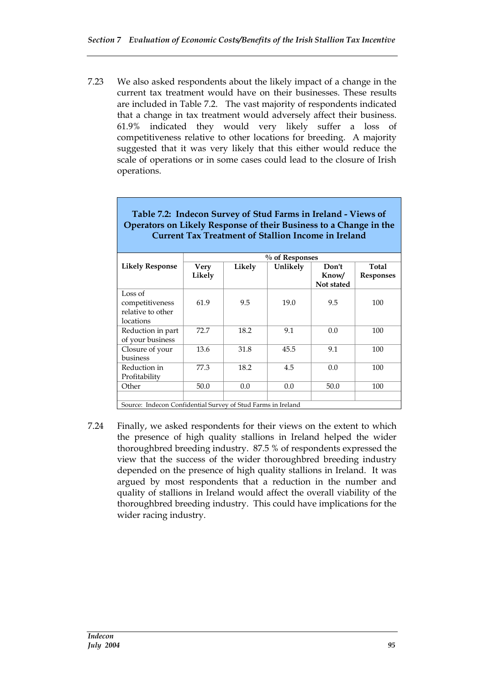7.23 We also asked respondents about the likely impact of a change in the current tax treatment would have on their businesses. These results are included in Table 7.2. The vast majority of respondents indicated that a change in tax treatment would adversely affect their business. 61.9% indicated they would very likely suffer a loss of competitiveness relative to other locations for breeding. A majority suggested that it was very likely that this either would reduce the scale of operations or in some cases could lead to the closure of Irish operations.

|                                                              |                |                   |          | umicht of omhfon micome m hemm |                           |  |  |
|--------------------------------------------------------------|----------------|-------------------|----------|--------------------------------|---------------------------|--|--|
|                                                              |                | $\%$ of Responses |          |                                |                           |  |  |
| <b>Likely Response</b>                                       | Very<br>Likely | Likely            | Unlikely | Don't<br>Know/<br>Not stated   | Total<br><b>Responses</b> |  |  |
| Loss of<br>competitiveness<br>relative to other<br>locations | 61.9           | 9.5               | 19.0     | 9.5                            | 100                       |  |  |
| Reduction in part<br>of your business                        | 72.7           | 18.2              | 9.1      | 0.0                            | 100                       |  |  |
| Closure of your<br>business                                  | 13.6           | 31.8              | 45.5     | 9.1                            | 100                       |  |  |
| Reduction in<br>Profitability                                | 77.3           | 18.2              | 4.5      | 0.0                            | 100                       |  |  |
| Other                                                        | 50.0           | 0.0               | 0.0      | 50.0                           | 100                       |  |  |
|                                                              |                |                   |          |                                |                           |  |  |
| Source: Indecon Confidential Survey of Stud Farms in Ireland |                |                   |          |                                |                           |  |  |

#### **Table 7.2: Indecon Survey of Stud Farms in Ireland - Views of Operators on Likely Response of their Business to a Change in the Current Tax Treatment of Stallion Income in Ireland**

7.24 Finally, we asked respondents for their views on the extent to which the presence of high quality stallions in Ireland helped the wider thoroughbred breeding industry. 87.5 % of respondents expressed the view that the success of the wider thoroughbred breeding industry depended on the presence of high quality stallions in Ireland. It was argued by most respondents that a reduction in the number and quality of stallions in Ireland would affect the overall viability of the thoroughbred breeding industry. This could have implications for the wider racing industry.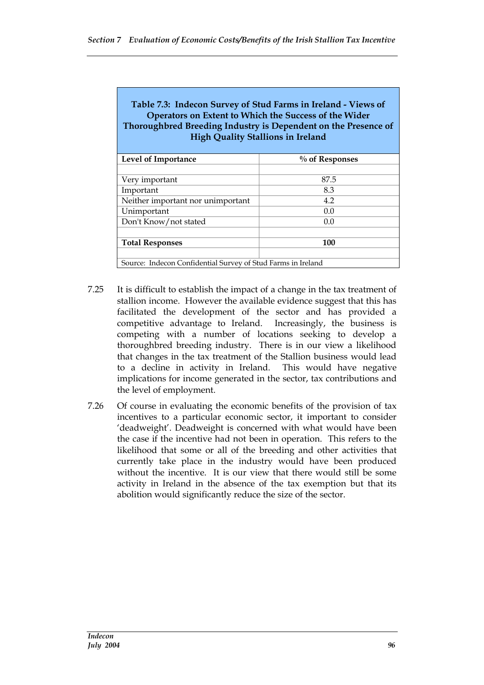| Table 7.3: Indecon Survey of Stud Farms in Ireland - Views of<br>Operators on Extent to Which the Success of the Wider<br>Thoroughbred Breeding Industry is Dependent on the Presence of<br><b>High Quality Stallions in Ireland</b> |                   |
|--------------------------------------------------------------------------------------------------------------------------------------------------------------------------------------------------------------------------------------|-------------------|
| Level of Importance                                                                                                                                                                                                                  | $\%$ of Responses |
|                                                                                                                                                                                                                                      |                   |
| Very important                                                                                                                                                                                                                       | 87.5              |
| Important                                                                                                                                                                                                                            | 8.3               |
| Neither important nor unimportant                                                                                                                                                                                                    | 4.2               |
| Unimportant                                                                                                                                                                                                                          | 0.0               |
| Don't Know/not stated                                                                                                                                                                                                                | 0.0               |
|                                                                                                                                                                                                                                      |                   |
| <b>Total Responses</b>                                                                                                                                                                                                               | 100               |
|                                                                                                                                                                                                                                      |                   |
| Source: Indecon Confidential Survey of Stud Farms in Ireland                                                                                                                                                                         |                   |

- 7.25 It is difficult to establish the impact of a change in the tax treatment of stallion income. However the available evidence suggest that this has facilitated the development of the sector and has provided a competitive advantage to Ireland. Increasingly, the business is competing with a number of locations seeking to develop a thoroughbred breeding industry. There is in our view a likelihood that changes in the tax treatment of the Stallion business would lead to a decline in activity in Ireland. This would have negative implications for income generated in the sector, tax contributions and the level of employment.
- 7.26 Of course in evaluating the economic benefits of the provision of tax incentives to a particular economic sector, it important to consider 'deadweight'. Deadweight is concerned with what would have been the case if the incentive had not been in operation. This refers to the likelihood that some or all of the breeding and other activities that currently take place in the industry would have been produced without the incentive. It is our view that there would still be some activity in Ireland in the absence of the tax exemption but that its abolition would significantly reduce the size of the sector.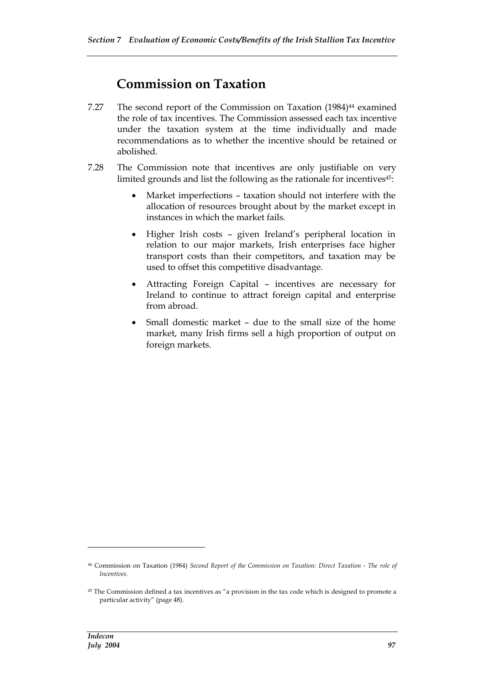### **Commission on Taxation**

- 7.27 The second report of the Commission on Taxation (1984)<sup>44</sup> examined the role of tax incentives. The Commission assessed each tax incentive under the taxation system at the time individually and made recommendations as to whether the incentive should be retained or abolished.
- 7.28 The Commission note that incentives are only justifiable on very limited grounds and list the following as the rationale for incentives45:
	- Market imperfections taxation should not interfere with the allocation of resources brought about by the market except in instances in which the market fails.
	- Higher Irish costs given Ireland's peripheral location in relation to our major markets, Irish enterprises face higher transport costs than their competitors, and taxation may be used to offset this competitive disadvantage.
	- Attracting Foreign Capital incentives are necessary for Ireland to continue to attract foreign capital and enterprise from abroad.
	- Small domestic market due to the small size of the home market, many Irish firms sell a high proportion of output on foreign markets.

<sup>44</sup> Commission on Taxation (1984) *Second Report of the Commission on Taxation: Direct Taxation - The role of Incentives*.

<sup>45</sup> The Commission defined a tax incentives as "a provision in the tax code which is designed to promote a particular activity" (page 48).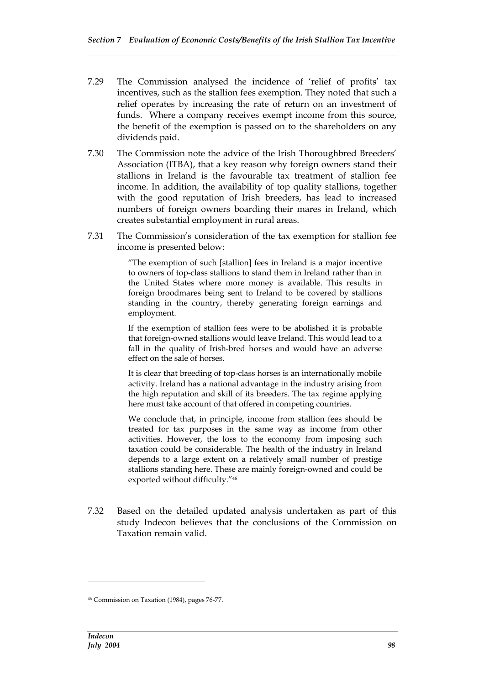- 7.29 The Commission analysed the incidence of 'relief of profits' tax incentives, such as the stallion fees exemption. They noted that such a relief operates by increasing the rate of return on an investment of funds. Where a company receives exempt income from this source, the benefit of the exemption is passed on to the shareholders on any dividends paid.
- 7.30 The Commission note the advice of the Irish Thoroughbred Breeders' Association (ITBA), that a key reason why foreign owners stand their stallions in Ireland is the favourable tax treatment of stallion fee income. In addition, the availability of top quality stallions, together with the good reputation of Irish breeders, has lead to increased numbers of foreign owners boarding their mares in Ireland, which creates substantial employment in rural areas.
- 7.31 The Commission's consideration of the tax exemption for stallion fee income is presented below:

"The exemption of such [stallion] fees in Ireland is a major incentive to owners of top-class stallions to stand them in Ireland rather than in the United States where more money is available. This results in foreign broodmares being sent to Ireland to be covered by stallions standing in the country, thereby generating foreign earnings and employment.

If the exemption of stallion fees were to be abolished it is probable that foreign-owned stallions would leave Ireland. This would lead to a fall in the quality of Irish-bred horses and would have an adverse effect on the sale of horses.

It is clear that breeding of top-class horses is an internationally mobile activity. Ireland has a national advantage in the industry arising from the high reputation and skill of its breeders. The tax regime applying here must take account of that offered in competing countries.

We conclude that, in principle, income from stallion fees should be treated for tax purposes in the same way as income from other activities. However, the loss to the economy from imposing such taxation could be considerable. The health of the industry in Ireland depends to a large extent on a relatively small number of prestige stallions standing here. These are mainly foreign-owned and could be exported without difficulty."<sup>46</sup>

7.32 Based on the detailed updated analysis undertaken as part of this study Indecon believes that the conclusions of the Commission on Taxation remain valid.

<sup>46</sup> Commission on Taxation (1984), pages 76-77.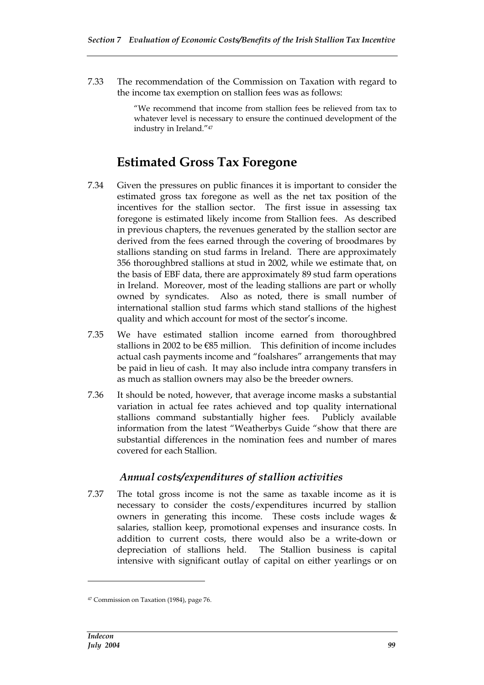7.33 The recommendation of the Commission on Taxation with regard to the income tax exemption on stallion fees was as follows:

> "We recommend that income from stallion fees be relieved from tax to whatever level is necessary to ensure the continued development of the industry in Ireland."<sup>47</sup>

### **Estimated Gross Tax Foregone**

- 7.34 Given the pressures on public finances it is important to consider the estimated gross tax foregone as well as the net tax position of the incentives for the stallion sector. The first issue in assessing tax foregone is estimated likely income from Stallion fees. As described in previous chapters, the revenues generated by the stallion sector are derived from the fees earned through the covering of broodmares by stallions standing on stud farms in Ireland. There are approximately 356 thoroughbred stallions at stud in 2002, while we estimate that, on the basis of EBF data, there are approximately 89 stud farm operations in Ireland. Moreover, most of the leading stallions are part or wholly owned by syndicates. Also as noted, there is small number of international stallion stud farms which stand stallions of the highest quality and which account for most of the sector's income.
- 7.35 We have estimated stallion income earned from thoroughbred stallions in 2002 to be €85 million. This definition of income includes actual cash payments income and "foalshares" arrangements that may be paid in lieu of cash. It may also include intra company transfers in as much as stallion owners may also be the breeder owners.
- 7.36 It should be noted, however, that average income masks a substantial variation in actual fee rates achieved and top quality international stallions command substantially higher fees. Publicly available information from the latest "Weatherbys Guide "show that there are substantial differences in the nomination fees and number of mares covered for each Stallion.

#### *Annual costs/expenditures of stallion activities*

7.37 The total gross income is not the same as taxable income as it is necessary to consider the costs/expenditures incurred by stallion owners in generating this income. These costs include wages & salaries, stallion keep, promotional expenses and insurance costs. In addition to current costs, there would also be a write-down or depreciation of stallions held. The Stallion business is capital intensive with significant outlay of capital on either yearlings or on

<sup>47</sup> Commission on Taxation (1984), page 76.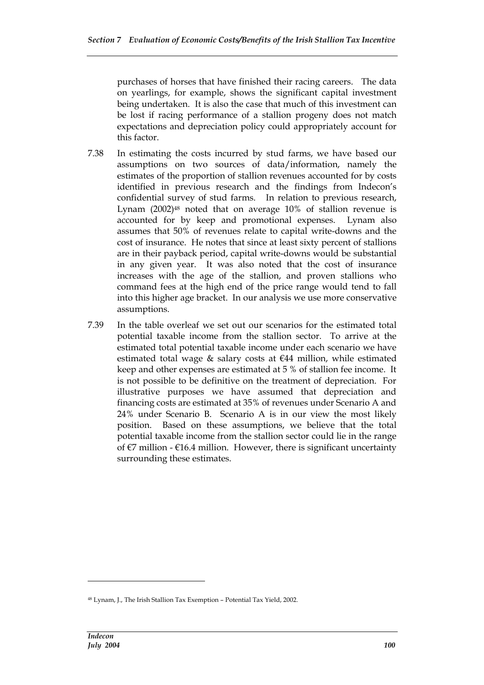purchases of horses that have finished their racing careers. The data on yearlings, for example, shows the significant capital investment being undertaken. It is also the case that much of this investment can be lost if racing performance of a stallion progeny does not match expectations and depreciation policy could appropriately account for this factor.

- 7.38 In estimating the costs incurred by stud farms, we have based our assumptions on two sources of data/information, namely the estimates of the proportion of stallion revenues accounted for by costs identified in previous research and the findings from Indecon's confidential survey of stud farms. In relation to previous research, Lynam (2002)<sup>48</sup> noted that on average 10% of stallion revenue is accounted for by keep and promotional expenses. Lynam also assumes that 50% of revenues relate to capital write-downs and the cost of insurance. He notes that since at least sixty percent of stallions are in their payback period, capital write-downs would be substantial in any given year. It was also noted that the cost of insurance increases with the age of the stallion, and proven stallions who command fees at the high end of the price range would tend to fall into this higher age bracket. In our analysis we use more conservative assumptions.
- 7.39 In the table overleaf we set out our scenarios for the estimated total potential taxable income from the stallion sector. To arrive at the estimated total potential taxable income under each scenario we have estimated total wage  $&$  salary costs at  $&$  44 million, while estimated keep and other expenses are estimated at 5 % of stallion fee income. It is not possible to be definitive on the treatment of depreciation. For illustrative purposes we have assumed that depreciation and financing costs are estimated at 35% of revenues under Scenario A and 24% under Scenario B. Scenario A is in our view the most likely position. Based on these assumptions, we believe that the total potential taxable income from the stallion sector could lie in the range of  $\epsilon$ 7 million -  $\epsilon$ 16.4 million. However, there is significant uncertainty surrounding these estimates.

<sup>48</sup> Lynam, J., The Irish Stallion Tax Exemption – Potential Tax Yield, 2002.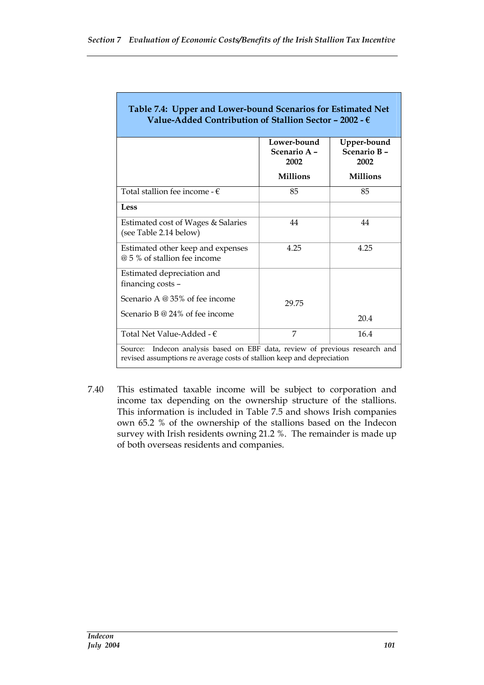|                                                                   | Lower-bound<br>Scenario A -<br>2002 | Upper-bound<br>Scenario B-<br>2002 |
|-------------------------------------------------------------------|-------------------------------------|------------------------------------|
|                                                                   | <b>Millions</b>                     | <b>Millions</b>                    |
| Total stallion fee income - $\epsilon$                            | 85                                  | 85                                 |
| <b>Less</b>                                                       |                                     |                                    |
| Estimated cost of Wages & Salaries<br>(see Table 2.14 below)      | 44                                  | 44                                 |
| Estimated other keep and expenses<br>@ 5 % of stallion fee income | 4.25                                | 4.25                               |
| Estimated depreciation and<br>financing costs -                   |                                     |                                    |
| Scenario A @ 35% of fee income<br>Scenario B @ 24% of fee income  | 29.75                               |                                    |
|                                                                   |                                     | 20.4                               |
| Total Net Value-Added - $\epsilon$                                | 7                                   | 16.4                               |

7.40 This estimated taxable income will be subject to corporation and income tax depending on the ownership structure of the stallions. This information is included in Table 7.5 and shows Irish companies own 65.2 % of the ownership of the stallions based on the Indecon survey with Irish residents owning 21.2 %. The remainder is made up of both overseas residents and companies.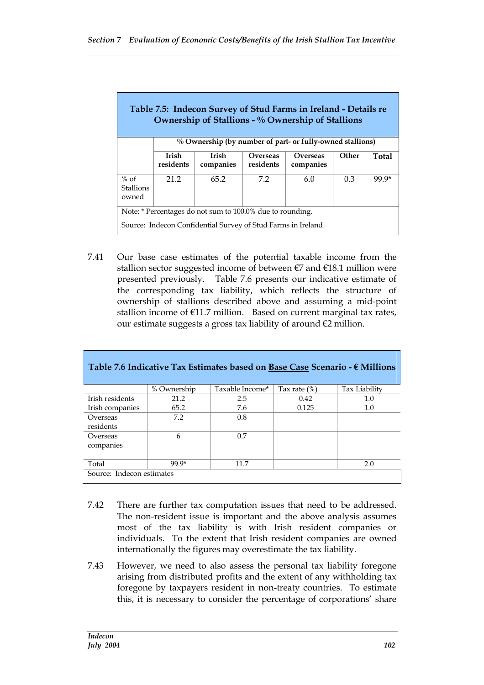| Table 7.5: Indecon Survey of Stud Farms in Ireland - Details re<br>Ownership of Stallions - % Ownership of Stallions |                    |                                                              |                       |                       |       |       |
|----------------------------------------------------------------------------------------------------------------------|--------------------|--------------------------------------------------------------|-----------------------|-----------------------|-------|-------|
|                                                                                                                      |                    | % Ownership (by number of part- or fully-owned stallions)    |                       |                       |       |       |
|                                                                                                                      | Irish<br>residents | Irish<br>companies                                           | Overseas<br>residents | Overseas<br>companies | Other | Total |
| $%$ of<br>21 2<br>7.2<br>99 9*<br>65.2<br>6.0<br>0.3<br><b>Stallions</b><br>owned                                    |                    |                                                              |                       |                       |       |       |
| Note: * Percentages do not sum to 100.0% due to rounding.                                                            |                    |                                                              |                       |                       |       |       |
|                                                                                                                      |                    | Source: Indecon Confidential Survey of Stud Farms in Ireland |                       |                       |       |       |

7.41 Our base case estimates of the potential taxable income from the stallion sector suggested income of between  $\epsilon$ 7 and  $\epsilon$ 18.1 million were presented previously. Table 7.6 presents our indicative estimate of the corresponding tax liability, which reflects the structure of ownership of stallions described above and assuming a mid-point stallion income of  $E11.7$  million. Based on current marginal tax rates, our estimate suggests a gross tax liability of around  $\epsilon$ 2 million.

|                           | % Ownership | Taxable Income* | Tax rate $(\%)$ | Tax Liability |
|---------------------------|-------------|-----------------|-----------------|---------------|
| Irish residents           | 21.2        | 2.5             | 0.42            | 1.0           |
| Irish companies           | 65.2        | 7.6             | 0.125           | 1.0           |
| Overseas                  | 7.2         | 0.8             |                 |               |
| residents                 |             |                 |                 |               |
| Overseas                  | 6           | 0.7             |                 |               |
| companies                 |             |                 |                 |               |
|                           |             |                 |                 |               |
| Total                     | 99.9*       | 11.7            |                 | 2.0           |
| Source: Indecon estimates |             |                 |                 |               |

#### **Table 7.6 Indicative Tax Estimates based on Base Case Scenario - € Millions**

- 7.42 There are further tax computation issues that need to be addressed. The non-resident issue is important and the above analysis assumes most of the tax liability is with Irish resident companies or individuals. To the extent that Irish resident companies are owned internationally the figures may overestimate the tax liability.
- 7.43 However, we need to also assess the personal tax liability foregone arising from distributed profits and the extent of any withholding tax foregone by taxpayers resident in non-treaty countries. To estimate this, it is necessary to consider the percentage of corporations' share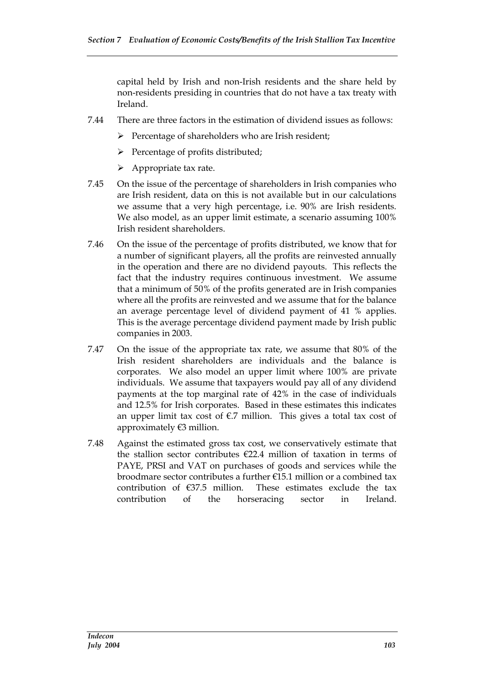capital held by Irish and non-Irish residents and the share held by non-residents presiding in countries that do not have a tax treaty with Ireland.

- 7.44 There are three factors in the estimation of dividend issues as follows:
	- $\triangleright$  Percentage of shareholders who are Irish resident;
	- $\triangleright$  Percentage of profits distributed;
	- $\triangleright$  Appropriate tax rate.
- 7.45 On the issue of the percentage of shareholders in Irish companies who are Irish resident, data on this is not available but in our calculations we assume that a very high percentage, i.e. 90% are Irish residents. We also model, as an upper limit estimate, a scenario assuming 100% Irish resident shareholders.
- 7.46 On the issue of the percentage of profits distributed, we know that for a number of significant players, all the profits are reinvested annually in the operation and there are no dividend payouts. This reflects the fact that the industry requires continuous investment. We assume that a minimum of 50% of the profits generated are in Irish companies where all the profits are reinvested and we assume that for the balance an average percentage level of dividend payment of 41 % applies. This is the average percentage dividend payment made by Irish public companies in 2003.
- 7.47 On the issue of the appropriate tax rate, we assume that 80% of the Irish resident shareholders are individuals and the balance is corporates. We also model an upper limit where 100% are private individuals. We assume that taxpayers would pay all of any dividend payments at the top marginal rate of 42% in the case of individuals and 12.5% for Irish corporates. Based in these estimates this indicates an upper limit tax cost of  $\epsilon$ .7 million. This gives a total tax cost of approximately €3 million.
- 7.48 Against the estimated gross tax cost, we conservatively estimate that the stallion sector contributes  $E22.4$  million of taxation in terms of PAYE, PRSI and VAT on purchases of goods and services while the broodmare sector contributes a further €15.1 million or a combined tax contribution of  $\epsilon$ 37.5 million. These estimates exclude the tax contribution of the horseracing sector in Ireland.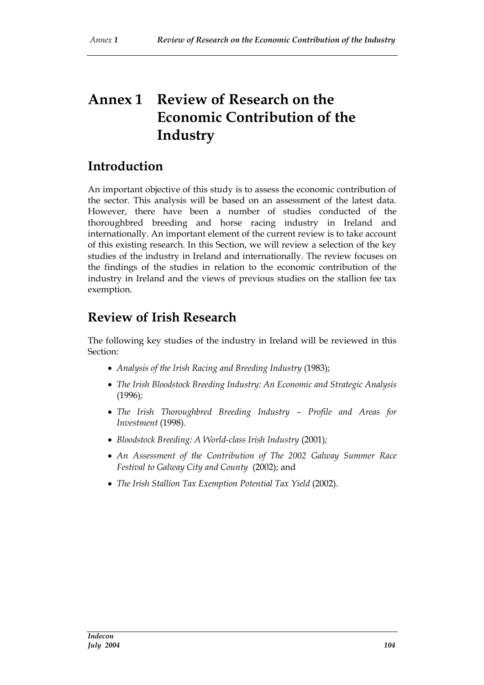# **Annex 1 Review of Research on the Economic Contribution of the Industry**

# **Introduction**

An important objective of this study is to assess the economic contribution of the sector. This analysis will be based on an assessment of the latest data. However, there have been a number of studies conducted of the thoroughbred breeding and horse racing industry in Ireland and internationally. An important element of the current review is to take account of this existing research. In this Section, we will review a selection of the key studies of the industry in Ireland and internationally. The review focuses on the findings of the studies in relation to the economic contribution of the industry in Ireland and the views of previous studies on the stallion fee tax exemption.

# **Review of Irish Research**

The following key studies of the industry in Ireland will be reviewed in this Section:

- *Analysis of the Irish Racing and Breeding Industry* (1983);
- *The Irish Bloodstock Breeding Industry: An Economic and Strategic Analysis* (1996)*;*
- *The Irish Thoroughbred Breeding Industry – Profile and Areas for Investment* (1998)*.*
- *Bloodstock Breeding: A World-class Irish Industry* (2001)*;*
- *An Assessment of the Contribution of The 2002 Galway Summer Race Festival to Galway City and County* (2002); and
- *The Irish Stallion Tax Exemption Potential Tax Yield* (2002)*.*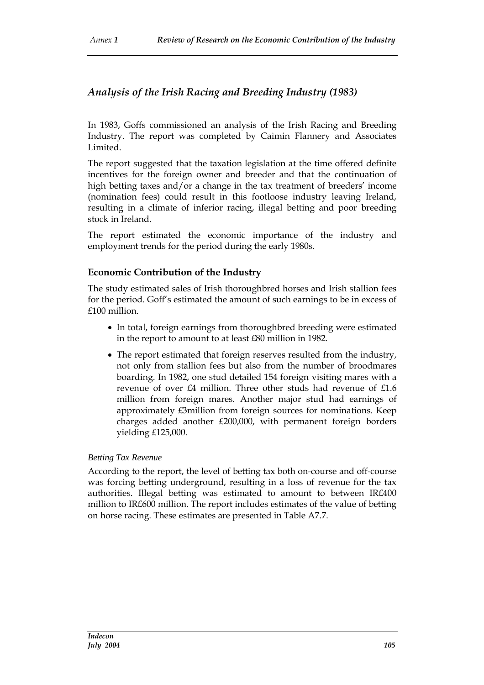### *Analysis of the Irish Racing and Breeding Industry (1983)*

In 1983, Goffs commissioned an analysis of the Irish Racing and Breeding Industry. The report was completed by Caimin Flannery and Associates Limited.

The report suggested that the taxation legislation at the time offered definite incentives for the foreign owner and breeder and that the continuation of high betting taxes and/or a change in the tax treatment of breeders' income (nomination fees) could result in this footloose industry leaving Ireland, resulting in a climate of inferior racing, illegal betting and poor breeding stock in Ireland.

The report estimated the economic importance of the industry and employment trends for the period during the early 1980s.

#### **Economic Contribution of the Industry**

The study estimated sales of Irish thoroughbred horses and Irish stallion fees for the period. Goff's estimated the amount of such earnings to be in excess of £100 million.

- In total, foreign earnings from thoroughbred breeding were estimated in the report to amount to at least £80 million in 1982.
- The report estimated that foreign reserves resulted from the industry, not only from stallion fees but also from the number of broodmares boarding. In 1982, one stud detailed 154 foreign visiting mares with a revenue of over £4 million. Three other studs had revenue of £1.6 million from foreign mares. Another major stud had earnings of approximately £3million from foreign sources for nominations. Keep charges added another £200,000, with permanent foreign borders yielding £125,000.

#### *Betting Tax Revenue*

According to the report, the level of betting tax both on-course and off-course was forcing betting underground, resulting in a loss of revenue for the tax authorities. Illegal betting was estimated to amount to between IR£400 million to IR£600 million. The report includes estimates of the value of betting on horse racing. These estimates are presented in Table A7.7.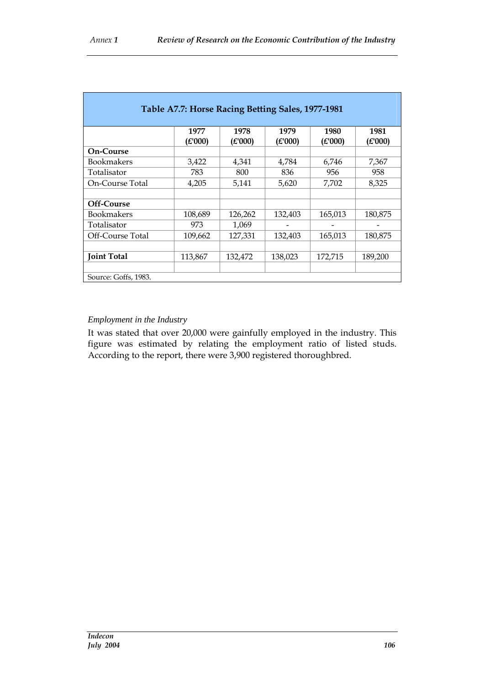| Table A7.7: Horse Racing Betting Sales, 1977-1981 |         |         |         |         |         |
|---------------------------------------------------|---------|---------|---------|---------|---------|
|                                                   | 1977    | 1978    | 1979    | 1980    | 1981    |
|                                                   | (£'000) | (E'000) | (£'000) | (E'000) | (E'000) |
| <b>On-Course</b>                                  |         |         |         |         |         |
| <b>Bookmakers</b>                                 | 3,422   | 4,341   | 4,784   | 6,746   | 7,367   |
| Totalisator                                       | 783     | 800     | 836     | 956     | 958     |
| On-Course Total                                   | 4,205   | 5,141   | 5,620   | 7,702   | 8,325   |
|                                                   |         |         |         |         |         |
| Off-Course                                        |         |         |         |         |         |
| <b>Bookmakers</b>                                 | 108,689 | 126,262 | 132,403 | 165,013 | 180,875 |
| Totalisator                                       | 973     | 1,069   |         |         |         |
| Off-Course Total                                  | 109,662 | 127,331 | 132,403 | 165,013 | 180,875 |
|                                                   |         |         |         |         |         |
| <b>Joint Total</b>                                | 113,867 | 132,472 | 138,023 | 172,715 | 189,200 |
|                                                   |         |         |         |         |         |
| Source: Goffs, 1983.                              |         |         |         |         |         |

#### *Employment in the Industry*

It was stated that over 20,000 were gainfully employed in the industry. This figure was estimated by relating the employment ratio of listed studs. According to the report, there were 3,900 registered thoroughbred.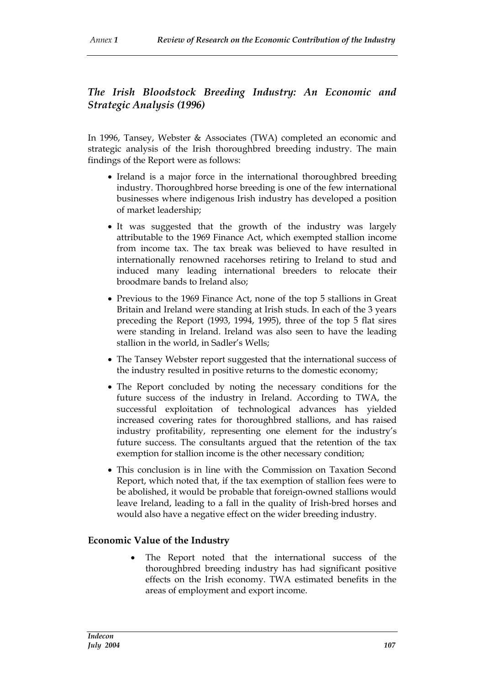# *The Irish Bloodstock Breeding Industry: An Economic and Strategic Analysis (1996)*

In 1996, Tansey, Webster & Associates (TWA) completed an economic and strategic analysis of the Irish thoroughbred breeding industry. The main findings of the Report were as follows:

- Ireland is a major force in the international thoroughbred breeding industry. Thoroughbred horse breeding is one of the few international businesses where indigenous Irish industry has developed a position of market leadership;
- It was suggested that the growth of the industry was largely attributable to the 1969 Finance Act, which exempted stallion income from income tax. The tax break was believed to have resulted in internationally renowned racehorses retiring to Ireland to stud and induced many leading international breeders to relocate their broodmare bands to Ireland also;
- Previous to the 1969 Finance Act, none of the top 5 stallions in Great Britain and Ireland were standing at Irish studs. In each of the 3 years preceding the Report (1993, 1994, 1995), three of the top 5 flat sires were standing in Ireland. Ireland was also seen to have the leading stallion in the world, in Sadler's Wells;
- The Tansey Webster report suggested that the international success of the industry resulted in positive returns to the domestic economy;
- The Report concluded by noting the necessary conditions for the future success of the industry in Ireland. According to TWA, the successful exploitation of technological advances has yielded increased covering rates for thoroughbred stallions, and has raised industry profitability, representing one element for the industry's future success. The consultants argued that the retention of the tax exemption for stallion income is the other necessary condition;
- This conclusion is in line with the Commission on Taxation Second Report, which noted that, if the tax exemption of stallion fees were to be abolished, it would be probable that foreign-owned stallions would leave Ireland, leading to a fall in the quality of Irish-bred horses and would also have a negative effect on the wider breeding industry.

### **Economic Value of the Industry**

 The Report noted that the international success of the thoroughbred breeding industry has had significant positive effects on the Irish economy. TWA estimated benefits in the areas of employment and export income.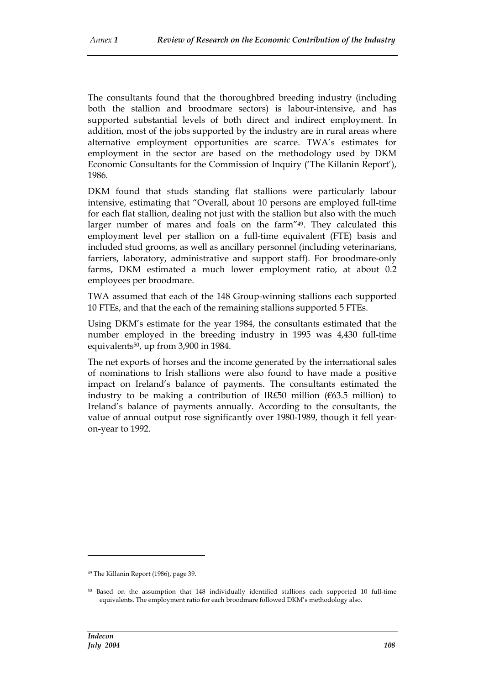The consultants found that the thoroughbred breeding industry (including both the stallion and broodmare sectors) is labour-intensive, and has supported substantial levels of both direct and indirect employment. In addition, most of the jobs supported by the industry are in rural areas where alternative employment opportunities are scarce. TWA's estimates for employment in the sector are based on the methodology used by DKM Economic Consultants for the Commission of Inquiry ('The Killanin Report'), 1986.

DKM found that studs standing flat stallions were particularly labour intensive, estimating that "Overall, about 10 persons are employed full-time for each flat stallion, dealing not just with the stallion but also with the much larger number of mares and foals on the farm"49. They calculated this employment level per stallion on a full-time equivalent (FTE) basis and included stud grooms, as well as ancillary personnel (including veterinarians, farriers, laboratory, administrative and support staff). For broodmare-only farms, DKM estimated a much lower employment ratio, at about 0.2 employees per broodmare.

TWA assumed that each of the 148 Group-winning stallions each supported 10 FTEs, and that the each of the remaining stallions supported 5 FTEs.

Using DKM's estimate for the year 1984, the consultants estimated that the number employed in the breeding industry in 1995 was 4,430 full-time equivalents50, up from 3,900 in 1984.

The net exports of horses and the income generated by the international sales of nominations to Irish stallions were also found to have made a positive impact on Ireland's balance of payments. The consultants estimated the industry to be making a contribution of IR£50 million ( $663.5$  million) to Ireland's balance of payments annually. According to the consultants, the value of annual output rose significantly over 1980-1989, though it fell yearon-year to 1992.

<sup>49</sup> The Killanin Report (1986), page 39.

<sup>50</sup> Based on the assumption that 148 individually identified stallions each supported 10 full-time equivalents. The employment ratio for each broodmare followed DKM's methodology also.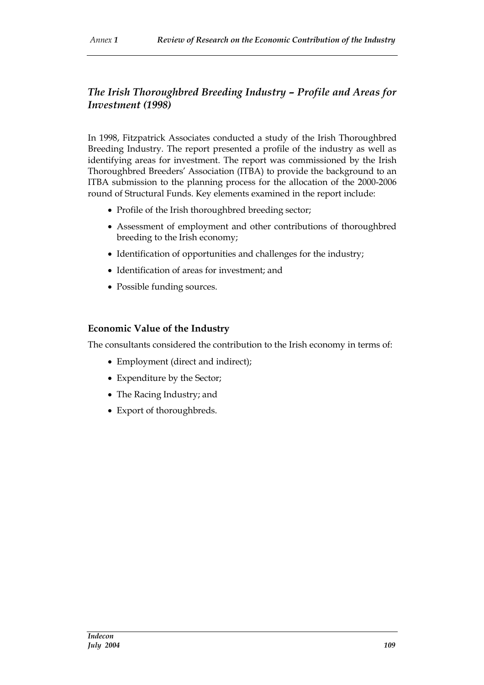## *The Irish Thoroughbred Breeding Industry – Profile and Areas for Investment (1998)*

In 1998, Fitzpatrick Associates conducted a study of the Irish Thoroughbred Breeding Industry. The report presented a profile of the industry as well as identifying areas for investment. The report was commissioned by the Irish Thoroughbred Breeders' Association (ITBA) to provide the background to an ITBA submission to the planning process for the allocation of the 2000-2006 round of Structural Funds. Key elements examined in the report include:

- Profile of the Irish thoroughbred breeding sector;
- Assessment of employment and other contributions of thoroughbred breeding to the Irish economy;
- Identification of opportunities and challenges for the industry;
- Identification of areas for investment; and
- Possible funding sources.

#### **Economic Value of the Industry**

The consultants considered the contribution to the Irish economy in terms of:

- Employment (direct and indirect);
- Expenditure by the Sector;
- The Racing Industry; and
- Export of thoroughbreds.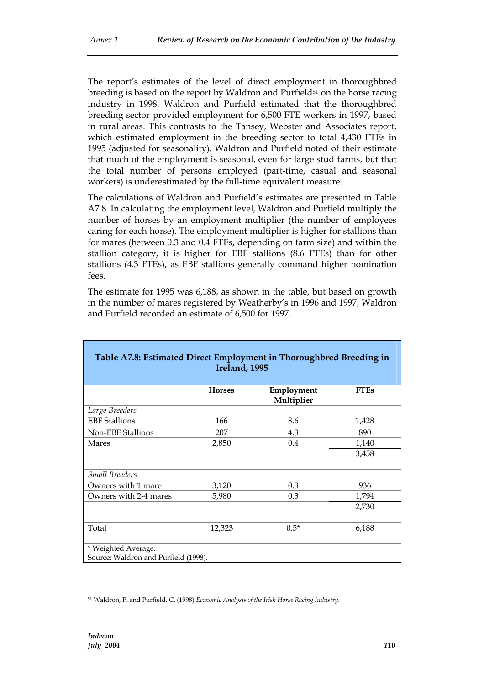The report's estimates of the level of direct employment in thoroughbred breeding is based on the report by Waldron and Purfield<sup>51</sup> on the horse racing industry in 1998. Waldron and Purfield estimated that the thoroughbred breeding sector provided employment for 6,500 FTE workers in 1997, based in rural areas. This contrasts to the Tansey, Webster and Associates report, which estimated employment in the breeding sector to total 4,430 FTEs in 1995 (adjusted for seasonality). Waldron and Purfield noted of their estimate that much of the employment is seasonal, even for large stud farms, but that the total number of persons employed (part-time, casual and seasonal workers) is underestimated by the full-time equivalent measure.

The calculations of Waldron and Purfield's estimates are presented in Table A7.8. In calculating the employment level, Waldron and Purfield multiply the number of horses by an employment multiplier (the number of employees caring for each horse). The employment multiplier is higher for stallions than for mares (between 0.3 and 0.4 FTEs, depending on farm size) and within the stallion category, it is higher for EBF stallions (8.6 FTEs) than for other stallions (4.3 FTEs), as EBF stallions generally command higher nomination fees.

The estimate for 1995 was 6,188, as shown in the table, but based on growth in the number of mares registered by Weatherby's in 1996 and 1997, Waldron and Purfield recorded an estimate of 6,500 for 1997.

| Table A7.8: Estimated Direct Employment in Thoroughbred Breeding in<br>Ireland, 1995 |               |                          |             |
|--------------------------------------------------------------------------------------|---------------|--------------------------|-------------|
|                                                                                      | <b>Horses</b> | Employment<br>Multiplier | <b>FTEs</b> |
| Large Breeders                                                                       |               |                          |             |
| <b>EBF</b> Stallions                                                                 | 166           | 8.6                      | 1,428       |
| <b>Non-EBF Stallions</b>                                                             | 207           | 4.3                      | 890         |
| Mares                                                                                | 2,850         | 0.4                      | 1,140       |
|                                                                                      |               |                          | 3,458       |
| <b>Small Breeders</b>                                                                |               |                          |             |
| Owners with 1 mare                                                                   | 3,120         | 0.3                      | 936         |
| Owners with 2-4 mares                                                                | 5,980         | 0.3                      | 1,794       |
|                                                                                      |               |                          | 2,730       |
|                                                                                      |               |                          |             |
| Total                                                                                | 12,323        | $0.5*$                   | 6,188       |
| * Weighted Average.<br>Source: Waldron and Purfield (1998).                          |               |                          |             |

<sup>51</sup> Waldron, P. and Purfield, C. (1998) *Economic Analysis of the Irish Horse Racing Industry.*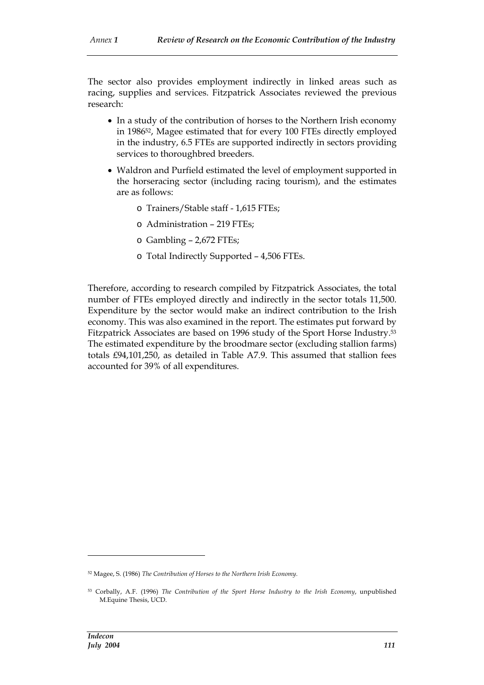The sector also provides employment indirectly in linked areas such as racing, supplies and services. Fitzpatrick Associates reviewed the previous research:

- In a study of the contribution of horses to the Northern Irish economy in 198652, Magee estimated that for every 100 FTEs directly employed in the industry, 6.5 FTEs are supported indirectly in sectors providing services to thoroughbred breeders.
- Waldron and Purfield estimated the level of employment supported in the horseracing sector (including racing tourism), and the estimates are as follows:
	- o Trainers/Stable staff 1,615 FTEs;
	- o Administration 219 FTEs;
	- o Gambling 2,672 FTEs;
	- o Total Indirectly Supported 4,506 FTEs.

Therefore, according to research compiled by Fitzpatrick Associates, the total number of FTEs employed directly and indirectly in the sector totals 11,500. Expenditure by the sector would make an indirect contribution to the Irish economy. This was also examined in the report. The estimates put forward by Fitzpatrick Associates are based on 1996 study of the Sport Horse Industry.<sup>53</sup> The estimated expenditure by the broodmare sector (excluding stallion farms) totals £94,101,250, as detailed in Table A7.9. This assumed that stallion fees accounted for 39% of all expenditures.

<sup>52</sup> Magee, S. (1986) *The Contribution of Horses to the Northern Irish Economy.*

<sup>53</sup> Corbally, A.F. (1996) *The Contribution of the Sport Horse Industry to the Irish Economy*, unpublished M.Equine Thesis, UCD.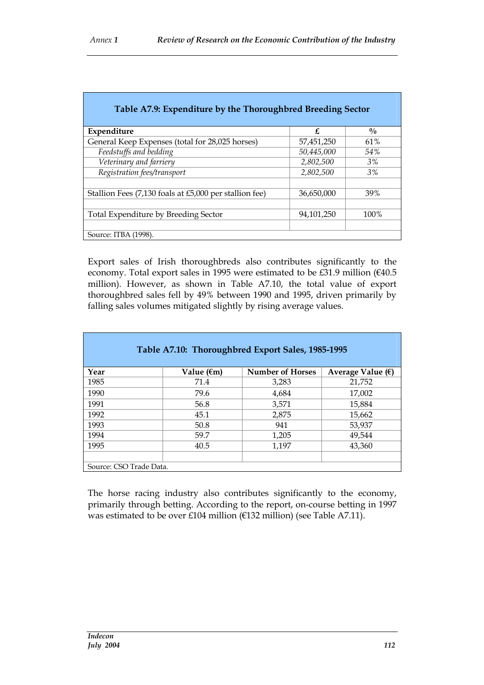| Table A7.9: Expenditure by the Thoroughbred Breeding Sector |            |               |  |
|-------------------------------------------------------------|------------|---------------|--|
| Expenditure                                                 | £          | $\frac{0}{0}$ |  |
|                                                             |            |               |  |
| General Keep Expenses (total for 28,025 horses)             | 57,451,250 | 61%           |  |
| Feedstuffs and bedding                                      | 50,445,000 | 54%           |  |
| Veterinary and farriery                                     | 2,802,500  | 3%            |  |
| Registration fees/transport                                 | 2,802,500  | 3%            |  |
| Stallion Fees (7,130 foals at £5,000 per stallion fee)      | 36,650,000 | 39%           |  |
|                                                             |            |               |  |
| Total Expenditure by Breeding Sector                        | 94,101,250 | 100%          |  |
| Source: ITBA (1998).                                        |            |               |  |

Export sales of Irish thoroughbreds also contributes significantly to the economy. Total export sales in 1995 were estimated to be £31.9 million (€40.5 million). However, as shown in Table A7.10, the total value of export thoroughbred sales fell by 49% between 1990 and 1995, driven primarily by falling sales volumes mitigated slightly by rising average values.

| Table A7.10: Thoroughbred Export Sales, 1985-1995 |                      |                         |                            |  |
|---------------------------------------------------|----------------------|-------------------------|----------------------------|--|
| Year                                              | Value $(\epsilon m)$ | <b>Number of Horses</b> | Average Value $(\epsilon)$ |  |
| 1985                                              | 71.4                 | 3,283                   | 21,752                     |  |
| 1990                                              | 79.6                 | 4,684                   | 17,002                     |  |
| 1991                                              | 56.8                 | 3,571                   | 15,884                     |  |
| 1992                                              | 45.1                 | 2,875                   | 15,662                     |  |
| 1993                                              | 50.8                 | 941                     | 53,937                     |  |
| 1994                                              | 59.7                 | 1,205                   | 49,544                     |  |
| 1995                                              | 40.5                 | 1,197                   | 43,360                     |  |
|                                                   |                      |                         |                            |  |
| Source: CSO Trade Data.                           |                      |                         |                            |  |

The horse racing industry also contributes significantly to the economy, primarily through betting. According to the report, on-course betting in 1997 was estimated to be over £104 million (€132 million) (see Table A7.11).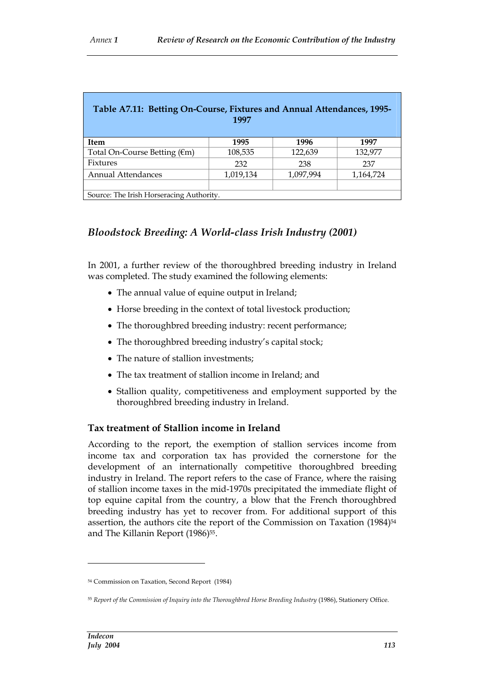| Table A7.11: Betting On-Course, Fixtures and Annual Attendances, 1995-<br>1997 |           |           |           |  |
|--------------------------------------------------------------------------------|-----------|-----------|-----------|--|
| <b>Item</b>                                                                    | 1995      | 1996      | 1997      |  |
| Total On-Course Betting $(\epsilon m)$                                         | 108,535   | 122,639   | 132,977   |  |
| Fixtures                                                                       | 232       | 238       | 237       |  |
| <b>Annual Attendances</b>                                                      | 1,019,134 | 1,097,994 | 1,164,724 |  |
|                                                                                |           |           |           |  |
| Source: The Irish Horseracing Authority.                                       |           |           |           |  |

# *Bloodstock Breeding: A World-class Irish Industry (2001)*

In 2001, a further review of the thoroughbred breeding industry in Ireland was completed. The study examined the following elements:

- The annual value of equine output in Ireland;
- Horse breeding in the context of total livestock production;
- The thoroughbred breeding industry: recent performance;
- The thoroughbred breeding industry's capital stock;
- The nature of stallion investments;
- The tax treatment of stallion income in Ireland; and
- Stallion quality, competitiveness and employment supported by the thoroughbred breeding industry in Ireland.

### **Tax treatment of Stallion income in Ireland**

According to the report, the exemption of stallion services income from income tax and corporation tax has provided the cornerstone for the development of an internationally competitive thoroughbred breeding industry in Ireland. The report refers to the case of France, where the raising of stallion income taxes in the mid-1970s precipitated the immediate flight of top equine capital from the country, a blow that the French thoroughbred breeding industry has yet to recover from. For additional support of this assertion, the authors cite the report of the Commission on Taxation (1984)<sup>54</sup> and The Killanin Report (1986)<sup>55</sup>.

<sup>54</sup> Commission on Taxation, Second Report (1984)

<sup>55</sup> *Report of the Commission of Inquiry into the Thoroughbred Horse Breeding Industry* (1986), Stationery Office.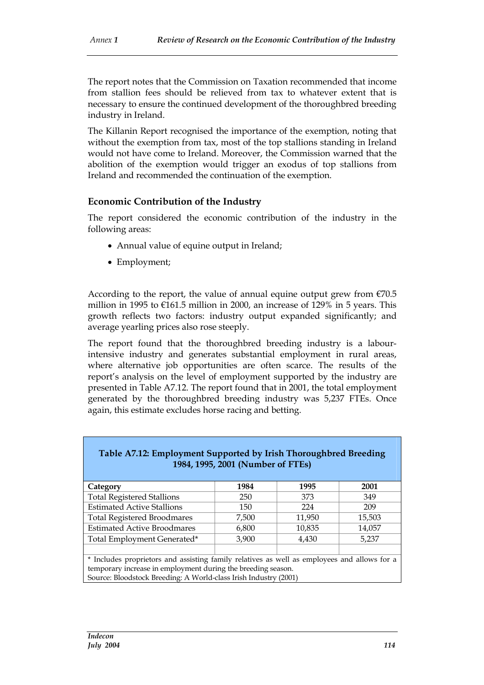The report notes that the Commission on Taxation recommended that income from stallion fees should be relieved from tax to whatever extent that is necessary to ensure the continued development of the thoroughbred breeding industry in Ireland.

The Killanin Report recognised the importance of the exemption, noting that without the exemption from tax, most of the top stallions standing in Ireland would not have come to Ireland. Moreover, the Commission warned that the abolition of the exemption would trigger an exodus of top stallions from Ireland and recommended the continuation of the exemption.

#### **Economic Contribution of the Industry**

The report considered the economic contribution of the industry in the following areas:

- Annual value of equine output in Ireland;
- Employment;

According to the report, the value of annual equine output grew from  $\epsilon$ 70.5 million in 1995 to  $\epsilon$ 161.5 million in 2000, an increase of 129% in 5 years. This growth reflects two factors: industry output expanded significantly; and average yearling prices also rose steeply.

The report found that the thoroughbred breeding industry is a labourintensive industry and generates substantial employment in rural areas, where alternative job opportunities are often scarce. The results of the report's analysis on the level of employment supported by the industry are presented in Table A7.12. The report found that in 2001, the total employment generated by the thoroughbred breeding industry was 5,237 FTEs. Once again, this estimate excludes horse racing and betting.

| Table A7.12. Employment Supported by Irish Thoroughbred Dreeding<br>1984, 1995, 2001 (Number of FTEs) |       |        |        |  |  |
|-------------------------------------------------------------------------------------------------------|-------|--------|--------|--|--|
|                                                                                                       |       |        |        |  |  |
| Category                                                                                              | 1984  | 1995   | 2001   |  |  |
| <b>Total Registered Stallions</b>                                                                     | 250   | 373    | 349    |  |  |
| <b>Estimated Active Stallions</b>                                                                     | 150   | 224    | 209    |  |  |
| <b>Total Registered Broodmares</b>                                                                    | 7,500 | 11,950 | 15,503 |  |  |
| <b>Estimated Active Broodmares</b>                                                                    | 6,800 | 10,835 | 14,057 |  |  |
| Total Employment Generated*                                                                           | 3,900 | 4,430  | 5,237  |  |  |
|                                                                                                       |       |        |        |  |  |
| * Includes proprietors and assisting family relatives as well as employees and allows for a           |       |        |        |  |  |
| temporary increase in employment during the breeding season.                                          |       |        |        |  |  |
| Source: Bloodstock Breeding: A World-class Irish Industry (2001)                                      |       |        |        |  |  |

**Table A7.12: Employment Supported by Irish Thoroughbred Breeding**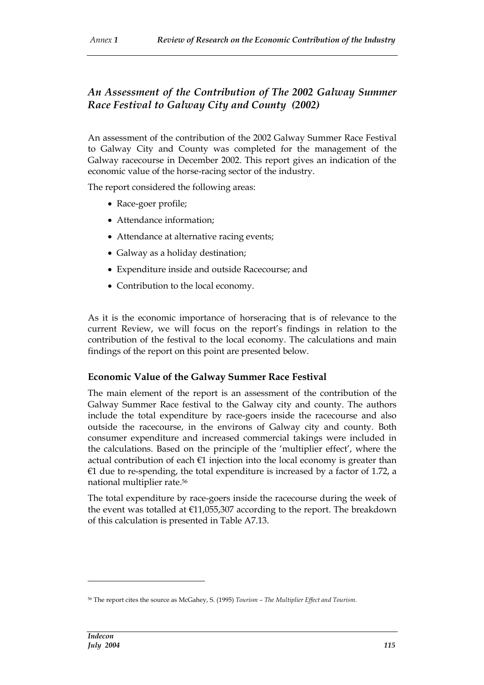# *An Assessment of the Contribution of The 2002 Galway Summer Race Festival to Galway City and County (2002)*

An assessment of the contribution of the 2002 Galway Summer Race Festival to Galway City and County was completed for the management of the Galway racecourse in December 2002. This report gives an indication of the economic value of the horse-racing sector of the industry.

The report considered the following areas:

- Race-goer profile;
- Attendance information;
- Attendance at alternative racing events;
- Galway as a holiday destination;
- Expenditure inside and outside Racecourse; and
- Contribution to the local economy.

As it is the economic importance of horseracing that is of relevance to the current Review, we will focus on the report's findings in relation to the contribution of the festival to the local economy. The calculations and main findings of the report on this point are presented below.

#### **Economic Value of the Galway Summer Race Festival**

The main element of the report is an assessment of the contribution of the Galway Summer Race festival to the Galway city and county. The authors include the total expenditure by race-goers inside the racecourse and also outside the racecourse, in the environs of Galway city and county. Both consumer expenditure and increased commercial takings were included in the calculations. Based on the principle of the 'multiplier effect', where the actual contribution of each  $\epsilon$ 1 injection into the local economy is greater than  $€1$  due to re-spending, the total expenditure is increased by a factor of 1.72, a national multiplier rate.<sup>56</sup>

The total expenditure by race-goers inside the racecourse during the week of the event was totalled at €11,055,307 according to the report. The breakdown of this calculation is presented in Table A7.13.

<sup>56</sup> The report cites the source as McGahey, S. (1995) *Tourism – The Multiplier Effect and Tourism*.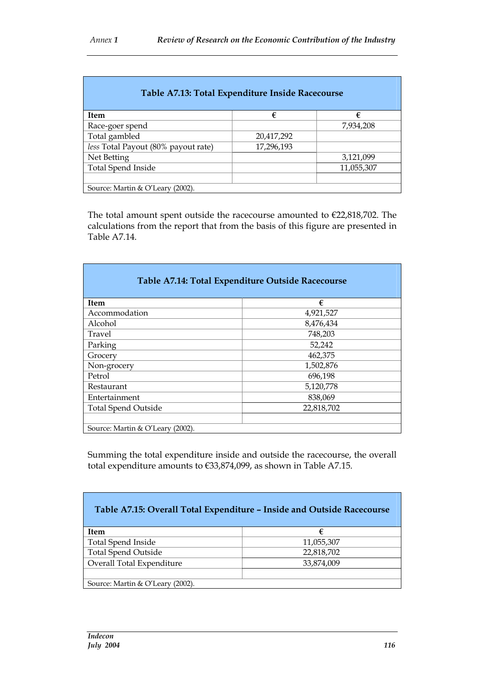| Table A7.13: Total Expenditure Inside Racecourse |            |            |  |
|--------------------------------------------------|------------|------------|--|
| <b>Item</b>                                      | €          | €          |  |
| Race-goer spend                                  |            | 7,934,208  |  |
| Total gambled                                    | 20,417,292 |            |  |
| less Total Payout (80% payout rate)              | 17,296,193 |            |  |
| Net Betting                                      |            | 3,121,099  |  |
| <b>Total Spend Inside</b>                        |            | 11,055,307 |  |
|                                                  |            |            |  |
| Source: Martin & O'Leary (2002).                 |            |            |  |

The total amount spent outside the racecourse amounted to €22,818,702. The calculations from the report that from the basis of this figure are presented in Table A7.14.

| Table A7.14: Total Expenditure Outside Racecourse |            |  |  |
|---------------------------------------------------|------------|--|--|
| <b>Item</b>                                       | €          |  |  |
| Accommodation                                     | 4,921,527  |  |  |
| Alcohol                                           | 8,476,434  |  |  |
| Travel                                            | 748,203    |  |  |
| Parking                                           | 52,242     |  |  |
| Grocery                                           | 462,375    |  |  |
| Non-grocery                                       | 1,502,876  |  |  |
| Petrol                                            | 696,198    |  |  |
| Restaurant                                        | 5,120,778  |  |  |
| Entertainment                                     | 838,069    |  |  |
| <b>Total Spend Outside</b>                        | 22,818,702 |  |  |
|                                                   |            |  |  |
| Source: Martin & O'Leary (2002).                  |            |  |  |

Summing the total expenditure inside and outside the racecourse, the overall total expenditure amounts to €33,874,099, as shown in Table A7.15.

| Table A7.15: Overall Total Expenditure - Inside and Outside Racecourse |            |  |  |  |
|------------------------------------------------------------------------|------------|--|--|--|
| <b>Item</b>                                                            | €          |  |  |  |
| Total Spend Inside                                                     | 11,055,307 |  |  |  |
| <b>Total Spend Outside</b><br>22,818,702                               |            |  |  |  |
| Overall Total Expenditure<br>33,874,009                                |            |  |  |  |
|                                                                        |            |  |  |  |
| Source: Martin & O'Leary (2002).                                       |            |  |  |  |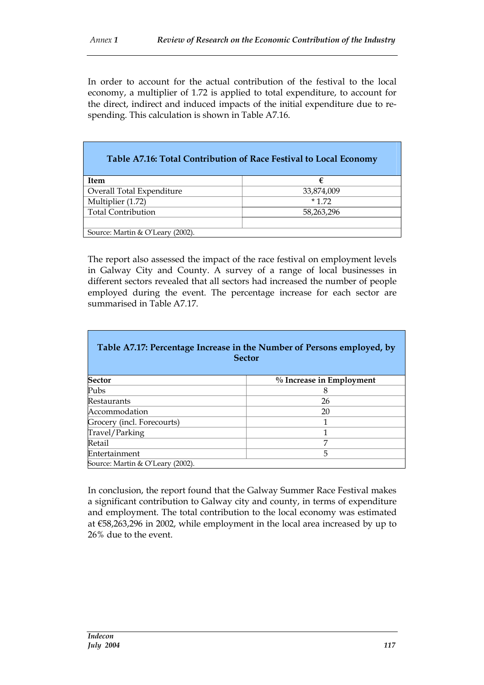In order to account for the actual contribution of the festival to the local economy, a multiplier of 1.72 is applied to total expenditure, to account for the direct, indirect and induced impacts of the initial expenditure due to respending. This calculation is shown in Table A7.16.

|                                  | Table A7.16: Total Contribution of Race Festival to Local Economy |
|----------------------------------|-------------------------------------------------------------------|
| <b>Item</b>                      | €                                                                 |
| Overall Total Expenditure        | 33,874,009                                                        |
| Multiplier (1.72)                | $*172$                                                            |
| <b>Total Contribution</b>        | 58,263,296                                                        |
|                                  |                                                                   |
| Source: Martin & O'Leary (2002). |                                                                   |

The report also assessed the impact of the race festival on employment levels in Galway City and County. A survey of a range of local businesses in different sectors revealed that all sectors had increased the number of people employed during the event. The percentage increase for each sector are summarised in Table A7.17.

| Table A7.17: Percentage Increase in the Number of Persons employed, by<br><b>Sector</b> |                          |  |  |  |  |  |
|-----------------------------------------------------------------------------------------|--------------------------|--|--|--|--|--|
| <b>Sector</b>                                                                           | % Increase in Employment |  |  |  |  |  |
| Pubs                                                                                    | 8                        |  |  |  |  |  |
| Restaurants                                                                             | 26                       |  |  |  |  |  |
| Accommodation                                                                           | 20                       |  |  |  |  |  |
| Grocery (incl. Forecourts)                                                              | 1                        |  |  |  |  |  |
| Travel/Parking                                                                          | 1                        |  |  |  |  |  |
| Retail                                                                                  | 7                        |  |  |  |  |  |
| Entertainment                                                                           | 5                        |  |  |  |  |  |
| Source: Martin & O'Leary (2002).                                                        |                          |  |  |  |  |  |

In conclusion, the report found that the Galway Summer Race Festival makes a significant contribution to Galway city and county, in terms of expenditure and employment. The total contribution to the local economy was estimated at €58,263,296 in 2002, while employment in the local area increased by up to 26% due to the event.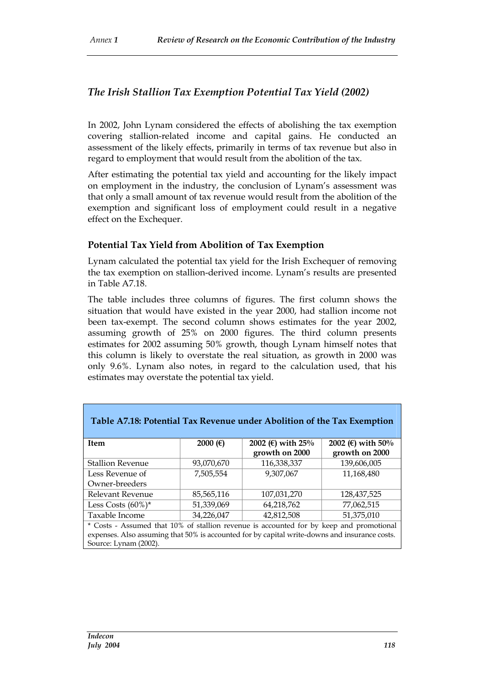## *The Irish Stallion Tax Exemption Potential Tax Yield (2002)*

In 2002, John Lynam considered the effects of abolishing the tax exemption covering stallion-related income and capital gains. He conducted an assessment of the likely effects, primarily in terms of tax revenue but also in regard to employment that would result from the abolition of the tax.

After estimating the potential tax yield and accounting for the likely impact on employment in the industry, the conclusion of Lynam's assessment was that only a small amount of tax revenue would result from the abolition of the exemption and significant loss of employment could result in a negative effect on the Exchequer.

#### **Potential Tax Yield from Abolition of Tax Exemption**

Lynam calculated the potential tax yield for the Irish Exchequer of removing the tax exemption on stallion-derived income. Lynam's results are presented in Table A7.18.

The table includes three columns of figures. The first column shows the situation that would have existed in the year 2000, had stallion income not been tax-exempt. The second column shows estimates for the year 2002, assuming growth of 25% on 2000 figures. The third column presents estimates for 2002 assuming 50% growth, though Lynam himself notes that this column is likely to overstate the real situation, as growth in 2000 was only 9.6%. Lynam also notes, in regard to the calculation used, that his estimates may overstate the potential tax yield.

| Table A7.18: Potential Tax Revenue under Abolition of the Tax Exemption                 |            |                   |                   |  |  |  |  |
|-----------------------------------------------------------------------------------------|------------|-------------------|-------------------|--|--|--|--|
| Item                                                                                    | 2000 $(F)$ | 2002 (€) with 25% | 2002 (€) with 50% |  |  |  |  |
|                                                                                         |            | growth on 2000    | growth on 2000    |  |  |  |  |
| <b>Stallion Revenue</b>                                                                 | 93,070,670 | 116,338,337       | 139,606,005       |  |  |  |  |
| Less Revenue of                                                                         | 7,505,554  | 9,307,067         | 11,168,480        |  |  |  |  |
| Owner-breeders                                                                          |            |                   |                   |  |  |  |  |
| Relevant Revenue                                                                        | 85,565,116 | 107,031,270       | 128,437,525       |  |  |  |  |
| Less Costs $(60\%)^*$                                                                   | 51,339,069 | 64,218,762        | 77,062,515        |  |  |  |  |
| Taxable Income                                                                          | 34,226,047 | 42,812,508        | 51,375,010        |  |  |  |  |
| * Costs - Assumed that 10% of stallion revenue is accounted for by keep and promotional |            |                   |                   |  |  |  |  |

expenses. Also assuming that 50% is accounted for by capital write-downs and insurance costs. Source: Lynam (2002).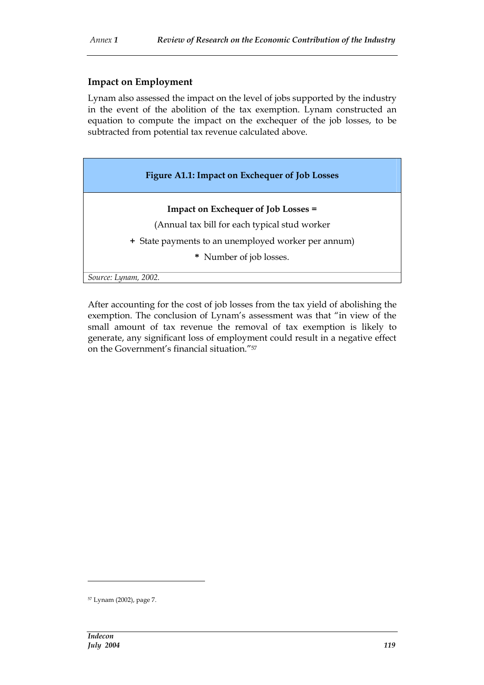#### **Impact on Employment**

Lynam also assessed the impact on the level of jobs supported by the industry in the event of the abolition of the tax exemption. Lynam constructed an equation to compute the impact on the exchequer of the job losses, to be subtracted from potential tax revenue calculated above.

| Figure A1.1: Impact on Exchequer of Job Losses      |
|-----------------------------------------------------|
| <b>Impact on Exchequer of Job Losses =</b>          |
| (Annual tax bill for each typical stud worker       |
| + State payments to an unemployed worker per annum) |
| * Number of job losses.                             |
| Source: Lynam, 2002.                                |

After accounting for the cost of job losses from the tax yield of abolishing the exemption. The conclusion of Lynam's assessment was that "in view of the small amount of tax revenue the removal of tax exemption is likely to generate, any significant loss of employment could result in a negative effect on the Government's financial situation."<sup>57</sup>

<sup>57</sup> Lynam (2002), page 7.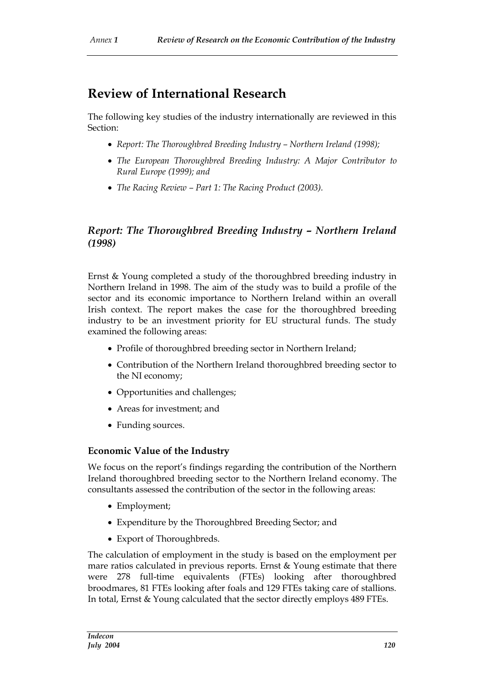# **Review of International Research**

The following key studies of the industry internationally are reviewed in this Section:

- *Report: The Thoroughbred Breeding Industry – Northern Ireland (1998);*
- *The European Thoroughbred Breeding Industry: A Major Contributor to Rural Europe (1999); and*
- *The Racing Review – Part 1: The Racing Product (2003).*

## *Report: The Thoroughbred Breeding Industry – Northern Ireland (1998)*

Ernst & Young completed a study of the thoroughbred breeding industry in Northern Ireland in 1998. The aim of the study was to build a profile of the sector and its economic importance to Northern Ireland within an overall Irish context. The report makes the case for the thoroughbred breeding industry to be an investment priority for EU structural funds. The study examined the following areas:

- Profile of thoroughbred breeding sector in Northern Ireland;
- Contribution of the Northern Ireland thoroughbred breeding sector to the NI economy;
- Opportunities and challenges;
- Areas for investment; and
- Funding sources.

#### **Economic Value of the Industry**

We focus on the report's findings regarding the contribution of the Northern Ireland thoroughbred breeding sector to the Northern Ireland economy. The consultants assessed the contribution of the sector in the following areas:

- Employment;
- Expenditure by the Thoroughbred Breeding Sector; and
- Export of Thoroughbreds.

The calculation of employment in the study is based on the employment per mare ratios calculated in previous reports. Ernst & Young estimate that there were 278 full-time equivalents (FTEs) looking after thoroughbred broodmares, 81 FTEs looking after foals and 129 FTEs taking care of stallions. In total, Ernst & Young calculated that the sector directly employs 489 FTEs.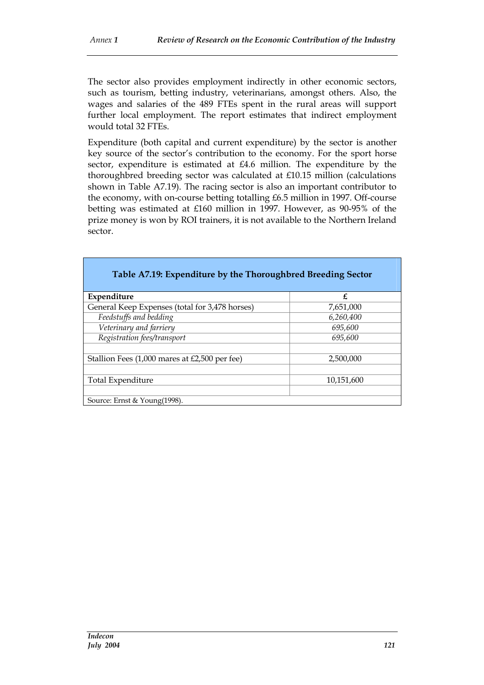The sector also provides employment indirectly in other economic sectors, such as tourism, betting industry, veterinarians, amongst others. Also, the wages and salaries of the 489 FTEs spent in the rural areas will support further local employment. The report estimates that indirect employment would total 32 FTEs.

Expenditure (both capital and current expenditure) by the sector is another key source of the sector's contribution to the economy. For the sport horse sector, expenditure is estimated at £4.6 million. The expenditure by the thoroughbred breeding sector was calculated at £10.15 million (calculations shown in Table A7.19). The racing sector is also an important contributor to the economy, with on-course betting totalling £6.5 million in 1997. Off-course betting was estimated at £160 million in 1997. However, as 90-95% of the prize money is won by ROI trainers, it is not available to the Northern Ireland sector.

| Table A7.19: Expenditure by the Thoroughbred Breeding Sector |            |
|--------------------------------------------------------------|------------|
| Expenditure                                                  | £          |
| General Keep Expenses (total for 3,478 horses)               | 7,651,000  |
| Feedstuffs and bedding                                       | 6,260,400  |
| Veterinary and farriery                                      | 695,600    |
| Registration fees/transport                                  | 695,600    |
|                                                              |            |
| Stallion Fees $(1,000$ mares at £2,500 per fee)              | 2,500,000  |
|                                                              |            |
| Total Expenditure                                            | 10,151,600 |
|                                                              |            |
| Source: Ernst & Young(1998).                                 |            |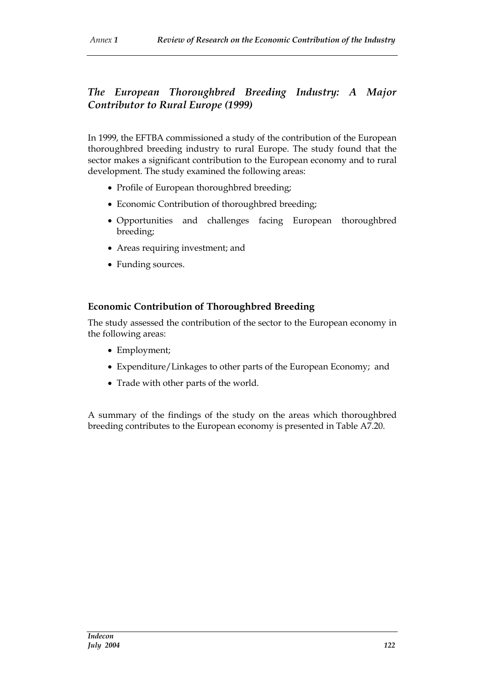# *The European Thoroughbred Breeding Industry: A Major Contributor to Rural Europe (1999)*

In 1999, the EFTBA commissioned a study of the contribution of the European thoroughbred breeding industry to rural Europe. The study found that the sector makes a significant contribution to the European economy and to rural development. The study examined the following areas:

- Profile of European thoroughbred breeding;
- Economic Contribution of thoroughbred breeding;
- Opportunities and challenges facing European thoroughbred breeding;
- Areas requiring investment; and
- Funding sources.

### **Economic Contribution of Thoroughbred Breeding**

The study assessed the contribution of the sector to the European economy in the following areas:

- Employment;
- Expenditure/Linkages to other parts of the European Economy; and
- Trade with other parts of the world.

A summary of the findings of the study on the areas which thoroughbred breeding contributes to the European economy is presented in Table A7.20.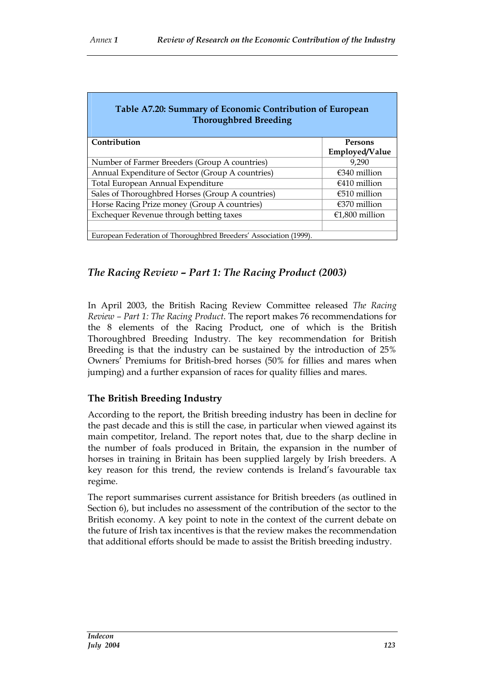| Table A7.20: Summary of Economic Contribution of European<br><b>Thoroughbred Breeding</b> |                        |
|-------------------------------------------------------------------------------------------|------------------------|
| Contribution                                                                              | Persons                |
|                                                                                           | Employed/Value         |
| Number of Farmer Breeders (Group A countries)                                             | 9.290                  |
| Annual Expenditure of Sector (Group A countries)                                          | $\epsilon$ 340 million |
| Total European Annual Expenditure                                                         | $€410$ million         |
| Sales of Thoroughbred Horses (Group A countries)                                          | $\epsilon$ 510 million |
| Horse Racing Prize money (Group A countries)                                              | $\epsilon$ 370 million |
| Exchequer Revenue through betting taxes                                                   | €1,800 million         |
|                                                                                           |                        |
| European Federation of Thoroughbred Breeders' Association (1999).                         |                        |

## *The Racing Review – Part 1: The Racing Product (2003)*

In April 2003, the British Racing Review Committee released *The Racing Review – Part 1: The Racing Product*. The report makes 76 recommendations for the 8 elements of the Racing Product, one of which is the British Thoroughbred Breeding Industry. The key recommendation for British Breeding is that the industry can be sustained by the introduction of 25% Owners' Premiums for British-bred horses (50% for fillies and mares when jumping) and a further expansion of races for quality fillies and mares.

#### **The British Breeding Industry**

According to the report, the British breeding industry has been in decline for the past decade and this is still the case, in particular when viewed against its main competitor, Ireland. The report notes that, due to the sharp decline in the number of foals produced in Britain, the expansion in the number of horses in training in Britain has been supplied largely by Irish breeders. A key reason for this trend, the review contends is Ireland's favourable tax regime.

The report summarises current assistance for British breeders (as outlined in Section 6), but includes no assessment of the contribution of the sector to the British economy. A key point to note in the context of the current debate on the future of Irish tax incentives is that the review makes the recommendation that additional efforts should be made to assist the British breeding industry.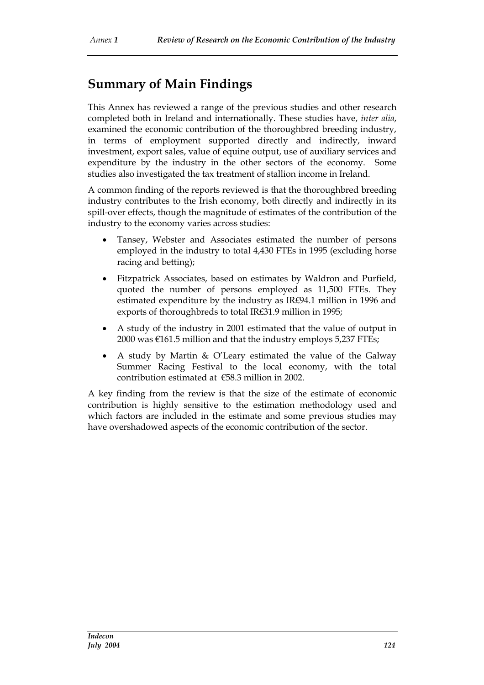# **Summary of Main Findings**

This Annex has reviewed a range of the previous studies and other research completed both in Ireland and internationally. These studies have, *inter alia*, examined the economic contribution of the thoroughbred breeding industry, in terms of employment supported directly and indirectly, inward investment, export sales, value of equine output, use of auxiliary services and expenditure by the industry in the other sectors of the economy. Some studies also investigated the tax treatment of stallion income in Ireland.

A common finding of the reports reviewed is that the thoroughbred breeding industry contributes to the Irish economy, both directly and indirectly in its spill-over effects, though the magnitude of estimates of the contribution of the industry to the economy varies across studies:

- Tansey, Webster and Associates estimated the number of persons employed in the industry to total 4,430 FTEs in 1995 (excluding horse racing and betting);
- Fitzpatrick Associates, based on estimates by Waldron and Purfield, quoted the number of persons employed as 11,500 FTEs. They estimated expenditure by the industry as IR£94.1 million in 1996 and exports of thoroughbreds to total IR£31.9 million in 1995;
- A study of the industry in 2001 estimated that the value of output in 2000 was  $\epsilon$ 161.5 million and that the industry employs 5,237 FTEs;
- A study by Martin & O'Leary estimated the value of the Galway Summer Racing Festival to the local economy, with the total contribution estimated at €58.3 million in 2002.

A key finding from the review is that the size of the estimate of economic contribution is highly sensitive to the estimation methodology used and which factors are included in the estimate and some previous studies may have overshadowed aspects of the economic contribution of the sector.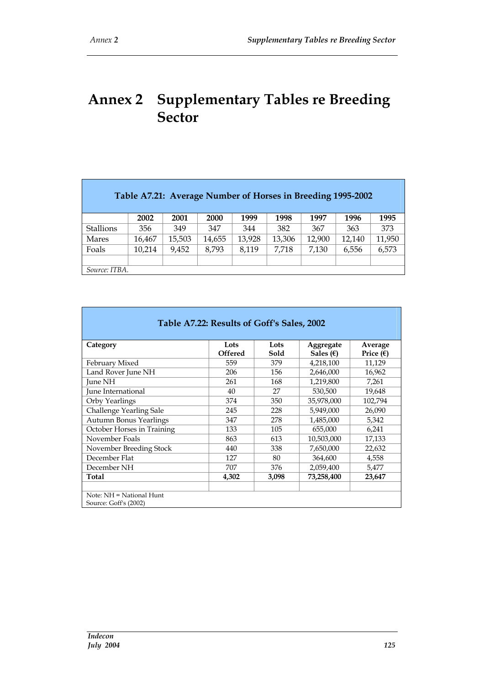# **Annex 2 Supplementary Tables re Breeding Sector**

| Table A7.21: Average Number of Horses in Breeding 1995-2002 |        |        |        |        |        |        |        |        |
|-------------------------------------------------------------|--------|--------|--------|--------|--------|--------|--------|--------|
|                                                             | 2002   | 2001   | 2000   | 1999   | 1998   | 1997   | 1996   | 1995   |
| <b>Stallions</b>                                            | 356    | 349    | 347    | 344    | 382    | 367    | 363    | 373    |
| <b>Mares</b>                                                | 16,467 | 15,503 | 14,655 | 13,928 | 13,306 | 12,900 | 12,140 | 11,950 |
| Foals                                                       | 10,214 | 9,452  | 8,793  | 8,119  | 7,718  | 7,130  | 6,556  | 6,573  |
|                                                             |        |        |        |        |        |        |        |        |
| Source: ITBA.                                               |        |        |        |        |        |        |        |        |

| Table A7.22: Results of Goff's Sales, 2002        |                        |              |                                 |                               |  |  |  |
|---------------------------------------------------|------------------------|--------------|---------------------------------|-------------------------------|--|--|--|
| Category                                          | Lots<br><b>Offered</b> | Lots<br>Sold | Aggregate<br>Sales $(\epsilon)$ | Average<br>Price $(\epsilon)$ |  |  |  |
| February Mixed                                    | 559                    | 379          | 4,218,100                       | 11,129                        |  |  |  |
| Land Rover June NH                                | 206                    | 156          | 2,646,000                       | 16,962                        |  |  |  |
| June NH                                           | 261                    | 168          | 1,219,800                       | 7,261                         |  |  |  |
| June International                                | 40                     | 27           | 530,500                         | 19,648                        |  |  |  |
| Orby Yearlings                                    | 374                    | 350          | 35,978,000                      | 102,794                       |  |  |  |
| Challenge Yearling Sale                           | 245                    | 228          | 5,949,000                       | 26,090                        |  |  |  |
| <b>Autumn Bonus Yearlings</b>                     | 347                    | 278          | 1,485,000                       | 5,342                         |  |  |  |
| October Horses in Training                        | 133                    | 105          | 655,000                         | 6,241                         |  |  |  |
| November Foals                                    | 863                    | 613          | 10,503,000                      | 17,133                        |  |  |  |
| November Breeding Stock                           | 440                    | 338          | 7,650,000                       | 22,632                        |  |  |  |
| December Flat                                     | 127                    | 80           | 364,600                         | 4,558                         |  |  |  |
| December NH                                       | 707                    | 376          | 2,059,400                       | 5,477                         |  |  |  |
| Total                                             | 4,302                  | 3,098        | 73,258,400                      | 23,647                        |  |  |  |
| Note: NH = National Hunt<br>Source: Goff's (2002) |                        |              |                                 |                               |  |  |  |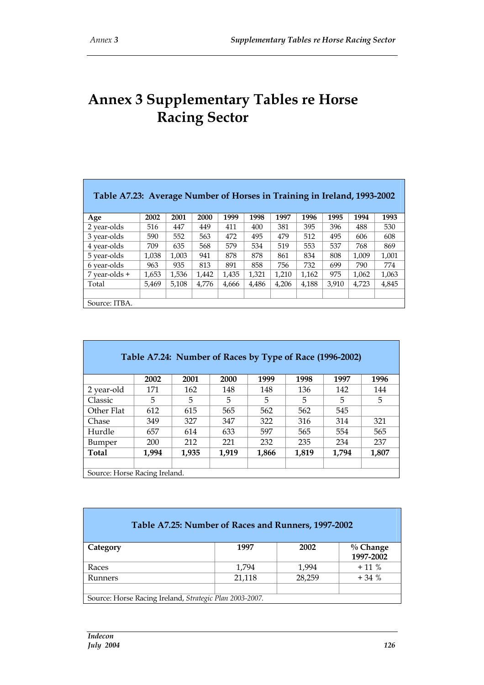# **Annex 3 Supplementary Tables re Horse Racing Sector**

| Table A7.23: Average Number of Horses in Training in Ireland, 1993-2002 |       |       |       |       |       |       |       |       |       |       |
|-------------------------------------------------------------------------|-------|-------|-------|-------|-------|-------|-------|-------|-------|-------|
| Age                                                                     | 2002  | 2001  | 2000  | 1999  | 1998  | 1997  | 1996  | 1995  | 1994  | 1993  |
| 2 year-olds                                                             | 516   | 447   | 449   | 411   | 400   | 381   | 395   | 396   | 488   | 530   |
| 3 year-olds                                                             | 590   | 552   | 563   | 472   | 495   | 479   | 512   | 495   | 606   | 608   |
| 4 year-olds                                                             | 709   | 635   | 568   | 579   | 534   | 519   | 553   | 537   | 768   | 869   |
| 5 year-olds                                                             | 1,038 | 1,003 | 941   | 878   | 878   | 861   | 834   | 808   | 1,009 | 1,001 |
| 6 year-olds                                                             | 963   | 935   | 813   | 891   | 858   | 756   | 732   | 699   | 790   | 774   |
| $7$ year-olds +                                                         | 1,653 | 1,536 | 1.442 | 1,435 | 1,321 | 1,210 | 1,162 | 975   | 1.062 | 1,063 |
| Total                                                                   | 5.469 | 5.108 | 4.776 | 4,666 | 4.486 | 4,206 | 4.188 | 3.910 | 4.723 | 4,845 |
|                                                                         |       |       |       |       |       |       |       |       |       |       |
| Source: ITBA.                                                           |       |       |       |       |       |       |       |       |       |       |

| Table A7.24: Number of Races by Type of Race (1996-2002) |       |       |       |       |       |       |       |
|----------------------------------------------------------|-------|-------|-------|-------|-------|-------|-------|
|                                                          | 2002  | 2001  | 2000  | 1999  | 1998  | 1997  | 1996  |
| 2 year-old                                               | 171   | 162   | 148   | 148   | 136   | 142   | 144   |
| Classic                                                  | 5     | 5     | 5     | 5     | 5     | 5     | 5     |
| Other Flat                                               | 612   | 615   | 565   | 562   | 562   | 545   |       |
| Chase                                                    | 349   | 327   | 347   | 322   | 316   | 314   | 321   |
| Hurdle                                                   | 657   | 614   | 633   | 597   | 565   | 554   | 565   |
| Bumper                                                   | 200   | 212   | 221   | 232   | 235   | 234   | 237   |
| <b>Total</b>                                             | 1.994 | 1.935 | 1.919 | 1,866 | 1,819 | 1.794 | 1,807 |
|                                                          |       |       |       |       |       |       |       |
| Source: Horse Racing Ireland.                            |       |       |       |       |       |       |       |

| Table A7.25: Number of Races and Runners, 1997-2002     |        |        |                          |
|---------------------------------------------------------|--------|--------|--------------------------|
| Category                                                | 1997   | 2002   | $\%$ Change<br>1997-2002 |
| Races                                                   | 1,794  | 1,994  | $+11\%$                  |
| Runners                                                 | 21,118 | 28,259 | $+34%$                   |
|                                                         |        |        |                          |
| Source: Horse Racing Ireland, Strategic Plan 2003-2007. |        |        |                          |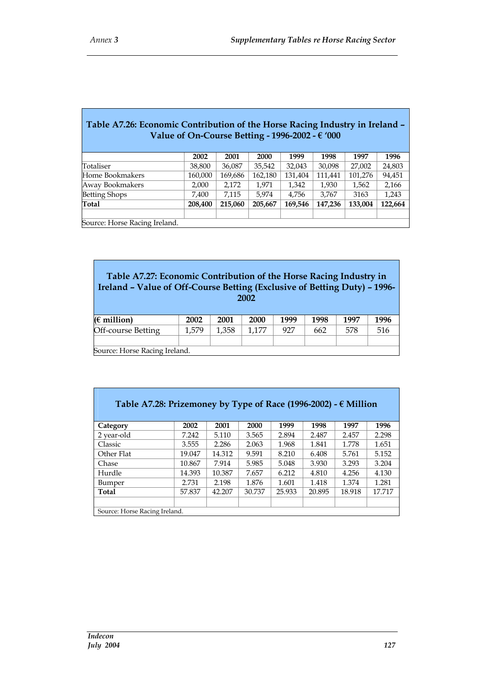$\overline{1}$ 

I

| Table A7.26: Economic Contribution of the Horse Racing Industry in Ireland -<br>Value of On-Course Betting - 1996-2002 - $\epsilon$ '000 |         |         |         |         |         |         |         |  |
|------------------------------------------------------------------------------------------------------------------------------------------|---------|---------|---------|---------|---------|---------|---------|--|
|                                                                                                                                          | 2002    | 2001    | 2000    | 1999    | 1998    | 1997    | 1996    |  |
| Totaliser                                                                                                                                | 38,800  | 36,087  | 35,542  | 32,043  | 30,098  | 27,002  | 24,803  |  |
| Home Bookmakers                                                                                                                          | 160,000 | 169,686 | 162,180 | 131,404 | 111,441 | 101,276 | 94,451  |  |
| Away Bookmakers                                                                                                                          | 2,000   | 2,172   | 1,971   | 1,342   | 1,930   | 1,562   | 2,166   |  |
| <b>Betting Shops</b>                                                                                                                     | 7,400   | 7,115   | 5,974   | 4,756   | 3,767   | 3163    | 1,243   |  |
| Total                                                                                                                                    | 208,400 | 215,060 | 205,667 | 169,546 | 147,236 | 133,004 | 122,664 |  |
|                                                                                                                                          |         |         |         |         |         |         |         |  |
| Source: Horse Racing Ireland.                                                                                                            |         |         |         |         |         |         |         |  |

| Table A7.27: Economic Contribution of the Horse Racing Industry in<br>Ireland - Value of Off-Course Betting (Exclusive of Betting Duty) - 1996-<br>2002 |       |       |       |      |      |      |      |  |  |  |  |
|---------------------------------------------------------------------------------------------------------------------------------------------------------|-------|-------|-------|------|------|------|------|--|--|--|--|
| $(\epsilon$ million)                                                                                                                                    | 2002  | 2001  | 2000  | 1999 | 1998 | 1997 | 1996 |  |  |  |  |
| Off-course Betting                                                                                                                                      | 1,579 | 1,358 | 1,177 | 927  | 662  | 578  | 516  |  |  |  |  |
|                                                                                                                                                         |       |       |       |      |      |      |      |  |  |  |  |
| Source: Horse Racing Ireland.                                                                                                                           |       |       |       |      |      |      |      |  |  |  |  |

| Table A7.28: Prizemoney by Type of Race (1996-2002) - $\epsilon$ Million |        |        |        |        |        |        |        |  |  |  |  |
|--------------------------------------------------------------------------|--------|--------|--------|--------|--------|--------|--------|--|--|--|--|
| Category                                                                 | 2002   | 2001   | 2000   | 1999   | 1998   | 1997   | 1996   |  |  |  |  |
| 2 year-old                                                               | 7.242  | 5.110  | 3.565  | 2.894  | 2.487  | 2.457  | 2.298  |  |  |  |  |
| Classic                                                                  | 3.555  | 2.286  | 2.063  | 1.968  | 1.841  | 1.778  | 1.651  |  |  |  |  |
| Other Flat                                                               | 19.047 | 14.312 | 9.591  | 8.210  | 6.408  | 5.761  | 5.152  |  |  |  |  |
| Chase                                                                    | 10.867 | 7.914  | 5.985  | 5.048  | 3.930  | 3.293  | 3.204  |  |  |  |  |
| Hurdle                                                                   | 14.393 | 10.387 | 7.657  | 6.212  | 4.810  | 4.256  | 4.130  |  |  |  |  |
| Bumper                                                                   | 2.731  | 2.198  | 1.876  | 1.601  | 1.418  | 1.374  | 1.281  |  |  |  |  |
| <b>Total</b>                                                             | 57.837 | 42.207 | 30.737 | 25.933 | 20.895 | 18.918 | 17.717 |  |  |  |  |
|                                                                          |        |        |        |        |        |        |        |  |  |  |  |
| Source: Horse Racing Ireland.                                            |        |        |        |        |        |        |        |  |  |  |  |

J.